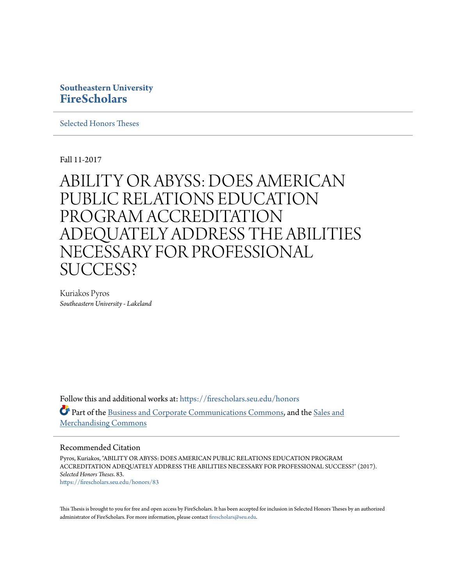## **Southeastern University [FireScholars](https://firescholars.seu.edu?utm_source=firescholars.seu.edu%2Fhonors%2F83&utm_medium=PDF&utm_campaign=PDFCoverPages)**

[Selected Honors Theses](https://firescholars.seu.edu/honors?utm_source=firescholars.seu.edu%2Fhonors%2F83&utm_medium=PDF&utm_campaign=PDFCoverPages)

Fall 11-2017

# ABILITY OR ABYSS: DOES AMERICAN PUBLIC RELATIONS EDUCATION PROGRAM ACCREDITATION ADEQUATELY ADDRESS THE ABILITIES NECESSARY FOR PROFESSIONAL SUCCESS?

Kuriakos Pyros *Southeastern University - Lakeland*

Follow this and additional works at: [https://firescholars.seu.edu/honors](https://firescholars.seu.edu/honors?utm_source=firescholars.seu.edu%2Fhonors%2F83&utm_medium=PDF&utm_campaign=PDFCoverPages) Part of the [Business and Corporate Communications Commons](http://network.bepress.com/hgg/discipline/627?utm_source=firescholars.seu.edu%2Fhonors%2F83&utm_medium=PDF&utm_campaign=PDFCoverPages), and the [Sales and](http://network.bepress.com/hgg/discipline/646?utm_source=firescholars.seu.edu%2Fhonors%2F83&utm_medium=PDF&utm_campaign=PDFCoverPages) [Merchandising Commons](http://network.bepress.com/hgg/discipline/646?utm_source=firescholars.seu.edu%2Fhonors%2F83&utm_medium=PDF&utm_campaign=PDFCoverPages)

#### Recommended Citation

Pyros, Kuriakos, "ABILITY OR ABYSS: DOES AMERICAN PUBLIC RELATIONS EDUCATION PROGRAM ACCREDITATION ADEQUATELY ADDRESS THE ABILITIES NECESSARY FOR PROFESSIONAL SUCCESS?" (2017). *Selected Honors Theses*. 83. [https://firescholars.seu.edu/honors/83](https://firescholars.seu.edu/honors/83?utm_source=firescholars.seu.edu%2Fhonors%2F83&utm_medium=PDF&utm_campaign=PDFCoverPages)

This Thesis is brought to you for free and open access by FireScholars. It has been accepted for inclusion in Selected Honors Theses by an authorized administrator of FireScholars. For more information, please contact [firescholars@seu.edu](mailto:firescholars@seu.edu).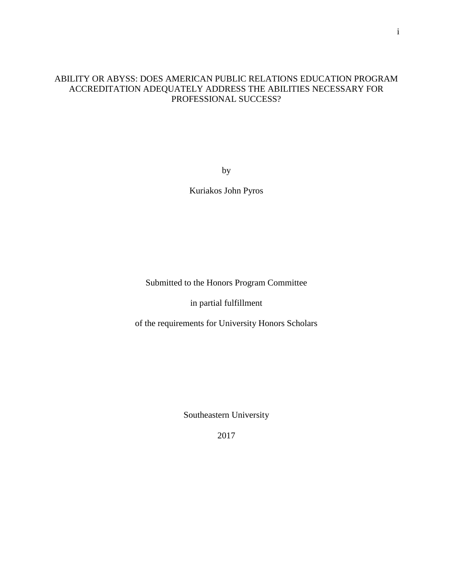### ABILITY OR ABYSS: DOES AMERICAN PUBLIC RELATIONS EDUCATION PROGRAM ACCREDITATION ADEQUATELY ADDRESS THE ABILITIES NECESSARY FOR PROFESSIONAL SUCCESS?

by

Kuriakos John Pyros

Submitted to the Honors Program Committee

in partial fulfillment

of the requirements for University Honors Scholars

Southeastern University

2017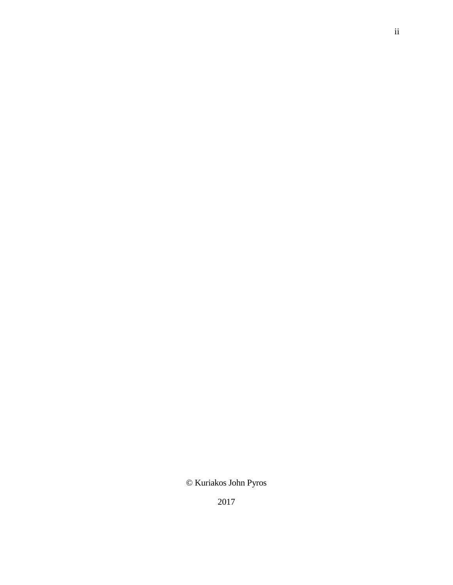# © Kuriakos John Pyros

2017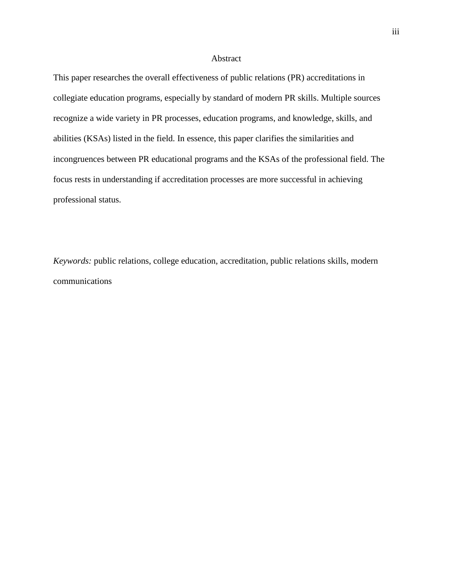#### Abstract

This paper researches the overall effectiveness of public relations (PR) accreditations in collegiate education programs, especially by standard of modern PR skills. Multiple sources recognize a wide variety in PR processes, education programs, and knowledge, skills, and abilities (KSAs) listed in the field. In essence, this paper clarifies the similarities and incongruences between PR educational programs and the KSAs of the professional field. The focus rests in understanding if accreditation processes are more successful in achieving professional status.

*Keywords:* public relations, college education, accreditation, public relations skills, modern communications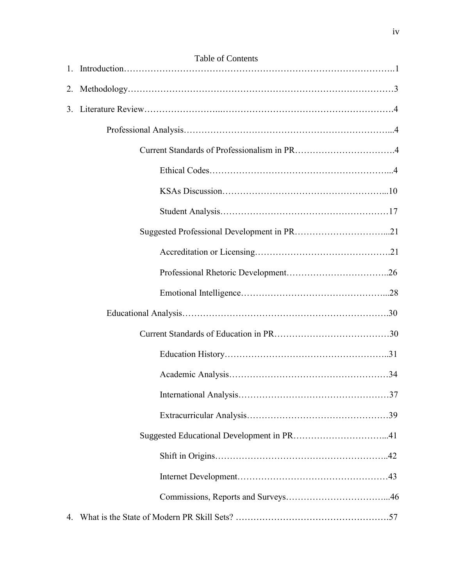|    | <b>Table of Contents</b> |
|----|--------------------------|
|    |                          |
|    |                          |
| 3. |                          |
|    |                          |
|    |                          |
|    |                          |
|    |                          |
|    |                          |
|    |                          |
|    |                          |
|    |                          |
|    |                          |
|    |                          |
|    |                          |
|    |                          |
|    |                          |
|    |                          |
|    |                          |
|    |                          |
|    |                          |
|    |                          |
|    |                          |
| 4. |                          |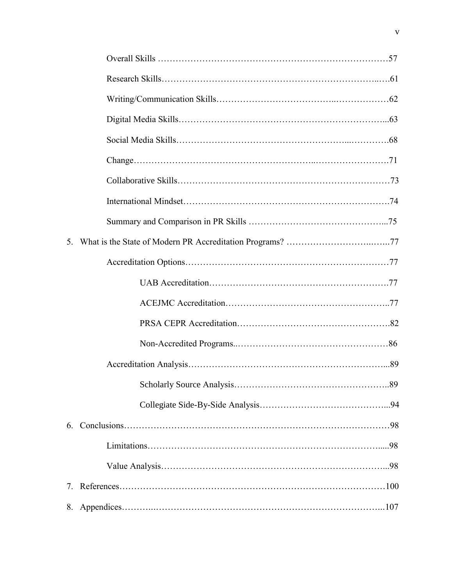| 5. |  |
|----|--|
|    |  |
|    |  |
|    |  |
|    |  |
|    |  |
|    |  |
|    |  |
|    |  |
|    |  |
|    |  |
|    |  |
|    |  |
| 8. |  |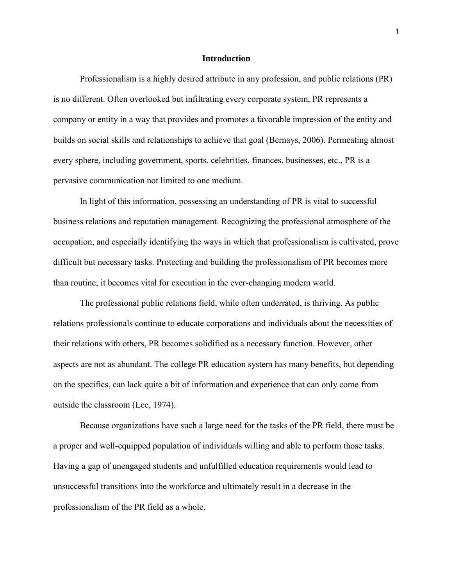#### **Introduction**

Professionalism is a highly desired attribute in any profession, and public relations (PR) is no different. Often overlooked but infiltrating every corporate system, PR represents a company or entity in a way that provides and promotes a favorable impression of the entity and builds on social skills and relationships to achieve that goal (Bernays, 2006). Permeating almost every sphere, including government, sports, celebrities, finances, businesses, etc., PR is a pervasive communication not limited to one medium.

In light of this information, possessing an understanding of PR is vital to successful business relations and reputation management. Recognizing the professional atmosphere of the occupation, and especially identifying the ways in which that professionalism is cultivated, prove difficult but necessary tasks. Protecting and building the professionalism of PR becomes more than routine; it becomes vital for execution in the ever-changing modern world.

The professional public relations field, while often underrated, is thriving. As public relations professionals continue to educate corporations and individuals about the necessities of their relations with others, PR becomes solidified as a necessary function. However, other aspects are not as abundant. The college PR education system has many benefits, but depending on the specifics, can lack quite a bit of information and experience that can only come from outside the classroom (Lee, 1974).

Because organizations have such a large need for the tasks of the PR field, there must be a proper and well-equipped population of individuals willing and able to perform those tasks. Having a gap of unengaged students and unfulfilled education requirements would lead to unsuccessful transitions into the workforce and ultimately result in a decrease in the professionalism of the PR field as a whole.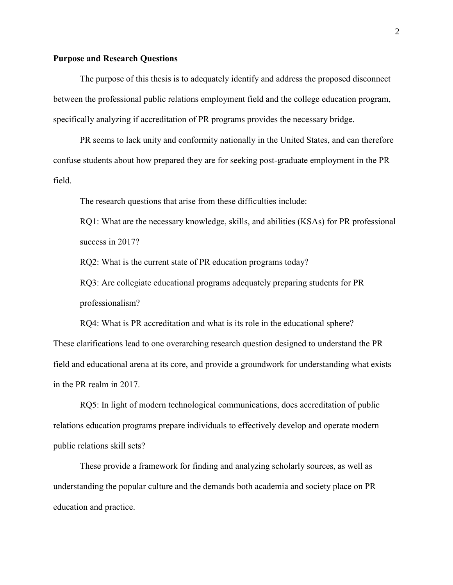#### **Purpose and Research Questions**

The purpose of this thesis is to adequately identify and address the proposed disconnect between the professional public relations employment field and the college education program, specifically analyzing if accreditation of PR programs provides the necessary bridge.

PR seems to lack unity and conformity nationally in the United States, and can therefore confuse students about how prepared they are for seeking post-graduate employment in the PR field.

The research questions that arise from these difficulties include:

RQ1: What are the necessary knowledge, skills, and abilities (KSAs) for PR professional success in 2017?

RQ2: What is the current state of PR education programs today?

RQ3: Are collegiate educational programs adequately preparing students for PR professionalism?

RQ4: What is PR accreditation and what is its role in the educational sphere? These clarifications lead to one overarching research question designed to understand the PR field and educational arena at its core, and provide a groundwork for understanding what exists in the PR realm in 2017.

RQ5: In light of modern technological communications, does accreditation of public relations education programs prepare individuals to effectively develop and operate modern public relations skill sets?

These provide a framework for finding and analyzing scholarly sources, as well as understanding the popular culture and the demands both academia and society place on PR education and practice.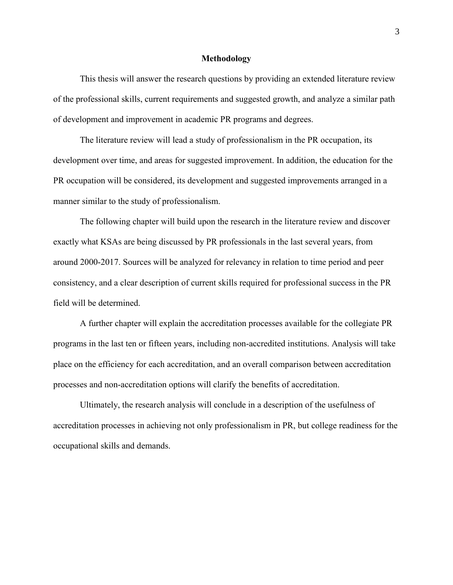#### **Methodology**

This thesis will answer the research questions by providing an extended literature review of the professional skills, current requirements and suggested growth, and analyze a similar path of development and improvement in academic PR programs and degrees.

The literature review will lead a study of professionalism in the PR occupation, its development over time, and areas for suggested improvement. In addition, the education for the PR occupation will be considered, its development and suggested improvements arranged in a manner similar to the study of professionalism.

The following chapter will build upon the research in the literature review and discover exactly what KSAs are being discussed by PR professionals in the last several years, from around 2000-2017. Sources will be analyzed for relevancy in relation to time period and peer consistency, and a clear description of current skills required for professional success in the PR field will be determined.

A further chapter will explain the accreditation processes available for the collegiate PR programs in the last ten or fifteen years, including non-accredited institutions. Analysis will take place on the efficiency for each accreditation, and an overall comparison between accreditation processes and non-accreditation options will clarify the benefits of accreditation.

Ultimately, the research analysis will conclude in a description of the usefulness of accreditation processes in achieving not only professionalism in PR, but college readiness for the occupational skills and demands.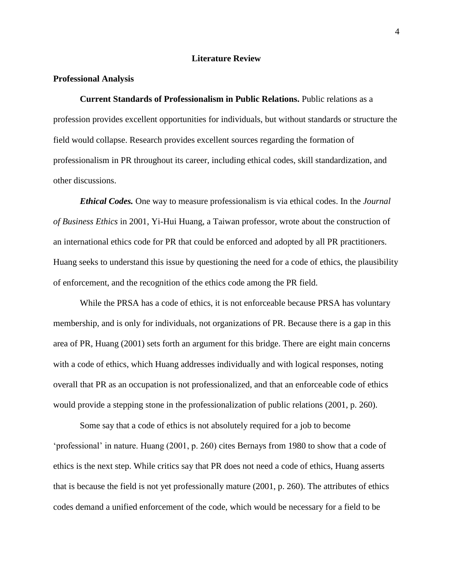#### **Literature Review**

#### **Professional Analysis**

**Current Standards of Professionalism in Public Relations.** Public relations as a profession provides excellent opportunities for individuals, but without standards or structure the field would collapse. Research provides excellent sources regarding the formation of professionalism in PR throughout its career, including ethical codes, skill standardization, and other discussions.

*Ethical Codes.* One way to measure professionalism is via ethical codes. In the *Journal of Business Ethics* in 2001, Yi-Hui Huang, a Taiwan professor, wrote about the construction of an international ethics code for PR that could be enforced and adopted by all PR practitioners. Huang seeks to understand this issue by questioning the need for a code of ethics, the plausibility of enforcement, and the recognition of the ethics code among the PR field.

While the PRSA has a code of ethics, it is not enforceable because PRSA has voluntary membership, and is only for individuals, not organizations of PR. Because there is a gap in this area of PR, Huang (2001) sets forth an argument for this bridge. There are eight main concerns with a code of ethics, which Huang addresses individually and with logical responses, noting overall that PR as an occupation is not professionalized, and that an enforceable code of ethics would provide a stepping stone in the professionalization of public relations (2001, p. 260).

Some say that a code of ethics is not absolutely required for a job to become 'professional' in nature. Huang (2001, p. 260) cites Bernays from 1980 to show that a code of ethics is the next step. While critics say that PR does not need a code of ethics, Huang asserts that is because the field is not yet professionally mature (2001, p. 260). The attributes of ethics codes demand a unified enforcement of the code, which would be necessary for a field to be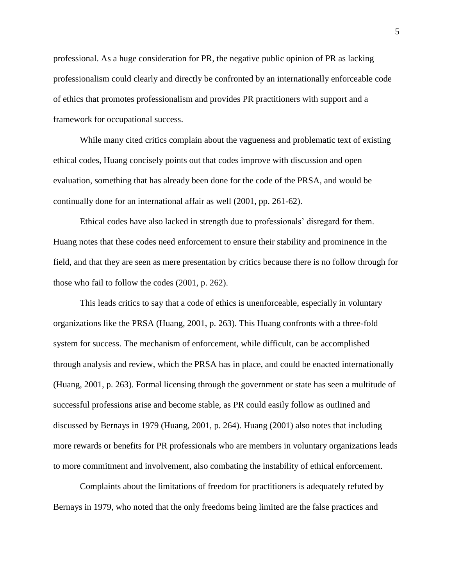professional. As a huge consideration for PR, the negative public opinion of PR as lacking professionalism could clearly and directly be confronted by an internationally enforceable code of ethics that promotes professionalism and provides PR practitioners with support and a framework for occupational success.

While many cited critics complain about the vagueness and problematic text of existing ethical codes, Huang concisely points out that codes improve with discussion and open evaluation, something that has already been done for the code of the PRSA, and would be continually done for an international affair as well (2001, pp. 261-62).

Ethical codes have also lacked in strength due to professionals' disregard for them. Huang notes that these codes need enforcement to ensure their stability and prominence in the field, and that they are seen as mere presentation by critics because there is no follow through for those who fail to follow the codes (2001, p. 262).

This leads critics to say that a code of ethics is unenforceable, especially in voluntary organizations like the PRSA (Huang, 2001, p. 263). This Huang confronts with a three-fold system for success. The mechanism of enforcement, while difficult, can be accomplished through analysis and review, which the PRSA has in place, and could be enacted internationally (Huang, 2001, p. 263). Formal licensing through the government or state has seen a multitude of successful professions arise and become stable, as PR could easily follow as outlined and discussed by Bernays in 1979 (Huang, 2001, p. 264). Huang (2001) also notes that including more rewards or benefits for PR professionals who are members in voluntary organizations leads to more commitment and involvement, also combating the instability of ethical enforcement.

Complaints about the limitations of freedom for practitioners is adequately refuted by Bernays in 1979, who noted that the only freedoms being limited are the false practices and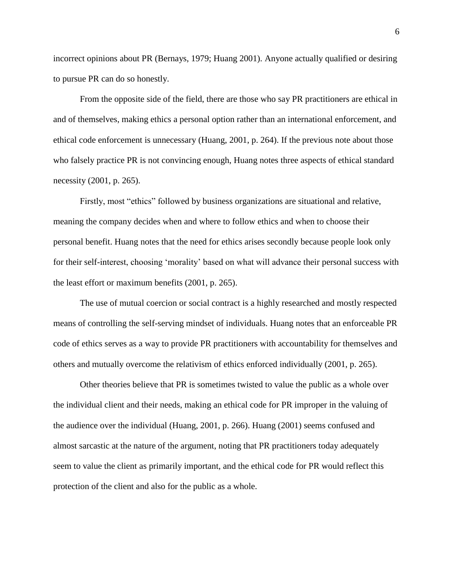incorrect opinions about PR (Bernays, 1979; Huang 2001). Anyone actually qualified or desiring to pursue PR can do so honestly.

From the opposite side of the field, there are those who say PR practitioners are ethical in and of themselves, making ethics a personal option rather than an international enforcement, and ethical code enforcement is unnecessary (Huang, 2001, p. 264). If the previous note about those who falsely practice PR is not convincing enough, Huang notes three aspects of ethical standard necessity (2001, p. 265).

Firstly, most "ethics" followed by business organizations are situational and relative, meaning the company decides when and where to follow ethics and when to choose their personal benefit. Huang notes that the need for ethics arises secondly because people look only for their self-interest, choosing 'morality' based on what will advance their personal success with the least effort or maximum benefits (2001, p. 265).

The use of mutual coercion or social contract is a highly researched and mostly respected means of controlling the self-serving mindset of individuals. Huang notes that an enforceable PR code of ethics serves as a way to provide PR practitioners with accountability for themselves and others and mutually overcome the relativism of ethics enforced individually (2001, p. 265).

Other theories believe that PR is sometimes twisted to value the public as a whole over the individual client and their needs, making an ethical code for PR improper in the valuing of the audience over the individual (Huang, 2001, p. 266). Huang (2001) seems confused and almost sarcastic at the nature of the argument, noting that PR practitioners today adequately seem to value the client as primarily important, and the ethical code for PR would reflect this protection of the client and also for the public as a whole.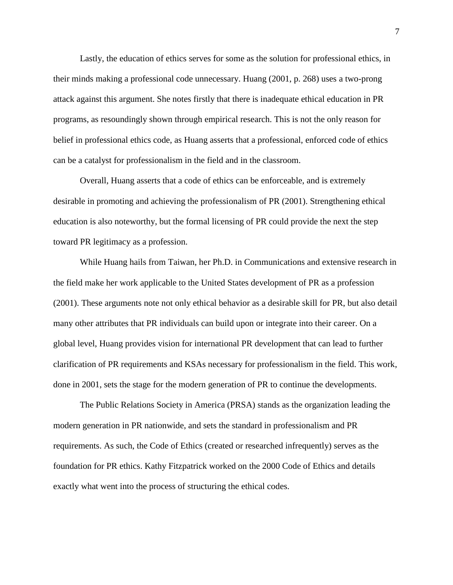Lastly, the education of ethics serves for some as the solution for professional ethics, in their minds making a professional code unnecessary. Huang (2001, p. 268) uses a two-prong attack against this argument. She notes firstly that there is inadequate ethical education in PR programs, as resoundingly shown through empirical research. This is not the only reason for belief in professional ethics code, as Huang asserts that a professional, enforced code of ethics can be a catalyst for professionalism in the field and in the classroom.

Overall, Huang asserts that a code of ethics can be enforceable, and is extremely desirable in promoting and achieving the professionalism of PR (2001). Strengthening ethical education is also noteworthy, but the formal licensing of PR could provide the next the step toward PR legitimacy as a profession.

While Huang hails from Taiwan, her Ph.D. in Communications and extensive research in the field make her work applicable to the United States development of PR as a profession (2001). These arguments note not only ethical behavior as a desirable skill for PR, but also detail many other attributes that PR individuals can build upon or integrate into their career. On a global level, Huang provides vision for international PR development that can lead to further clarification of PR requirements and KSAs necessary for professionalism in the field. This work, done in 2001, sets the stage for the modern generation of PR to continue the developments.

The Public Relations Society in America (PRSA) stands as the organization leading the modern generation in PR nationwide, and sets the standard in professionalism and PR requirements. As such, the Code of Ethics (created or researched infrequently) serves as the foundation for PR ethics. Kathy Fitzpatrick worked on the 2000 Code of Ethics and details exactly what went into the process of structuring the ethical codes.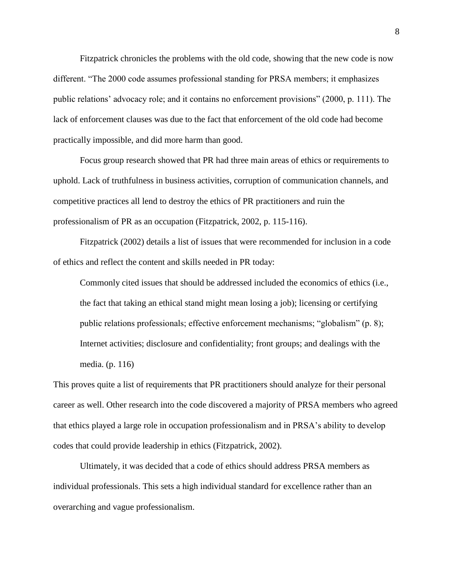Fitzpatrick chronicles the problems with the old code, showing that the new code is now different. "The 2000 code assumes professional standing for PRSA members; it emphasizes public relations' advocacy role; and it contains no enforcement provisions" (2000, p. 111). The lack of enforcement clauses was due to the fact that enforcement of the old code had become practically impossible, and did more harm than good.

Focus group research showed that PR had three main areas of ethics or requirements to uphold. Lack of truthfulness in business activities, corruption of communication channels, and competitive practices all lend to destroy the ethics of PR practitioners and ruin the professionalism of PR as an occupation (Fitzpatrick, 2002, p. 115-116).

Fitzpatrick (2002) details a list of issues that were recommended for inclusion in a code of ethics and reflect the content and skills needed in PR today:

Commonly cited issues that should be addressed included the economics of ethics (i.e., the fact that taking an ethical stand might mean losing a job); licensing or certifying public relations professionals; effective enforcement mechanisms; "globalism" (p. 8); Internet activities; disclosure and confidentiality; front groups; and dealings with the media. (p. 116)

This proves quite a list of requirements that PR practitioners should analyze for their personal career as well. Other research into the code discovered a majority of PRSA members who agreed that ethics played a large role in occupation professionalism and in PRSA's ability to develop codes that could provide leadership in ethics (Fitzpatrick, 2002).

Ultimately, it was decided that a code of ethics should address PRSA members as individual professionals. This sets a high individual standard for excellence rather than an overarching and vague professionalism.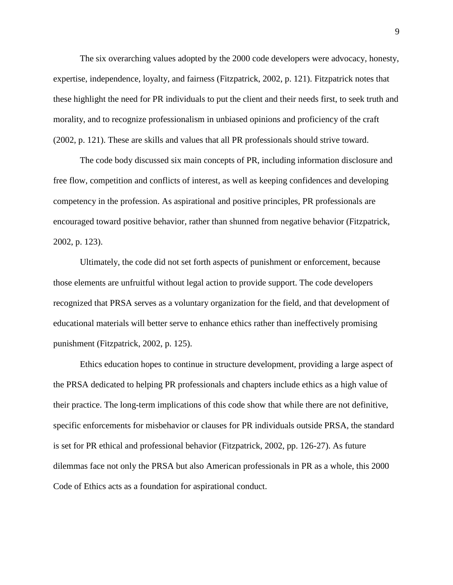The six overarching values adopted by the 2000 code developers were advocacy, honesty, expertise, independence, loyalty, and fairness (Fitzpatrick, 2002, p. 121). Fitzpatrick notes that these highlight the need for PR individuals to put the client and their needs first, to seek truth and morality, and to recognize professionalism in unbiased opinions and proficiency of the craft (2002, p. 121). These are skills and values that all PR professionals should strive toward.

The code body discussed six main concepts of PR, including information disclosure and free flow, competition and conflicts of interest, as well as keeping confidences and developing competency in the profession. As aspirational and positive principles, PR professionals are encouraged toward positive behavior, rather than shunned from negative behavior (Fitzpatrick, 2002, p. 123).

Ultimately, the code did not set forth aspects of punishment or enforcement, because those elements are unfruitful without legal action to provide support. The code developers recognized that PRSA serves as a voluntary organization for the field, and that development of educational materials will better serve to enhance ethics rather than ineffectively promising punishment (Fitzpatrick, 2002, p. 125).

Ethics education hopes to continue in structure development, providing a large aspect of the PRSA dedicated to helping PR professionals and chapters include ethics as a high value of their practice. The long-term implications of this code show that while there are not definitive, specific enforcements for misbehavior or clauses for PR individuals outside PRSA, the standard is set for PR ethical and professional behavior (Fitzpatrick, 2002, pp. 126-27). As future dilemmas face not only the PRSA but also American professionals in PR as a whole, this 2000 Code of Ethics acts as a foundation for aspirational conduct.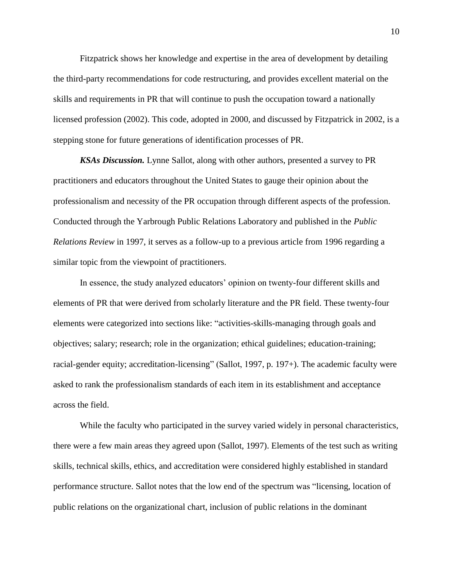Fitzpatrick shows her knowledge and expertise in the area of development by detailing the third-party recommendations for code restructuring, and provides excellent material on the skills and requirements in PR that will continue to push the occupation toward a nationally licensed profession (2002). This code, adopted in 2000, and discussed by Fitzpatrick in 2002, is a stepping stone for future generations of identification processes of PR.

*KSAs Discussion.* Lynne Sallot, along with other authors, presented a survey to PR practitioners and educators throughout the United States to gauge their opinion about the professionalism and necessity of the PR occupation through different aspects of the profession. Conducted through the Yarbrough Public Relations Laboratory and published in the *Public Relations Review* in 1997, it serves as a follow-up to a previous article from 1996 regarding a similar topic from the viewpoint of practitioners.

In essence, the study analyzed educators' opinion on twenty-four different skills and elements of PR that were derived from scholarly literature and the PR field. These twenty-four elements were categorized into sections like: "activities-skills-managing through goals and objectives; salary; research; role in the organization; ethical guidelines; education-training; racial-gender equity; accreditation-licensing" (Sallot, 1997, p. 197+). The academic faculty were asked to rank the professionalism standards of each item in its establishment and acceptance across the field.

While the faculty who participated in the survey varied widely in personal characteristics, there were a few main areas they agreed upon (Sallot, 1997). Elements of the test such as writing skills, technical skills, ethics, and accreditation were considered highly established in standard performance structure. Sallot notes that the low end of the spectrum was "licensing, location of public relations on the organizational chart, inclusion of public relations in the dominant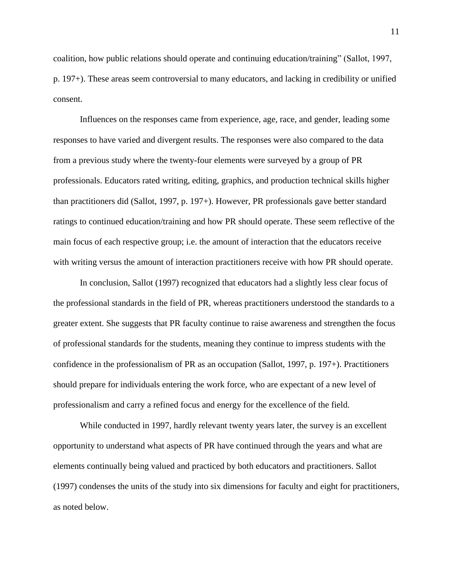coalition, how public relations should operate and continuing education/training" (Sallot, 1997, p. 197+). These areas seem controversial to many educators, and lacking in credibility or unified consent.

Influences on the responses came from experience, age, race, and gender, leading some responses to have varied and divergent results. The responses were also compared to the data from a previous study where the twenty-four elements were surveyed by a group of PR professionals. Educators rated writing, editing, graphics, and production technical skills higher than practitioners did (Sallot, 1997, p. 197+). However, PR professionals gave better standard ratings to continued education/training and how PR should operate. These seem reflective of the main focus of each respective group; i.e. the amount of interaction that the educators receive with writing versus the amount of interaction practitioners receive with how PR should operate.

In conclusion, Sallot (1997) recognized that educators had a slightly less clear focus of the professional standards in the field of PR, whereas practitioners understood the standards to a greater extent. She suggests that PR faculty continue to raise awareness and strengthen the focus of professional standards for the students, meaning they continue to impress students with the confidence in the professionalism of PR as an occupation (Sallot, 1997, p. 197+). Practitioners should prepare for individuals entering the work force, who are expectant of a new level of professionalism and carry a refined focus and energy for the excellence of the field.

While conducted in 1997, hardly relevant twenty years later, the survey is an excellent opportunity to understand what aspects of PR have continued through the years and what are elements continually being valued and practiced by both educators and practitioners. Sallot (1997) condenses the units of the study into six dimensions for faculty and eight for practitioners, as noted below.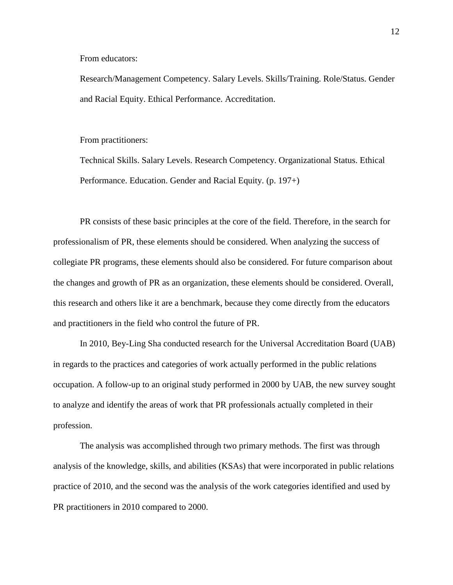From educators:

Research/Management Competency. Salary Levels. Skills/Training. Role/Status. Gender and Racial Equity. Ethical Performance. Accreditation.

From practitioners:

Technical Skills. Salary Levels. Research Competency. Organizational Status. Ethical Performance. Education. Gender and Racial Equity. (p. 197+)

PR consists of these basic principles at the core of the field. Therefore, in the search for professionalism of PR, these elements should be considered. When analyzing the success of collegiate PR programs, these elements should also be considered. For future comparison about the changes and growth of PR as an organization, these elements should be considered. Overall, this research and others like it are a benchmark, because they come directly from the educators and practitioners in the field who control the future of PR.

In 2010, Bey-Ling Sha conducted research for the Universal Accreditation Board (UAB) in regards to the practices and categories of work actually performed in the public relations occupation. A follow-up to an original study performed in 2000 by UAB, the new survey sought to analyze and identify the areas of work that PR professionals actually completed in their profession.

The analysis was accomplished through two primary methods. The first was through analysis of the knowledge, skills, and abilities (KSAs) that were incorporated in public relations practice of 2010, and the second was the analysis of the work categories identified and used by PR practitioners in 2010 compared to 2000.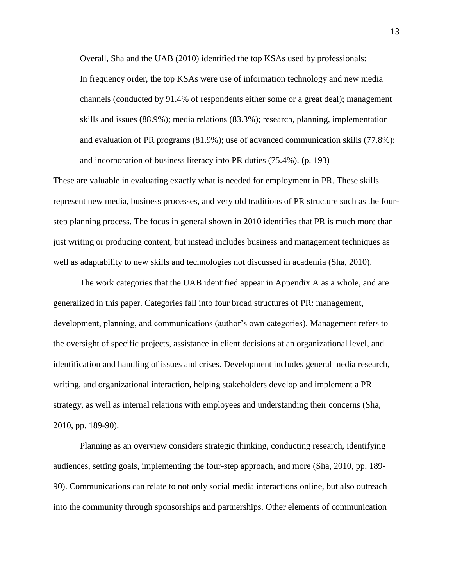Overall, Sha and the UAB (2010) identified the top KSAs used by professionals: In frequency order, the top KSAs were use of information technology and new media channels (conducted by 91.4% of respondents either some or a great deal); management skills and issues (88.9%); media relations (83.3%); research, planning, implementation and evaluation of PR programs (81.9%); use of advanced communication skills (77.8%); and incorporation of business literacy into PR duties (75.4%). (p. 193)

These are valuable in evaluating exactly what is needed for employment in PR. These skills represent new media, business processes, and very old traditions of PR structure such as the fourstep planning process. The focus in general shown in 2010 identifies that PR is much more than just writing or producing content, but instead includes business and management techniques as well as adaptability to new skills and technologies not discussed in academia (Sha, 2010).

The work categories that the UAB identified appear in Appendix A as a whole, and are generalized in this paper. Categories fall into four broad structures of PR: management, development, planning, and communications (author's own categories). Management refers to the oversight of specific projects, assistance in client decisions at an organizational level, and identification and handling of issues and crises. Development includes general media research, writing, and organizational interaction, helping stakeholders develop and implement a PR strategy, as well as internal relations with employees and understanding their concerns (Sha, 2010, pp. 189-90).

Planning as an overview considers strategic thinking, conducting research, identifying audiences, setting goals, implementing the four-step approach, and more (Sha, 2010, pp. 189- 90). Communications can relate to not only social media interactions online, but also outreach into the community through sponsorships and partnerships. Other elements of communication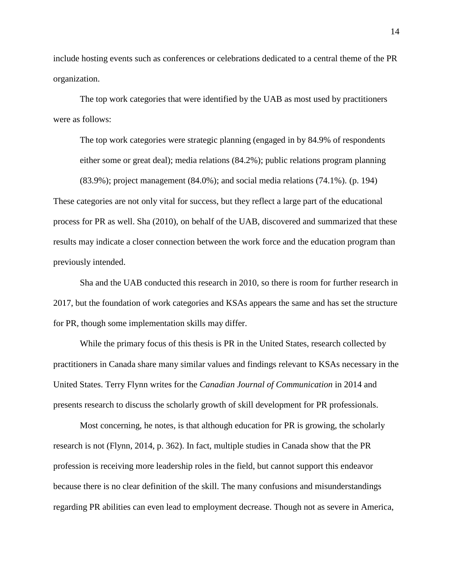include hosting events such as conferences or celebrations dedicated to a central theme of the PR organization.

The top work categories that were identified by the UAB as most used by practitioners were as follows:

The top work categories were strategic planning (engaged in by 84.9% of respondents either some or great deal); media relations (84.2%); public relations program planning

(83.9%); project management (84.0%); and social media relations (74.1%). (p. 194) These categories are not only vital for success, but they reflect a large part of the educational process for PR as well. Sha (2010), on behalf of the UAB, discovered and summarized that these results may indicate a closer connection between the work force and the education program than previously intended.

Sha and the UAB conducted this research in 2010, so there is room for further research in 2017, but the foundation of work categories and KSAs appears the same and has set the structure for PR, though some implementation skills may differ.

While the primary focus of this thesis is PR in the United States, research collected by practitioners in Canada share many similar values and findings relevant to KSAs necessary in the United States. Terry Flynn writes for the *Canadian Journal of Communication* in 2014 and presents research to discuss the scholarly growth of skill development for PR professionals.

Most concerning, he notes, is that although education for PR is growing, the scholarly research is not (Flynn, 2014, p. 362). In fact, multiple studies in Canada show that the PR profession is receiving more leadership roles in the field, but cannot support this endeavor because there is no clear definition of the skill. The many confusions and misunderstandings regarding PR abilities can even lead to employment decrease. Though not as severe in America,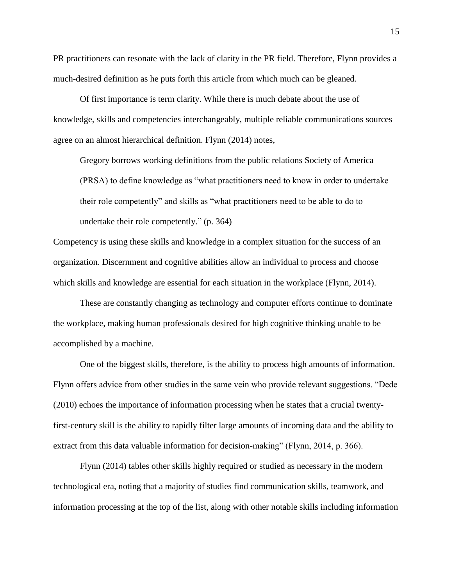PR practitioners can resonate with the lack of clarity in the PR field. Therefore, Flynn provides a much-desired definition as he puts forth this article from which much can be gleaned.

Of first importance is term clarity. While there is much debate about the use of knowledge, skills and competencies interchangeably, multiple reliable communications sources agree on an almost hierarchical definition. Flynn (2014) notes,

Gregory borrows working definitions from the public relations Society of America (PRSA) to define knowledge as "what practitioners need to know in order to undertake their role competently" and skills as "what practitioners need to be able to do to undertake their role competently." (p. 364)

Competency is using these skills and knowledge in a complex situation for the success of an organization. Discernment and cognitive abilities allow an individual to process and choose which skills and knowledge are essential for each situation in the workplace (Flynn, 2014).

These are constantly changing as technology and computer efforts continue to dominate the workplace, making human professionals desired for high cognitive thinking unable to be accomplished by a machine.

One of the biggest skills, therefore, is the ability to process high amounts of information. Flynn offers advice from other studies in the same vein who provide relevant suggestions. "Dede (2010) echoes the importance of information processing when he states that a crucial twentyfirst-century skill is the ability to rapidly filter large amounts of incoming data and the ability to extract from this data valuable information for decision-making" (Flynn, 2014, p. 366).

Flynn (2014) tables other skills highly required or studied as necessary in the modern technological era, noting that a majority of studies find communication skills, teamwork, and information processing at the top of the list, along with other notable skills including information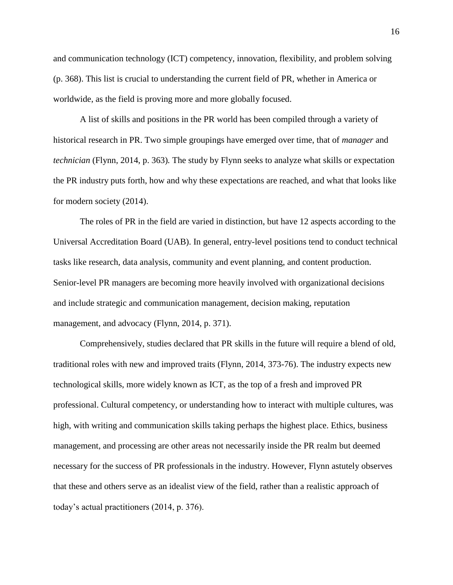and communication technology (ICT) competency, innovation, flexibility, and problem solving (p. 368). This list is crucial to understanding the current field of PR, whether in America or worldwide, as the field is proving more and more globally focused.

A list of skills and positions in the PR world has been compiled through a variety of historical research in PR. Two simple groupings have emerged over time, that of *manager* and *technician* (Flynn, 2014, p. 363)*.* The study by Flynn seeks to analyze what skills or expectation the PR industry puts forth, how and why these expectations are reached, and what that looks like for modern society (2014).

The roles of PR in the field are varied in distinction, but have 12 aspects according to the Universal Accreditation Board (UAB). In general, entry-level positions tend to conduct technical tasks like research, data analysis, community and event planning, and content production. Senior-level PR managers are becoming more heavily involved with organizational decisions and include strategic and communication management, decision making, reputation management, and advocacy (Flynn, 2014, p. 371).

Comprehensively, studies declared that PR skills in the future will require a blend of old, traditional roles with new and improved traits (Flynn, 2014, 373-76). The industry expects new technological skills, more widely known as ICT, as the top of a fresh and improved PR professional. Cultural competency, or understanding how to interact with multiple cultures, was high, with writing and communication skills taking perhaps the highest place. Ethics, business management, and processing are other areas not necessarily inside the PR realm but deemed necessary for the success of PR professionals in the industry. However, Flynn astutely observes that these and others serve as an idealist view of the field, rather than a realistic approach of today's actual practitioners (2014, p. 376).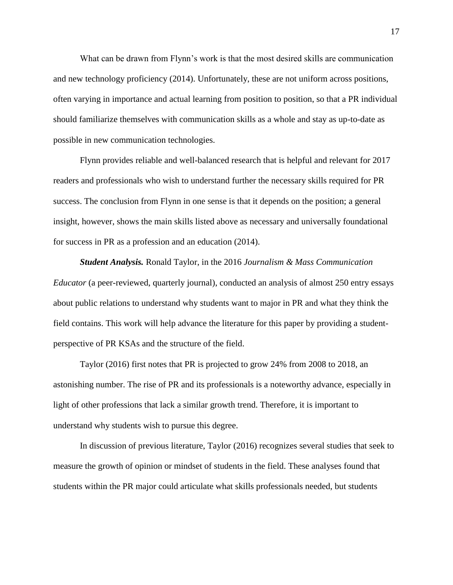What can be drawn from Flynn's work is that the most desired skills are communication and new technology proficiency (2014). Unfortunately, these are not uniform across positions, often varying in importance and actual learning from position to position, so that a PR individual should familiarize themselves with communication skills as a whole and stay as up-to-date as possible in new communication technologies.

Flynn provides reliable and well-balanced research that is helpful and relevant for 2017 readers and professionals who wish to understand further the necessary skills required for PR success. The conclusion from Flynn in one sense is that it depends on the position; a general insight, however, shows the main skills listed above as necessary and universally foundational for success in PR as a profession and an education (2014).

*Student Analysis.* Ronald Taylor, in the 2016 *Journalism & Mass Communication Educator* (a peer-reviewed, quarterly journal), conducted an analysis of almost 250 entry essays about public relations to understand why students want to major in PR and what they think the field contains. This work will help advance the literature for this paper by providing a studentperspective of PR KSAs and the structure of the field.

Taylor (2016) first notes that PR is projected to grow 24% from 2008 to 2018, an astonishing number. The rise of PR and its professionals is a noteworthy advance, especially in light of other professions that lack a similar growth trend. Therefore, it is important to understand why students wish to pursue this degree.

In discussion of previous literature, Taylor (2016) recognizes several studies that seek to measure the growth of opinion or mindset of students in the field. These analyses found that students within the PR major could articulate what skills professionals needed, but students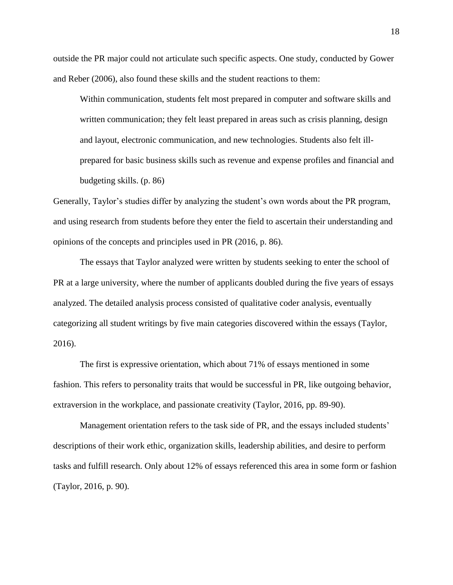outside the PR major could not articulate such specific aspects. One study, conducted by Gower and Reber (2006), also found these skills and the student reactions to them:

Within communication, students felt most prepared in computer and software skills and written communication; they felt least prepared in areas such as crisis planning, design and layout, electronic communication, and new technologies. Students also felt illprepared for basic business skills such as revenue and expense profiles and financial and budgeting skills. (p. 86)

Generally, Taylor's studies differ by analyzing the student's own words about the PR program, and using research from students before they enter the field to ascertain their understanding and opinions of the concepts and principles used in PR (2016, p. 86).

The essays that Taylor analyzed were written by students seeking to enter the school of PR at a large university, where the number of applicants doubled during the five years of essays analyzed. The detailed analysis process consisted of qualitative coder analysis, eventually categorizing all student writings by five main categories discovered within the essays (Taylor, 2016).

The first is expressive orientation, which about 71% of essays mentioned in some fashion. This refers to personality traits that would be successful in PR, like outgoing behavior, extraversion in the workplace, and passionate creativity (Taylor, 2016, pp. 89-90).

Management orientation refers to the task side of PR, and the essays included students' descriptions of their work ethic, organization skills, leadership abilities, and desire to perform tasks and fulfill research. Only about 12% of essays referenced this area in some form or fashion (Taylor, 2016, p. 90).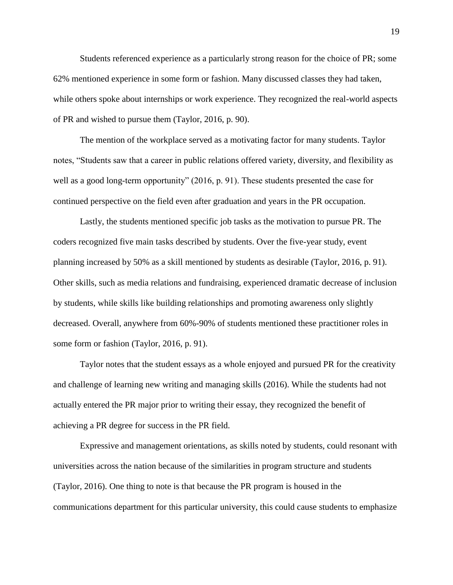Students referenced experience as a particularly strong reason for the choice of PR; some 62% mentioned experience in some form or fashion. Many discussed classes they had taken, while others spoke about internships or work experience. They recognized the real-world aspects of PR and wished to pursue them (Taylor, 2016, p. 90).

The mention of the workplace served as a motivating factor for many students. Taylor notes, "Students saw that a career in public relations offered variety, diversity, and flexibility as well as a good long-term opportunity" (2016, p. 91). These students presented the case for continued perspective on the field even after graduation and years in the PR occupation.

Lastly, the students mentioned specific job tasks as the motivation to pursue PR. The coders recognized five main tasks described by students. Over the five-year study, event planning increased by 50% as a skill mentioned by students as desirable (Taylor, 2016, p. 91). Other skills, such as media relations and fundraising, experienced dramatic decrease of inclusion by students, while skills like building relationships and promoting awareness only slightly decreased. Overall, anywhere from 60%-90% of students mentioned these practitioner roles in some form or fashion (Taylor, 2016, p. 91).

Taylor notes that the student essays as a whole enjoyed and pursued PR for the creativity and challenge of learning new writing and managing skills (2016). While the students had not actually entered the PR major prior to writing their essay, they recognized the benefit of achieving a PR degree for success in the PR field.

Expressive and management orientations, as skills noted by students, could resonant with universities across the nation because of the similarities in program structure and students (Taylor, 2016). One thing to note is that because the PR program is housed in the communications department for this particular university, this could cause students to emphasize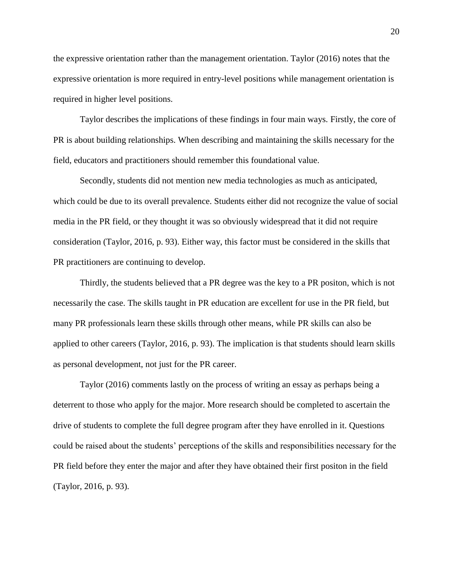the expressive orientation rather than the management orientation. Taylor (2016) notes that the expressive orientation is more required in entry-level positions while management orientation is required in higher level positions.

Taylor describes the implications of these findings in four main ways. Firstly, the core of PR is about building relationships. When describing and maintaining the skills necessary for the field, educators and practitioners should remember this foundational value.

Secondly, students did not mention new media technologies as much as anticipated, which could be due to its overall prevalence. Students either did not recognize the value of social media in the PR field, or they thought it was so obviously widespread that it did not require consideration (Taylor, 2016, p. 93). Either way, this factor must be considered in the skills that PR practitioners are continuing to develop.

Thirdly, the students believed that a PR degree was the key to a PR positon, which is not necessarily the case. The skills taught in PR education are excellent for use in the PR field, but many PR professionals learn these skills through other means, while PR skills can also be applied to other careers (Taylor, 2016, p. 93). The implication is that students should learn skills as personal development, not just for the PR career.

Taylor (2016) comments lastly on the process of writing an essay as perhaps being a deterrent to those who apply for the major. More research should be completed to ascertain the drive of students to complete the full degree program after they have enrolled in it. Questions could be raised about the students' perceptions of the skills and responsibilities necessary for the PR field before they enter the major and after they have obtained their first positon in the field (Taylor, 2016, p. 93).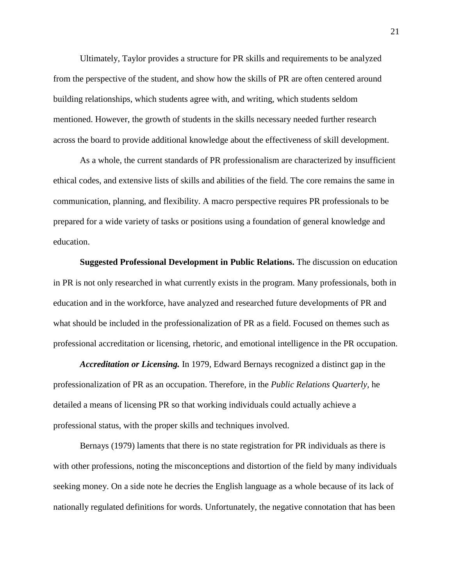Ultimately, Taylor provides a structure for PR skills and requirements to be analyzed from the perspective of the student, and show how the skills of PR are often centered around building relationships, which students agree with, and writing, which students seldom mentioned. However, the growth of students in the skills necessary needed further research across the board to provide additional knowledge about the effectiveness of skill development.

As a whole, the current standards of PR professionalism are characterized by insufficient ethical codes, and extensive lists of skills and abilities of the field. The core remains the same in communication, planning, and flexibility. A macro perspective requires PR professionals to be prepared for a wide variety of tasks or positions using a foundation of general knowledge and education.

**Suggested Professional Development in Public Relations.** The discussion on education in PR is not only researched in what currently exists in the program. Many professionals, both in education and in the workforce, have analyzed and researched future developments of PR and what should be included in the professionalization of PR as a field. Focused on themes such as professional accreditation or licensing, rhetoric, and emotional intelligence in the PR occupation.

*Accreditation or Licensing.* In 1979, Edward Bernays recognized a distinct gap in the professionalization of PR as an occupation. Therefore, in the *Public Relations Quarterly,* he detailed a means of licensing PR so that working individuals could actually achieve a professional status, with the proper skills and techniques involved.

Bernays (1979) laments that there is no state registration for PR individuals as there is with other professions, noting the misconceptions and distortion of the field by many individuals seeking money. On a side note he decries the English language as a whole because of its lack of nationally regulated definitions for words. Unfortunately, the negative connotation that has been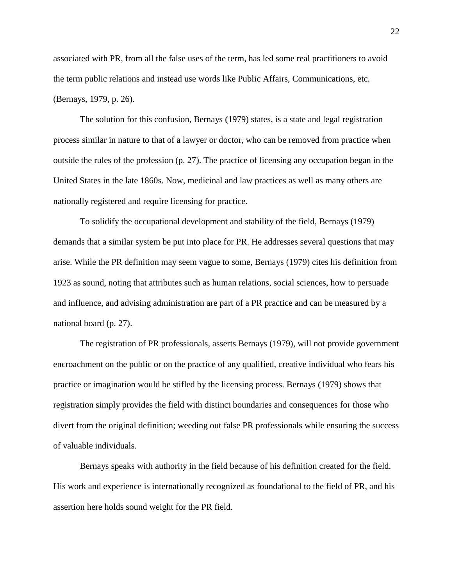associated with PR, from all the false uses of the term, has led some real practitioners to avoid the term public relations and instead use words like Public Affairs, Communications, etc. (Bernays, 1979, p. 26).

The solution for this confusion, Bernays (1979) states, is a state and legal registration process similar in nature to that of a lawyer or doctor, who can be removed from practice when outside the rules of the profession (p. 27). The practice of licensing any occupation began in the United States in the late 1860s. Now, medicinal and law practices as well as many others are nationally registered and require licensing for practice.

To solidify the occupational development and stability of the field, Bernays (1979) demands that a similar system be put into place for PR. He addresses several questions that may arise. While the PR definition may seem vague to some, Bernays (1979) cites his definition from 1923 as sound, noting that attributes such as human relations, social sciences, how to persuade and influence, and advising administration are part of a PR practice and can be measured by a national board (p. 27).

The registration of PR professionals, asserts Bernays (1979), will not provide government encroachment on the public or on the practice of any qualified, creative individual who fears his practice or imagination would be stifled by the licensing process. Bernays (1979) shows that registration simply provides the field with distinct boundaries and consequences for those who divert from the original definition; weeding out false PR professionals while ensuring the success of valuable individuals.

Bernays speaks with authority in the field because of his definition created for the field. His work and experience is internationally recognized as foundational to the field of PR, and his assertion here holds sound weight for the PR field.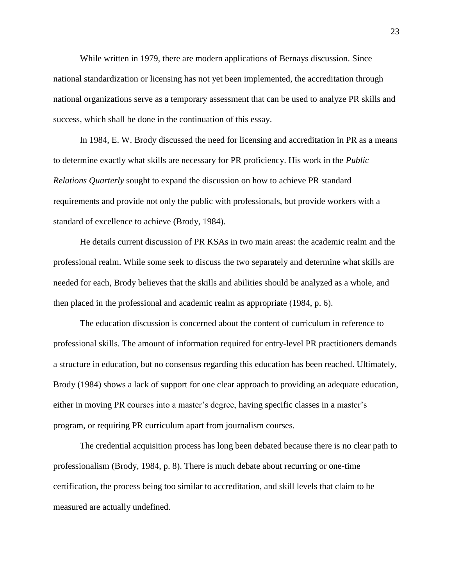While written in 1979, there are modern applications of Bernays discussion. Since national standardization or licensing has not yet been implemented, the accreditation through national organizations serve as a temporary assessment that can be used to analyze PR skills and success, which shall be done in the continuation of this essay.

In 1984, E. W. Brody discussed the need for licensing and accreditation in PR as a means to determine exactly what skills are necessary for PR proficiency. His work in the *Public Relations Quarterly* sought to expand the discussion on how to achieve PR standard requirements and provide not only the public with professionals, but provide workers with a standard of excellence to achieve (Brody, 1984).

He details current discussion of PR KSAs in two main areas: the academic realm and the professional realm. While some seek to discuss the two separately and determine what skills are needed for each, Brody believes that the skills and abilities should be analyzed as a whole, and then placed in the professional and academic realm as appropriate (1984, p. 6).

The education discussion is concerned about the content of curriculum in reference to professional skills. The amount of information required for entry-level PR practitioners demands a structure in education, but no consensus regarding this education has been reached. Ultimately, Brody (1984) shows a lack of support for one clear approach to providing an adequate education, either in moving PR courses into a master's degree, having specific classes in a master's program, or requiring PR curriculum apart from journalism courses.

The credential acquisition process has long been debated because there is no clear path to professionalism (Brody, 1984, p. 8). There is much debate about recurring or one-time certification, the process being too similar to accreditation, and skill levels that claim to be measured are actually undefined.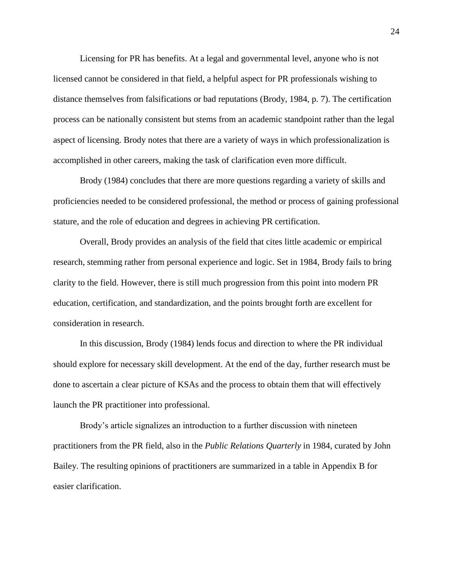Licensing for PR has benefits. At a legal and governmental level, anyone who is not licensed cannot be considered in that field, a helpful aspect for PR professionals wishing to distance themselves from falsifications or bad reputations (Brody, 1984, p. 7). The certification process can be nationally consistent but stems from an academic standpoint rather than the legal aspect of licensing. Brody notes that there are a variety of ways in which professionalization is accomplished in other careers, making the task of clarification even more difficult.

Brody (1984) concludes that there are more questions regarding a variety of skills and proficiencies needed to be considered professional, the method or process of gaining professional stature, and the role of education and degrees in achieving PR certification.

Overall, Brody provides an analysis of the field that cites little academic or empirical research, stemming rather from personal experience and logic. Set in 1984, Brody fails to bring clarity to the field. However, there is still much progression from this point into modern PR education, certification, and standardization, and the points brought forth are excellent for consideration in research.

In this discussion, Brody (1984) lends focus and direction to where the PR individual should explore for necessary skill development. At the end of the day, further research must be done to ascertain a clear picture of KSAs and the process to obtain them that will effectively launch the PR practitioner into professional.

Brody's article signalizes an introduction to a further discussion with nineteen practitioners from the PR field, also in the *Public Relations Quarterly* in 1984, curated by John Bailey. The resulting opinions of practitioners are summarized in a table in Appendix B for easier clarification.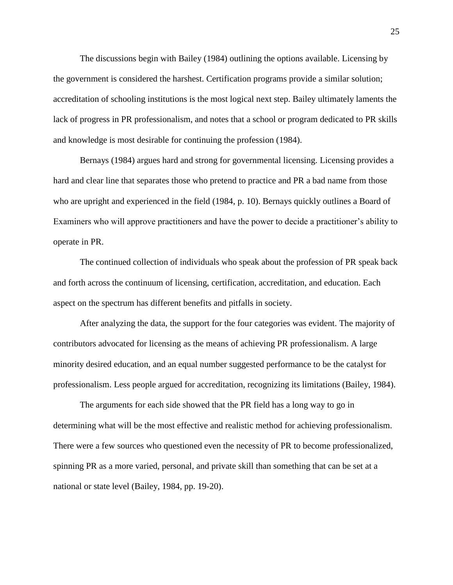The discussions begin with Bailey (1984) outlining the options available. Licensing by the government is considered the harshest. Certification programs provide a similar solution; accreditation of schooling institutions is the most logical next step. Bailey ultimately laments the lack of progress in PR professionalism, and notes that a school or program dedicated to PR skills and knowledge is most desirable for continuing the profession (1984).

Bernays (1984) argues hard and strong for governmental licensing. Licensing provides a hard and clear line that separates those who pretend to practice and PR a bad name from those who are upright and experienced in the field (1984, p. 10). Bernays quickly outlines a Board of Examiners who will approve practitioners and have the power to decide a practitioner's ability to operate in PR.

The continued collection of individuals who speak about the profession of PR speak back and forth across the continuum of licensing, certification, accreditation, and education. Each aspect on the spectrum has different benefits and pitfalls in society.

After analyzing the data, the support for the four categories was evident. The majority of contributors advocated for licensing as the means of achieving PR professionalism. A large minority desired education, and an equal number suggested performance to be the catalyst for professionalism. Less people argued for accreditation, recognizing its limitations (Bailey, 1984).

The arguments for each side showed that the PR field has a long way to go in determining what will be the most effective and realistic method for achieving professionalism. There were a few sources who questioned even the necessity of PR to become professionalized, spinning PR as a more varied, personal, and private skill than something that can be set at a national or state level (Bailey, 1984, pp. 19-20).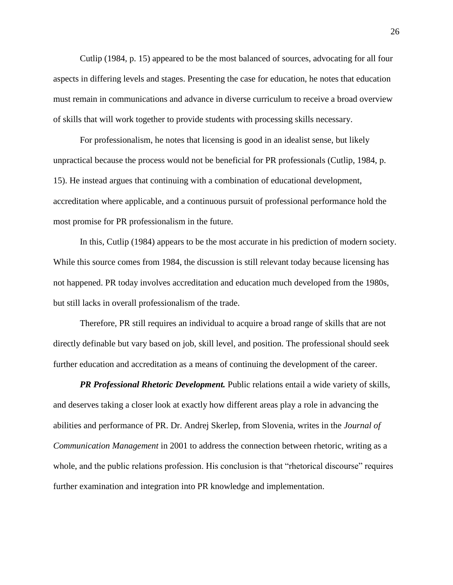Cutlip (1984, p. 15) appeared to be the most balanced of sources, advocating for all four aspects in differing levels and stages. Presenting the case for education, he notes that education must remain in communications and advance in diverse curriculum to receive a broad overview of skills that will work together to provide students with processing skills necessary.

For professionalism, he notes that licensing is good in an idealist sense, but likely unpractical because the process would not be beneficial for PR professionals (Cutlip, 1984, p. 15). He instead argues that continuing with a combination of educational development, accreditation where applicable, and a continuous pursuit of professional performance hold the most promise for PR professionalism in the future.

In this, Cutlip (1984) appears to be the most accurate in his prediction of modern society. While this source comes from 1984, the discussion is still relevant today because licensing has not happened. PR today involves accreditation and education much developed from the 1980s, but still lacks in overall professionalism of the trade.

Therefore, PR still requires an individual to acquire a broad range of skills that are not directly definable but vary based on job, skill level, and position. The professional should seek further education and accreditation as a means of continuing the development of the career.

*PR Professional Rhetoric Development.* Public relations entail a wide variety of skills, and deserves taking a closer look at exactly how different areas play a role in advancing the abilities and performance of PR. Dr. Andrej Skerlep, from Slovenia, writes in the *Journal of Communication Management* in 2001 to address the connection between rhetoric, writing as a whole, and the public relations profession. His conclusion is that "rhetorical discourse" requires further examination and integration into PR knowledge and implementation.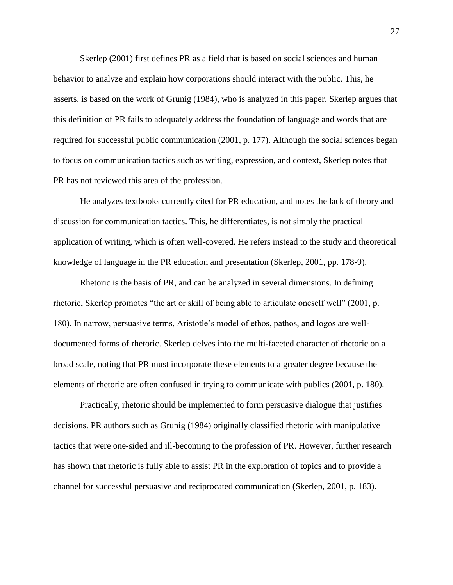Skerlep (2001) first defines PR as a field that is based on social sciences and human behavior to analyze and explain how corporations should interact with the public. This, he asserts, is based on the work of Grunig (1984), who is analyzed in this paper. Skerlep argues that this definition of PR fails to adequately address the foundation of language and words that are required for successful public communication (2001, p. 177). Although the social sciences began to focus on communication tactics such as writing, expression, and context, Skerlep notes that PR has not reviewed this area of the profession.

He analyzes textbooks currently cited for PR education, and notes the lack of theory and discussion for communication tactics. This, he differentiates, is not simply the practical application of writing, which is often well-covered. He refers instead to the study and theoretical knowledge of language in the PR education and presentation (Skerlep, 2001, pp. 178-9).

Rhetoric is the basis of PR, and can be analyzed in several dimensions. In defining rhetoric, Skerlep promotes "the art or skill of being able to articulate oneself well" (2001, p. 180). In narrow, persuasive terms, Aristotle's model of ethos, pathos, and logos are welldocumented forms of rhetoric. Skerlep delves into the multi-faceted character of rhetoric on a broad scale, noting that PR must incorporate these elements to a greater degree because the elements of rhetoric are often confused in trying to communicate with publics (2001, p. 180).

Practically, rhetoric should be implemented to form persuasive dialogue that justifies decisions. PR authors such as Grunig (1984) originally classified rhetoric with manipulative tactics that were one-sided and ill-becoming to the profession of PR. However, further research has shown that rhetoric is fully able to assist PR in the exploration of topics and to provide a channel for successful persuasive and reciprocated communication (Skerlep, 2001, p. 183).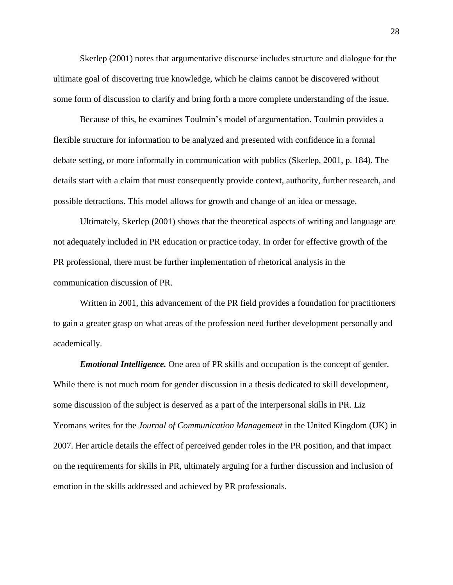Skerlep (2001) notes that argumentative discourse includes structure and dialogue for the ultimate goal of discovering true knowledge, which he claims cannot be discovered without some form of discussion to clarify and bring forth a more complete understanding of the issue.

Because of this, he examines Toulmin's model of argumentation. Toulmin provides a flexible structure for information to be analyzed and presented with confidence in a formal debate setting, or more informally in communication with publics (Skerlep, 2001, p. 184). The details start with a claim that must consequently provide context, authority, further research, and possible detractions. This model allows for growth and change of an idea or message.

Ultimately, Skerlep (2001) shows that the theoretical aspects of writing and language are not adequately included in PR education or practice today. In order for effective growth of the PR professional, there must be further implementation of rhetorical analysis in the communication discussion of PR.

Written in 2001, this advancement of the PR field provides a foundation for practitioners to gain a greater grasp on what areas of the profession need further development personally and academically.

*Emotional Intelligence.* One area of PR skills and occupation is the concept of gender. While there is not much room for gender discussion in a thesis dedicated to skill development, some discussion of the subject is deserved as a part of the interpersonal skills in PR. Liz Yeomans writes for the *Journal of Communication Management* in the United Kingdom (UK) in 2007. Her article details the effect of perceived gender roles in the PR position, and that impact on the requirements for skills in PR, ultimately arguing for a further discussion and inclusion of emotion in the skills addressed and achieved by PR professionals.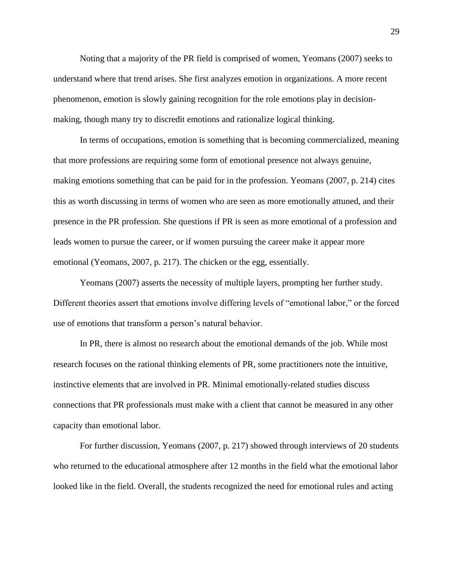Noting that a majority of the PR field is comprised of women, Yeomans (2007) seeks to understand where that trend arises. She first analyzes emotion in organizations. A more recent phenomenon, emotion is slowly gaining recognition for the role emotions play in decisionmaking, though many try to discredit emotions and rationalize logical thinking.

In terms of occupations, emotion is something that is becoming commercialized, meaning that more professions are requiring some form of emotional presence not always genuine, making emotions something that can be paid for in the profession. Yeomans (2007, p. 214) cites this as worth discussing in terms of women who are seen as more emotionally attuned, and their presence in the PR profession. She questions if PR is seen as more emotional of a profession and leads women to pursue the career, or if women pursuing the career make it appear more emotional (Yeomans, 2007, p. 217). The chicken or the egg, essentially.

Yeomans (2007) asserts the necessity of multiple layers, prompting her further study. Different theories assert that emotions involve differing levels of "emotional labor," or the forced use of emotions that transform a person's natural behavior.

In PR, there is almost no research about the emotional demands of the job. While most research focuses on the rational thinking elements of PR, some practitioners note the intuitive, instinctive elements that are involved in PR. Minimal emotionally-related studies discuss connections that PR professionals must make with a client that cannot be measured in any other capacity than emotional labor.

For further discussion, Yeomans (2007, p. 217) showed through interviews of 20 students who returned to the educational atmosphere after 12 months in the field what the emotional labor looked like in the field. Overall, the students recognized the need for emotional rules and acting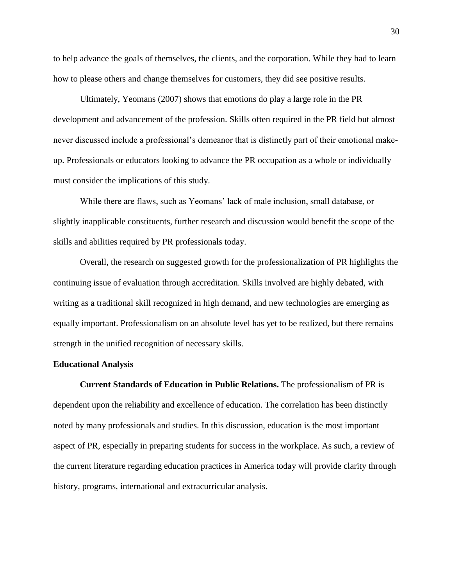to help advance the goals of themselves, the clients, and the corporation. While they had to learn how to please others and change themselves for customers, they did see positive results.

Ultimately, Yeomans (2007) shows that emotions do play a large role in the PR development and advancement of the profession. Skills often required in the PR field but almost never discussed include a professional's demeanor that is distinctly part of their emotional makeup. Professionals or educators looking to advance the PR occupation as a whole or individually must consider the implications of this study.

While there are flaws, such as Yeomans' lack of male inclusion, small database, or slightly inapplicable constituents, further research and discussion would benefit the scope of the skills and abilities required by PR professionals today.

Overall, the research on suggested growth for the professionalization of PR highlights the continuing issue of evaluation through accreditation. Skills involved are highly debated, with writing as a traditional skill recognized in high demand, and new technologies are emerging as equally important. Professionalism on an absolute level has yet to be realized, but there remains strength in the unified recognition of necessary skills.

#### **Educational Analysis**

**Current Standards of Education in Public Relations.** The professionalism of PR is dependent upon the reliability and excellence of education. The correlation has been distinctly noted by many professionals and studies. In this discussion, education is the most important aspect of PR, especially in preparing students for success in the workplace. As such, a review of the current literature regarding education practices in America today will provide clarity through history, programs, international and extracurricular analysis.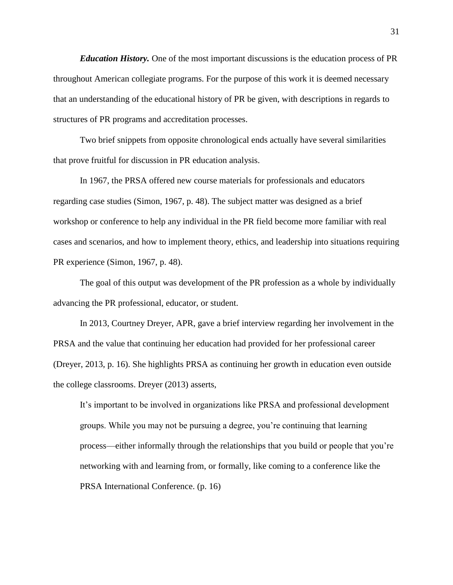*Education History.* One of the most important discussions is the education process of PR throughout American collegiate programs. For the purpose of this work it is deemed necessary that an understanding of the educational history of PR be given, with descriptions in regards to structures of PR programs and accreditation processes.

Two brief snippets from opposite chronological ends actually have several similarities that prove fruitful for discussion in PR education analysis.

In 1967, the PRSA offered new course materials for professionals and educators regarding case studies (Simon, 1967, p. 48). The subject matter was designed as a brief workshop or conference to help any individual in the PR field become more familiar with real cases and scenarios, and how to implement theory, ethics, and leadership into situations requiring PR experience (Simon, 1967, p. 48).

The goal of this output was development of the PR profession as a whole by individually advancing the PR professional, educator, or student.

In 2013, Courtney Dreyer, APR, gave a brief interview regarding her involvement in the PRSA and the value that continuing her education had provided for her professional career (Dreyer, 2013, p. 16). She highlights PRSA as continuing her growth in education even outside the college classrooms. Dreyer (2013) asserts,

It's important to be involved in organizations like PRSA and professional development groups. While you may not be pursuing a degree, you're continuing that learning process—either informally through the relationships that you build or people that you're networking with and learning from, or formally, like coming to a conference like the PRSA International Conference. (p. 16)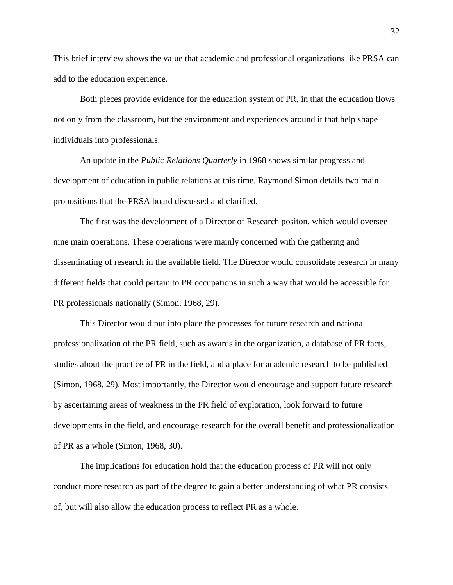This brief interview shows the value that academic and professional organizations like PRSA can add to the education experience.

Both pieces provide evidence for the education system of PR, in that the education flows not only from the classroom, but the environment and experiences around it that help shape individuals into professionals.

An update in the *Public Relations Quarterly* in 1968 shows similar progress and development of education in public relations at this time. Raymond Simon details two main propositions that the PRSA board discussed and clarified.

The first was the development of a Director of Research positon, which would oversee nine main operations. These operations were mainly concerned with the gathering and disseminating of research in the available field. The Director would consolidate research in many different fields that could pertain to PR occupations in such a way that would be accessible for PR professionals nationally (Simon, 1968, 29).

This Director would put into place the processes for future research and national professionalization of the PR field, such as awards in the organization, a database of PR facts, studies about the practice of PR in the field, and a place for academic research to be published (Simon, 1968, 29). Most importantly, the Director would encourage and support future research by ascertaining areas of weakness in the PR field of exploration, look forward to future developments in the field, and encourage research for the overall benefit and professionalization of PR as a whole (Simon, 1968, 30).

The implications for education hold that the education process of PR will not only conduct more research as part of the degree to gain a better understanding of what PR consists of, but will also allow the education process to reflect PR as a whole.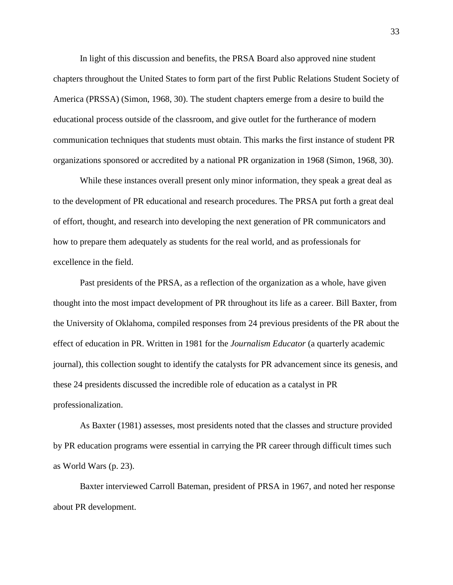In light of this discussion and benefits, the PRSA Board also approved nine student chapters throughout the United States to form part of the first Public Relations Student Society of America (PRSSA) (Simon, 1968, 30). The student chapters emerge from a desire to build the educational process outside of the classroom, and give outlet for the furtherance of modern communication techniques that students must obtain. This marks the first instance of student PR organizations sponsored or accredited by a national PR organization in 1968 (Simon, 1968, 30).

While these instances overall present only minor information, they speak a great deal as to the development of PR educational and research procedures. The PRSA put forth a great deal of effort, thought, and research into developing the next generation of PR communicators and how to prepare them adequately as students for the real world, and as professionals for excellence in the field.

Past presidents of the PRSA, as a reflection of the organization as a whole, have given thought into the most impact development of PR throughout its life as a career. Bill Baxter, from the University of Oklahoma, compiled responses from 24 previous presidents of the PR about the effect of education in PR. Written in 1981 for the *Journalism Educator* (a quarterly academic journal)*,* this collection sought to identify the catalysts for PR advancement since its genesis, and these 24 presidents discussed the incredible role of education as a catalyst in PR professionalization.

As Baxter (1981) assesses, most presidents noted that the classes and structure provided by PR education programs were essential in carrying the PR career through difficult times such as World Wars (p. 23).

Baxter interviewed Carroll Bateman, president of PRSA in 1967, and noted her response about PR development.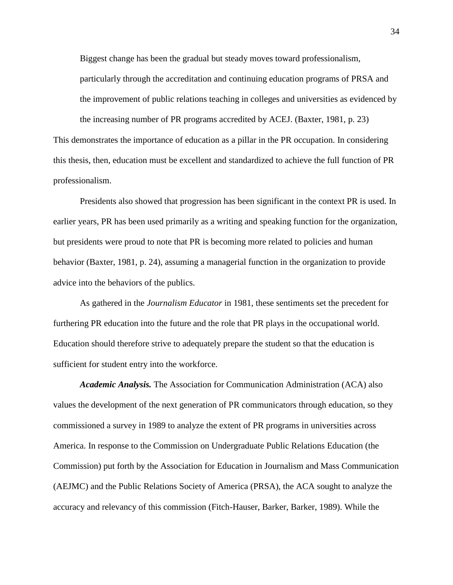Biggest change has been the gradual but steady moves toward professionalism, particularly through the accreditation and continuing education programs of PRSA and the improvement of public relations teaching in colleges and universities as evidenced by

This demonstrates the importance of education as a pillar in the PR occupation. In considering this thesis, then, education must be excellent and standardized to achieve the full function of PR professionalism.

the increasing number of PR programs accredited by ACEJ. (Baxter, 1981, p. 23)

Presidents also showed that progression has been significant in the context PR is used. In earlier years, PR has been used primarily as a writing and speaking function for the organization, but presidents were proud to note that PR is becoming more related to policies and human behavior (Baxter, 1981, p. 24), assuming a managerial function in the organization to provide advice into the behaviors of the publics.

As gathered in the *Journalism Educator* in 1981, these sentiments set the precedent for furthering PR education into the future and the role that PR plays in the occupational world. Education should therefore strive to adequately prepare the student so that the education is sufficient for student entry into the workforce.

*Academic Analysis.* The Association for Communication Administration (ACA) also values the development of the next generation of PR communicators through education, so they commissioned a survey in 1989 to analyze the extent of PR programs in universities across America. In response to the Commission on Undergraduate Public Relations Education (the Commission) put forth by the Association for Education in Journalism and Mass Communication (AEJMC) and the Public Relations Society of America (PRSA), the ACA sought to analyze the accuracy and relevancy of this commission (Fitch-Hauser, Barker, Barker, 1989). While the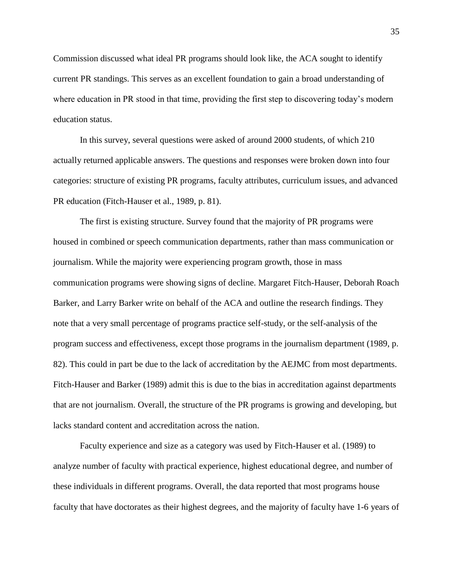Commission discussed what ideal PR programs should look like, the ACA sought to identify current PR standings. This serves as an excellent foundation to gain a broad understanding of where education in PR stood in that time, providing the first step to discovering today's modern education status.

In this survey, several questions were asked of around 2000 students, of which 210 actually returned applicable answers. The questions and responses were broken down into four categories: structure of existing PR programs, faculty attributes, curriculum issues, and advanced PR education (Fitch-Hauser et al., 1989, p. 81).

The first is existing structure. Survey found that the majority of PR programs were housed in combined or speech communication departments, rather than mass communication or journalism. While the majority were experiencing program growth, those in mass communication programs were showing signs of decline. Margaret Fitch-Hauser, Deborah Roach Barker, and Larry Barker write on behalf of the ACA and outline the research findings. They note that a very small percentage of programs practice self-study, or the self-analysis of the program success and effectiveness, except those programs in the journalism department (1989, p. 82). This could in part be due to the lack of accreditation by the AEJMC from most departments. Fitch-Hauser and Barker (1989) admit this is due to the bias in accreditation against departments that are not journalism. Overall, the structure of the PR programs is growing and developing, but lacks standard content and accreditation across the nation.

Faculty experience and size as a category was used by Fitch-Hauser et al. (1989) to analyze number of faculty with practical experience, highest educational degree, and number of these individuals in different programs. Overall, the data reported that most programs house faculty that have doctorates as their highest degrees, and the majority of faculty have 1-6 years of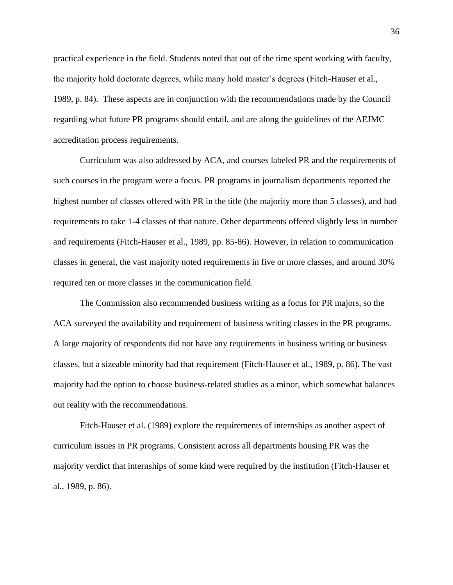practical experience in the field. Students noted that out of the time spent working with faculty, the majority hold doctorate degrees, while many hold master's degrees (Fitch-Hauser et al., 1989, p. 84). These aspects are in conjunction with the recommendations made by the Council regarding what future PR programs should entail, and are along the guidelines of the AEJMC accreditation process requirements.

Curriculum was also addressed by ACA, and courses labeled PR and the requirements of such courses in the program were a focus. PR programs in journalism departments reported the highest number of classes offered with PR in the title (the majority more than 5 classes), and had requirements to take 1-4 classes of that nature. Other departments offered slightly less in number and requirements (Fitch-Hauser et al., 1989, pp. 85-86). However, in relation to communication classes in general, the vast majority noted requirements in five or more classes, and around 30% required ten or more classes in the communication field.

The Commission also recommended business writing as a focus for PR majors, so the ACA surveyed the availability and requirement of business writing classes in the PR programs. A large majority of respondents did not have any requirements in business writing or business classes, but a sizeable minority had that requirement (Fitch-Hauser et al., 1989, p. 86). The vast majority had the option to choose business-related studies as a minor, which somewhat balances out reality with the recommendations.

Fitch-Hauser et al. (1989) explore the requirements of internships as another aspect of curriculum issues in PR programs. Consistent across all departments housing PR was the majority verdict that internships of some kind were required by the institution (Fitch-Hauser et al., 1989, p. 86).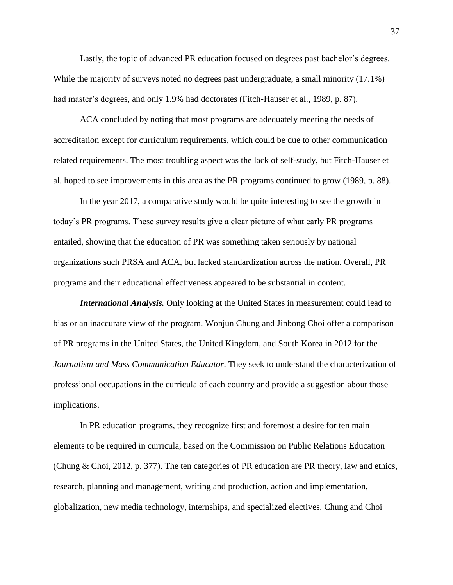Lastly, the topic of advanced PR education focused on degrees past bachelor's degrees. While the majority of surveys noted no degrees past undergraduate, a small minority (17.1%) had master's degrees, and only 1.9% had doctorates (Fitch-Hauser et al., 1989, p. 87).

ACA concluded by noting that most programs are adequately meeting the needs of accreditation except for curriculum requirements, which could be due to other communication related requirements. The most troubling aspect was the lack of self-study, but Fitch-Hauser et al. hoped to see improvements in this area as the PR programs continued to grow (1989, p. 88).

In the year 2017, a comparative study would be quite interesting to see the growth in today's PR programs. These survey results give a clear picture of what early PR programs entailed, showing that the education of PR was something taken seriously by national organizations such PRSA and ACA, but lacked standardization across the nation. Overall, PR programs and their educational effectiveness appeared to be substantial in content.

*International Analysis.* Only looking at the United States in measurement could lead to bias or an inaccurate view of the program. Wonjun Chung and Jinbong Choi offer a comparison of PR programs in the United States, the United Kingdom, and South Korea in 2012 for the *Journalism and Mass Communication Educator*. They seek to understand the characterization of professional occupations in the curricula of each country and provide a suggestion about those implications.

In PR education programs, they recognize first and foremost a desire for ten main elements to be required in curricula, based on the Commission on Public Relations Education (Chung & Choi, 2012, p. 377). The ten categories of PR education are PR theory, law and ethics, research, planning and management, writing and production, action and implementation, globalization, new media technology, internships, and specialized electives. Chung and Choi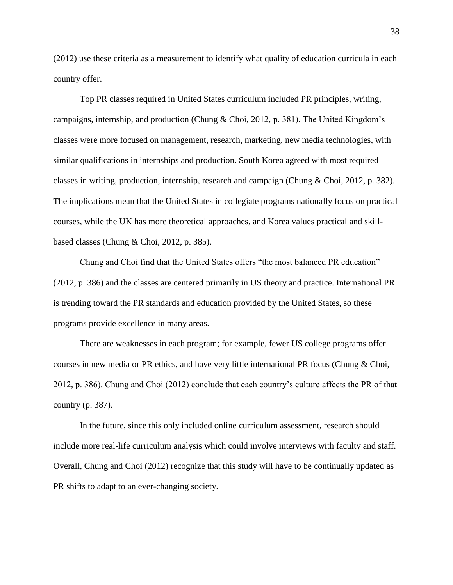(2012) use these criteria as a measurement to identify what quality of education curricula in each country offer.

Top PR classes required in United States curriculum included PR principles, writing, campaigns, internship, and production (Chung & Choi, 2012, p. 381). The United Kingdom's classes were more focused on management, research, marketing, new media technologies, with similar qualifications in internships and production. South Korea agreed with most required classes in writing, production, internship, research and campaign (Chung & Choi, 2012, p. 382). The implications mean that the United States in collegiate programs nationally focus on practical courses, while the UK has more theoretical approaches, and Korea values practical and skillbased classes (Chung & Choi, 2012, p. 385).

Chung and Choi find that the United States offers "the most balanced PR education" (2012, p. 386) and the classes are centered primarily in US theory and practice. International PR is trending toward the PR standards and education provided by the United States, so these programs provide excellence in many areas.

There are weaknesses in each program; for example, fewer US college programs offer courses in new media or PR ethics, and have very little international PR focus (Chung & Choi, 2012, p. 386). Chung and Choi (2012) conclude that each country's culture affects the PR of that country (p. 387).

In the future, since this only included online curriculum assessment, research should include more real-life curriculum analysis which could involve interviews with faculty and staff. Overall, Chung and Choi (2012) recognize that this study will have to be continually updated as PR shifts to adapt to an ever-changing society.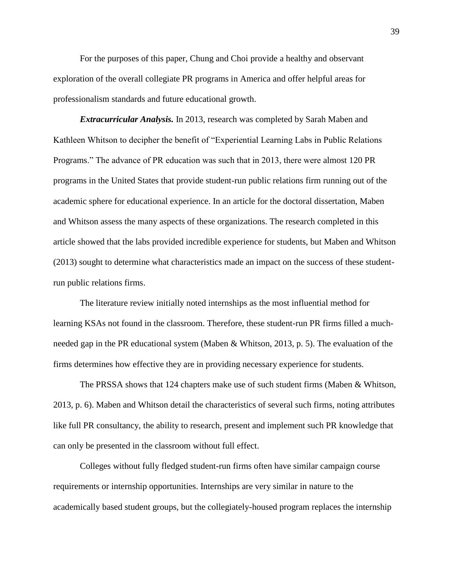For the purposes of this paper, Chung and Choi provide a healthy and observant exploration of the overall collegiate PR programs in America and offer helpful areas for professionalism standards and future educational growth.

*Extracurricular Analysis.* In 2013, research was completed by Sarah Maben and Kathleen Whitson to decipher the benefit of "Experiential Learning Labs in Public Relations Programs." The advance of PR education was such that in 2013, there were almost 120 PR programs in the United States that provide student-run public relations firm running out of the academic sphere for educational experience. In an article for the doctoral dissertation, Maben and Whitson assess the many aspects of these organizations. The research completed in this article showed that the labs provided incredible experience for students, but Maben and Whitson (2013) sought to determine what characteristics made an impact on the success of these studentrun public relations firms.

The literature review initially noted internships as the most influential method for learning KSAs not found in the classroom. Therefore, these student-run PR firms filled a muchneeded gap in the PR educational system (Maben & Whitson, 2013, p. 5). The evaluation of the firms determines how effective they are in providing necessary experience for students.

The PRSSA shows that 124 chapters make use of such student firms (Maben & Whitson, 2013, p. 6). Maben and Whitson detail the characteristics of several such firms, noting attributes like full PR consultancy, the ability to research, present and implement such PR knowledge that can only be presented in the classroom without full effect.

Colleges without fully fledged student-run firms often have similar campaign course requirements or internship opportunities. Internships are very similar in nature to the academically based student groups, but the collegiately-housed program replaces the internship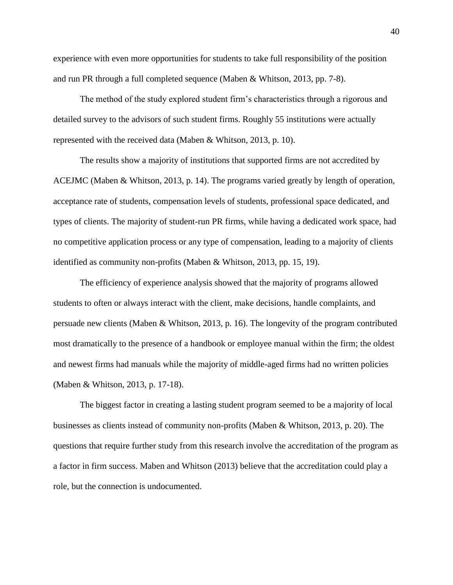experience with even more opportunities for students to take full responsibility of the position and run PR through a full completed sequence (Maben & Whitson, 2013, pp. 7-8).

The method of the study explored student firm's characteristics through a rigorous and detailed survey to the advisors of such student firms. Roughly 55 institutions were actually represented with the received data (Maben & Whitson, 2013, p. 10).

The results show a majority of institutions that supported firms are not accredited by ACEJMC (Maben & Whitson, 2013, p. 14). The programs varied greatly by length of operation, acceptance rate of students, compensation levels of students, professional space dedicated, and types of clients. The majority of student-run PR firms, while having a dedicated work space, had no competitive application process or any type of compensation, leading to a majority of clients identified as community non-profits (Maben & Whitson, 2013, pp. 15, 19).

The efficiency of experience analysis showed that the majority of programs allowed students to often or always interact with the client, make decisions, handle complaints, and persuade new clients (Maben & Whitson, 2013, p. 16). The longevity of the program contributed most dramatically to the presence of a handbook or employee manual within the firm; the oldest and newest firms had manuals while the majority of middle-aged firms had no written policies (Maben & Whitson, 2013, p. 17-18).

The biggest factor in creating a lasting student program seemed to be a majority of local businesses as clients instead of community non-profits (Maben & Whitson, 2013, p. 20). The questions that require further study from this research involve the accreditation of the program as a factor in firm success. Maben and Whitson (2013) believe that the accreditation could play a role, but the connection is undocumented.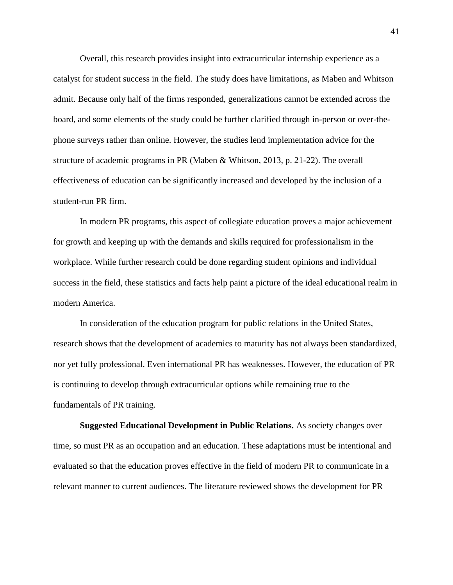Overall, this research provides insight into extracurricular internship experience as a catalyst for student success in the field. The study does have limitations, as Maben and Whitson admit. Because only half of the firms responded, generalizations cannot be extended across the board, and some elements of the study could be further clarified through in-person or over-thephone surveys rather than online. However, the studies lend implementation advice for the structure of academic programs in PR (Maben & Whitson, 2013, p. 21-22). The overall effectiveness of education can be significantly increased and developed by the inclusion of a student-run PR firm.

In modern PR programs, this aspect of collegiate education proves a major achievement for growth and keeping up with the demands and skills required for professionalism in the workplace. While further research could be done regarding student opinions and individual success in the field, these statistics and facts help paint a picture of the ideal educational realm in modern America.

In consideration of the education program for public relations in the United States, research shows that the development of academics to maturity has not always been standardized, nor yet fully professional. Even international PR has weaknesses. However, the education of PR is continuing to develop through extracurricular options while remaining true to the fundamentals of PR training.

**Suggested Educational Development in Public Relations.** As society changes over time, so must PR as an occupation and an education. These adaptations must be intentional and evaluated so that the education proves effective in the field of modern PR to communicate in a relevant manner to current audiences. The literature reviewed shows the development for PR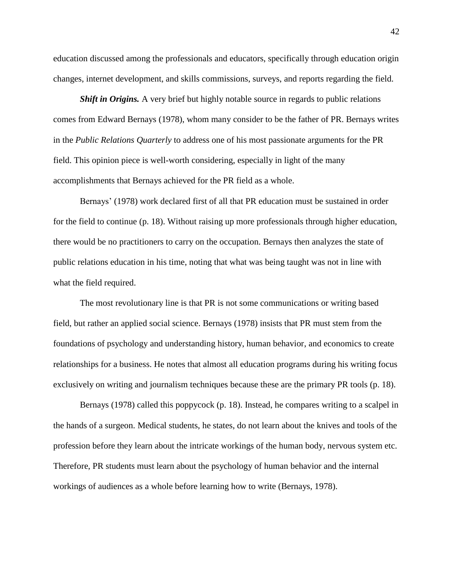education discussed among the professionals and educators, specifically through education origin changes, internet development, and skills commissions, surveys, and reports regarding the field.

*Shift in Origins.* A very brief but highly notable source in regards to public relations comes from Edward Bernays (1978), whom many consider to be the father of PR. Bernays writes in the *Public Relations Quarterly* to address one of his most passionate arguments for the PR field. This opinion piece is well-worth considering, especially in light of the many accomplishments that Bernays achieved for the PR field as a whole.

Bernays' (1978) work declared first of all that PR education must be sustained in order for the field to continue (p. 18). Without raising up more professionals through higher education, there would be no practitioners to carry on the occupation. Bernays then analyzes the state of public relations education in his time, noting that what was being taught was not in line with what the field required.

The most revolutionary line is that PR is not some communications or writing based field, but rather an applied social science. Bernays (1978) insists that PR must stem from the foundations of psychology and understanding history, human behavior, and economics to create relationships for a business. He notes that almost all education programs during his writing focus exclusively on writing and journalism techniques because these are the primary PR tools (p. 18).

Bernays (1978) called this poppycock (p. 18). Instead, he compares writing to a scalpel in the hands of a surgeon. Medical students, he states, do not learn about the knives and tools of the profession before they learn about the intricate workings of the human body, nervous system etc. Therefore, PR students must learn about the psychology of human behavior and the internal workings of audiences as a whole before learning how to write (Bernays, 1978).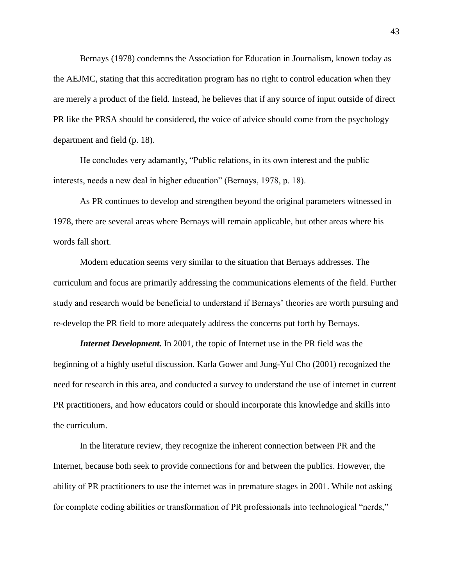Bernays (1978) condemns the Association for Education in Journalism, known today as the AEJMC, stating that this accreditation program has no right to control education when they are merely a product of the field. Instead, he believes that if any source of input outside of direct PR like the PRSA should be considered, the voice of advice should come from the psychology department and field (p. 18).

He concludes very adamantly, "Public relations, in its own interest and the public interests, needs a new deal in higher education" (Bernays, 1978, p. 18).

As PR continues to develop and strengthen beyond the original parameters witnessed in 1978, there are several areas where Bernays will remain applicable, but other areas where his words fall short.

Modern education seems very similar to the situation that Bernays addresses. The curriculum and focus are primarily addressing the communications elements of the field. Further study and research would be beneficial to understand if Bernays' theories are worth pursuing and re-develop the PR field to more adequately address the concerns put forth by Bernays.

*Internet Development.* In 2001, the topic of Internet use in the PR field was the beginning of a highly useful discussion. Karla Gower and Jung-Yul Cho (2001) recognized the need for research in this area, and conducted a survey to understand the use of internet in current PR practitioners, and how educators could or should incorporate this knowledge and skills into the curriculum.

In the literature review, they recognize the inherent connection between PR and the Internet, because both seek to provide connections for and between the publics. However, the ability of PR practitioners to use the internet was in premature stages in 2001. While not asking for complete coding abilities or transformation of PR professionals into technological "nerds,"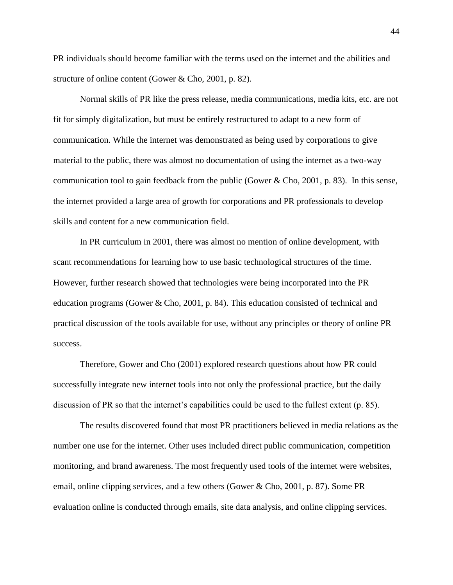PR individuals should become familiar with the terms used on the internet and the abilities and structure of online content (Gower & Cho, 2001, p. 82).

Normal skills of PR like the press release, media communications, media kits, etc. are not fit for simply digitalization, but must be entirely restructured to adapt to a new form of communication. While the internet was demonstrated as being used by corporations to give material to the public, there was almost no documentation of using the internet as a two-way communication tool to gain feedback from the public (Gower & Cho, 2001, p. 83). In this sense, the internet provided a large area of growth for corporations and PR professionals to develop skills and content for a new communication field.

In PR curriculum in 2001, there was almost no mention of online development, with scant recommendations for learning how to use basic technological structures of the time. However, further research showed that technologies were being incorporated into the PR education programs (Gower & Cho, 2001, p. 84). This education consisted of technical and practical discussion of the tools available for use, without any principles or theory of online PR success.

Therefore, Gower and Cho (2001) explored research questions about how PR could successfully integrate new internet tools into not only the professional practice, but the daily discussion of PR so that the internet's capabilities could be used to the fullest extent (p. 85).

The results discovered found that most PR practitioners believed in media relations as the number one use for the internet. Other uses included direct public communication, competition monitoring, and brand awareness. The most frequently used tools of the internet were websites, email, online clipping services, and a few others (Gower & Cho, 2001, p. 87). Some PR evaluation online is conducted through emails, site data analysis, and online clipping services.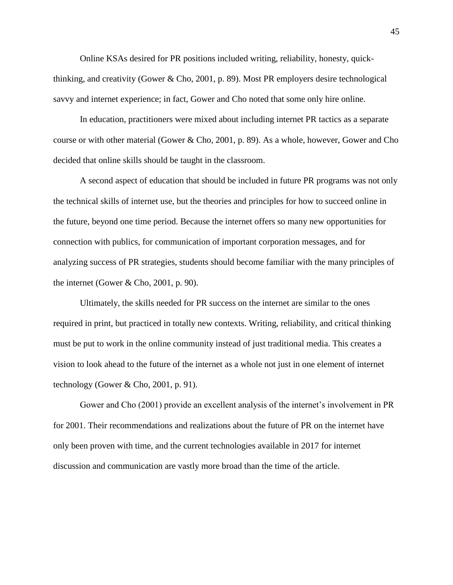Online KSAs desired for PR positions included writing, reliability, honesty, quickthinking, and creativity (Gower & Cho, 2001, p. 89). Most PR employers desire technological savvy and internet experience; in fact, Gower and Cho noted that some only hire online.

In education, practitioners were mixed about including internet PR tactics as a separate course or with other material (Gower & Cho, 2001, p. 89). As a whole, however, Gower and Cho decided that online skills should be taught in the classroom.

A second aspect of education that should be included in future PR programs was not only the technical skills of internet use, but the theories and principles for how to succeed online in the future, beyond one time period. Because the internet offers so many new opportunities for connection with publics, for communication of important corporation messages, and for analyzing success of PR strategies, students should become familiar with the many principles of the internet (Gower & Cho, 2001, p. 90).

Ultimately, the skills needed for PR success on the internet are similar to the ones required in print, but practiced in totally new contexts. Writing, reliability, and critical thinking must be put to work in the online community instead of just traditional media. This creates a vision to look ahead to the future of the internet as a whole not just in one element of internet technology (Gower & Cho, 2001, p. 91).

Gower and Cho (2001) provide an excellent analysis of the internet's involvement in PR for 2001. Their recommendations and realizations about the future of PR on the internet have only been proven with time, and the current technologies available in 2017 for internet discussion and communication are vastly more broad than the time of the article.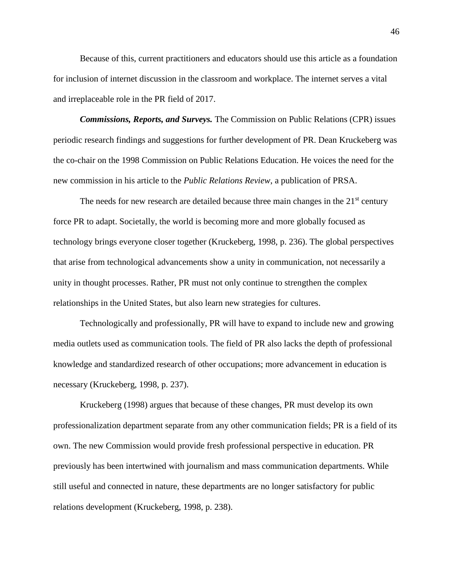Because of this, current practitioners and educators should use this article as a foundation for inclusion of internet discussion in the classroom and workplace. The internet serves a vital and irreplaceable role in the PR field of 2017.

*Commissions, Reports, and Surveys.* The Commission on Public Relations (CPR) issues periodic research findings and suggestions for further development of PR. Dean Kruckeberg was the co-chair on the 1998 Commission on Public Relations Education. He voices the need for the new commission in his article to the *Public Relations Review*, a publication of PRSA.

The needs for new research are detailed because three main changes in the  $21<sup>st</sup>$  century force PR to adapt. Societally, the world is becoming more and more globally focused as technology brings everyone closer together (Kruckeberg, 1998, p. 236). The global perspectives that arise from technological advancements show a unity in communication, not necessarily a unity in thought processes. Rather, PR must not only continue to strengthen the complex relationships in the United States, but also learn new strategies for cultures.

Technologically and professionally, PR will have to expand to include new and growing media outlets used as communication tools. The field of PR also lacks the depth of professional knowledge and standardized research of other occupations; more advancement in education is necessary (Kruckeberg, 1998, p. 237).

Kruckeberg (1998) argues that because of these changes, PR must develop its own professionalization department separate from any other communication fields; PR is a field of its own. The new Commission would provide fresh professional perspective in education. PR previously has been intertwined with journalism and mass communication departments. While still useful and connected in nature, these departments are no longer satisfactory for public relations development (Kruckeberg, 1998, p. 238).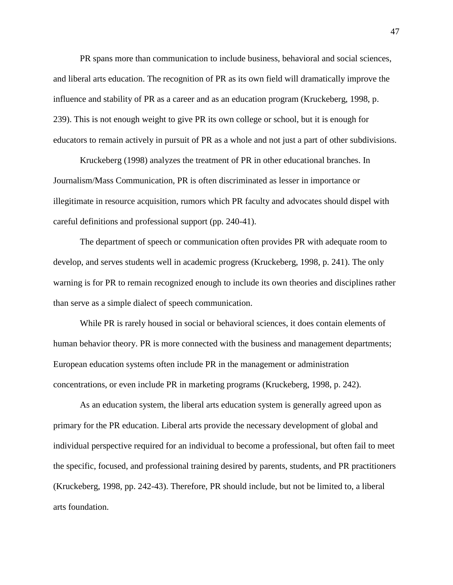PR spans more than communication to include business, behavioral and social sciences, and liberal arts education. The recognition of PR as its own field will dramatically improve the influence and stability of PR as a career and as an education program (Kruckeberg, 1998, p. 239). This is not enough weight to give PR its own college or school, but it is enough for educators to remain actively in pursuit of PR as a whole and not just a part of other subdivisions.

Kruckeberg (1998) analyzes the treatment of PR in other educational branches. In Journalism/Mass Communication, PR is often discriminated as lesser in importance or illegitimate in resource acquisition, rumors which PR faculty and advocates should dispel with careful definitions and professional support (pp. 240-41).

The department of speech or communication often provides PR with adequate room to develop, and serves students well in academic progress (Kruckeberg, 1998, p. 241). The only warning is for PR to remain recognized enough to include its own theories and disciplines rather than serve as a simple dialect of speech communication.

While PR is rarely housed in social or behavioral sciences, it does contain elements of human behavior theory. PR is more connected with the business and management departments; European education systems often include PR in the management or administration concentrations, or even include PR in marketing programs (Kruckeberg, 1998, p. 242).

As an education system, the liberal arts education system is generally agreed upon as primary for the PR education. Liberal arts provide the necessary development of global and individual perspective required for an individual to become a professional, but often fail to meet the specific, focused, and professional training desired by parents, students, and PR practitioners (Kruckeberg, 1998, pp. 242-43). Therefore, PR should include, but not be limited to, a liberal arts foundation.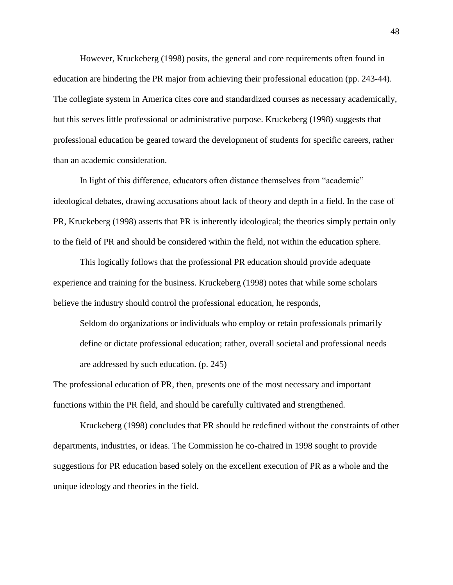However, Kruckeberg (1998) posits, the general and core requirements often found in education are hindering the PR major from achieving their professional education (pp. 243-44). The collegiate system in America cites core and standardized courses as necessary academically, but this serves little professional or administrative purpose. Kruckeberg (1998) suggests that professional education be geared toward the development of students for specific careers, rather than an academic consideration.

In light of this difference, educators often distance themselves from "academic" ideological debates, drawing accusations about lack of theory and depth in a field. In the case of PR, Kruckeberg (1998) asserts that PR is inherently ideological; the theories simply pertain only to the field of PR and should be considered within the field, not within the education sphere.

This logically follows that the professional PR education should provide adequate experience and training for the business. Kruckeberg (1998) notes that while some scholars believe the industry should control the professional education, he responds,

Seldom do organizations or individuals who employ or retain professionals primarily define or dictate professional education; rather, overall societal and professional needs are addressed by such education. (p. 245)

The professional education of PR, then, presents one of the most necessary and important functions within the PR field, and should be carefully cultivated and strengthened.

Kruckeberg (1998) concludes that PR should be redefined without the constraints of other departments, industries, or ideas. The Commission he co-chaired in 1998 sought to provide suggestions for PR education based solely on the excellent execution of PR as a whole and the unique ideology and theories in the field.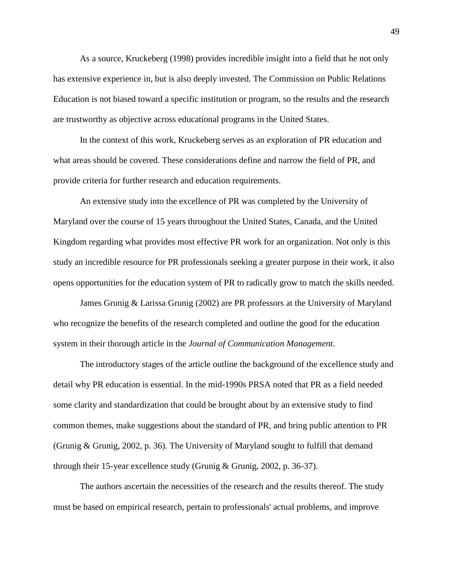As a source, Kruckeberg (1998) provides incredible insight into a field that he not only has extensive experience in, but is also deeply invested. The Commission on Public Relations Education is not biased toward a specific institution or program, so the results and the research are trustworthy as objective across educational programs in the United States.

In the context of this work, Kruckeberg serves as an exploration of PR education and what areas should be covered. These considerations define and narrow the field of PR, and provide criteria for further research and education requirements.

An extensive study into the excellence of PR was completed by the University of Maryland over the course of 15 years throughout the United States, Canada, and the United Kingdom regarding what provides most effective PR work for an organization. Not only is this study an incredible resource for PR professionals seeking a greater purpose in their work, it also opens opportunities for the education system of PR to radically grow to match the skills needed.

James Grunig & Larissa Grunig (2002) are PR professors at the University of Maryland who recognize the benefits of the research completed and outline the good for the education system in their thorough article in the *Journal of Communication Management*.

The introductory stages of the article outline the background of the excellence study and detail why PR education is essential. In the mid-1990s PRSA noted that PR as a field needed some clarity and standardization that could be brought about by an extensive study to find common themes, make suggestions about the standard of PR, and bring public attention to PR (Grunig & Grunig, 2002, p. 36). The University of Maryland sought to fulfill that demand through their 15-year excellence study (Grunig & Grunig, 2002, p. 36-37).

The authors ascertain the necessities of the research and the results thereof. The study must be based on empirical research, pertain to professionals' actual problems, and improve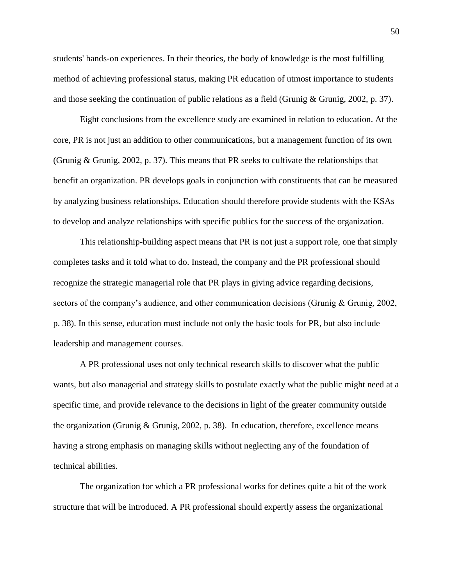students' hands-on experiences. In their theories, the body of knowledge is the most fulfilling method of achieving professional status, making PR education of utmost importance to students and those seeking the continuation of public relations as a field (Grunig & Grunig, 2002, p. 37).

Eight conclusions from the excellence study are examined in relation to education. At the core, PR is not just an addition to other communications, but a management function of its own (Grunig & Grunig, 2002, p. 37). This means that PR seeks to cultivate the relationships that benefit an organization. PR develops goals in conjunction with constituents that can be measured by analyzing business relationships. Education should therefore provide students with the KSAs to develop and analyze relationships with specific publics for the success of the organization.

This relationship-building aspect means that PR is not just a support role, one that simply completes tasks and it told what to do. Instead, the company and the PR professional should recognize the strategic managerial role that PR plays in giving advice regarding decisions, sectors of the company's audience, and other communication decisions (Grunig & Grunig, 2002, p. 38). In this sense, education must include not only the basic tools for PR, but also include leadership and management courses.

A PR professional uses not only technical research skills to discover what the public wants, but also managerial and strategy skills to postulate exactly what the public might need at a specific time, and provide relevance to the decisions in light of the greater community outside the organization (Grunig & Grunig, 2002, p. 38). In education, therefore, excellence means having a strong emphasis on managing skills without neglecting any of the foundation of technical abilities.

The organization for which a PR professional works for defines quite a bit of the work structure that will be introduced. A PR professional should expertly assess the organizational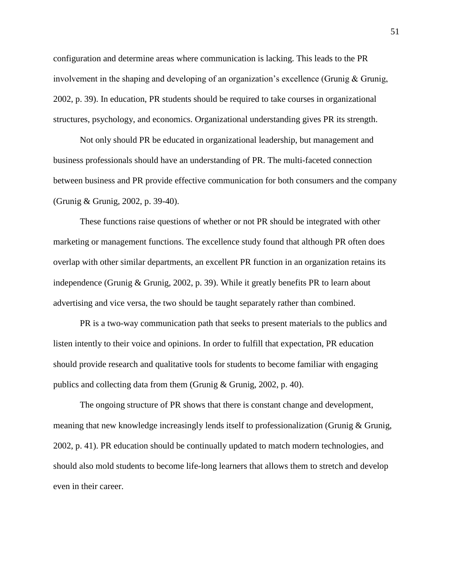configuration and determine areas where communication is lacking. This leads to the PR involvement in the shaping and developing of an organization's excellence (Grunig & Grunig, 2002, p. 39). In education, PR students should be required to take courses in organizational structures, psychology, and economics. Organizational understanding gives PR its strength.

Not only should PR be educated in organizational leadership, but management and business professionals should have an understanding of PR. The multi-faceted connection between business and PR provide effective communication for both consumers and the company (Grunig & Grunig, 2002, p. 39-40).

These functions raise questions of whether or not PR should be integrated with other marketing or management functions. The excellence study found that although PR often does overlap with other similar departments, an excellent PR function in an organization retains its independence (Grunig & Grunig, 2002, p. 39). While it greatly benefits PR to learn about advertising and vice versa, the two should be taught separately rather than combined.

PR is a two-way communication path that seeks to present materials to the publics and listen intently to their voice and opinions. In order to fulfill that expectation, PR education should provide research and qualitative tools for students to become familiar with engaging publics and collecting data from them (Grunig & Grunig, 2002, p. 40).

The ongoing structure of PR shows that there is constant change and development, meaning that new knowledge increasingly lends itself to professionalization (Grunig & Grunig, 2002, p. 41). PR education should be continually updated to match modern technologies, and should also mold students to become life-long learners that allows them to stretch and develop even in their career.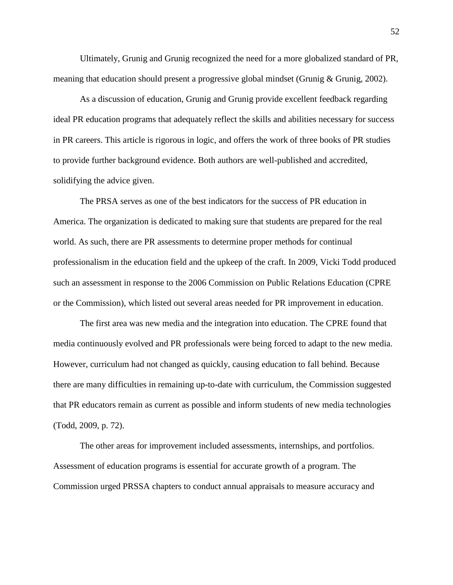Ultimately, Grunig and Grunig recognized the need for a more globalized standard of PR, meaning that education should present a progressive global mindset (Grunig & Grunig, 2002).

As a discussion of education, Grunig and Grunig provide excellent feedback regarding ideal PR education programs that adequately reflect the skills and abilities necessary for success in PR careers. This article is rigorous in logic, and offers the work of three books of PR studies to provide further background evidence. Both authors are well-published and accredited, solidifying the advice given.

The PRSA serves as one of the best indicators for the success of PR education in America. The organization is dedicated to making sure that students are prepared for the real world. As such, there are PR assessments to determine proper methods for continual professionalism in the education field and the upkeep of the craft. In 2009, Vicki Todd produced such an assessment in response to the 2006 Commission on Public Relations Education (CPRE or the Commission), which listed out several areas needed for PR improvement in education.

The first area was new media and the integration into education. The CPRE found that media continuously evolved and PR professionals were being forced to adapt to the new media. However, curriculum had not changed as quickly, causing education to fall behind. Because there are many difficulties in remaining up-to-date with curriculum, the Commission suggested that PR educators remain as current as possible and inform students of new media technologies (Todd, 2009, p. 72).

The other areas for improvement included assessments, internships, and portfolios. Assessment of education programs is essential for accurate growth of a program. The Commission urged PRSSA chapters to conduct annual appraisals to measure accuracy and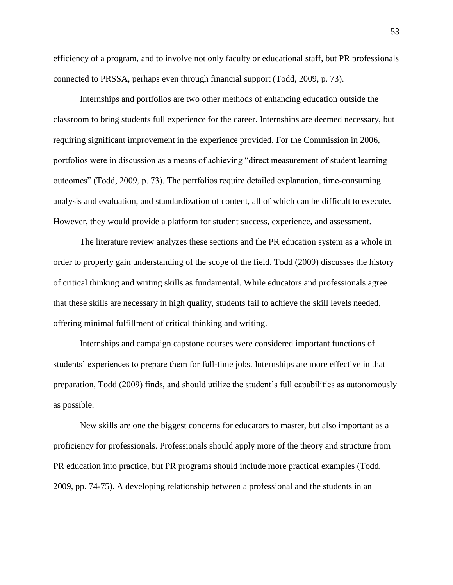efficiency of a program, and to involve not only faculty or educational staff, but PR professionals connected to PRSSA, perhaps even through financial support (Todd, 2009, p. 73).

Internships and portfolios are two other methods of enhancing education outside the classroom to bring students full experience for the career. Internships are deemed necessary, but requiring significant improvement in the experience provided. For the Commission in 2006, portfolios were in discussion as a means of achieving "direct measurement of student learning outcomes" (Todd, 2009, p. 73). The portfolios require detailed explanation, time-consuming analysis and evaluation, and standardization of content, all of which can be difficult to execute. However, they would provide a platform for student success, experience, and assessment.

The literature review analyzes these sections and the PR education system as a whole in order to properly gain understanding of the scope of the field. Todd (2009) discusses the history of critical thinking and writing skills as fundamental. While educators and professionals agree that these skills are necessary in high quality, students fail to achieve the skill levels needed, offering minimal fulfillment of critical thinking and writing.

Internships and campaign capstone courses were considered important functions of students' experiences to prepare them for full-time jobs. Internships are more effective in that preparation, Todd (2009) finds, and should utilize the student's full capabilities as autonomously as possible.

New skills are one the biggest concerns for educators to master, but also important as a proficiency for professionals. Professionals should apply more of the theory and structure from PR education into practice, but PR programs should include more practical examples (Todd, 2009, pp. 74-75). A developing relationship between a professional and the students in an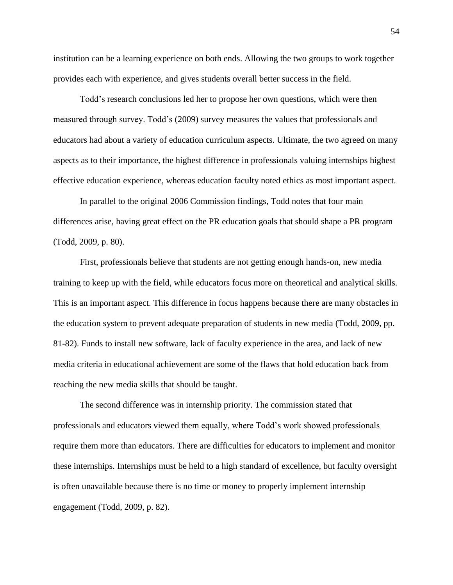institution can be a learning experience on both ends. Allowing the two groups to work together provides each with experience, and gives students overall better success in the field.

Todd's research conclusions led her to propose her own questions, which were then measured through survey. Todd's (2009) survey measures the values that professionals and educators had about a variety of education curriculum aspects. Ultimate, the two agreed on many aspects as to their importance, the highest difference in professionals valuing internships highest effective education experience, whereas education faculty noted ethics as most important aspect.

In parallel to the original 2006 Commission findings, Todd notes that four main differences arise, having great effect on the PR education goals that should shape a PR program (Todd, 2009, p. 80).

First, professionals believe that students are not getting enough hands-on, new media training to keep up with the field, while educators focus more on theoretical and analytical skills. This is an important aspect. This difference in focus happens because there are many obstacles in the education system to prevent adequate preparation of students in new media (Todd, 2009, pp. 81-82). Funds to install new software, lack of faculty experience in the area, and lack of new media criteria in educational achievement are some of the flaws that hold education back from reaching the new media skills that should be taught.

The second difference was in internship priority. The commission stated that professionals and educators viewed them equally, where Todd's work showed professionals require them more than educators. There are difficulties for educators to implement and monitor these internships. Internships must be held to a high standard of excellence, but faculty oversight is often unavailable because there is no time or money to properly implement internship engagement (Todd, 2009, p. 82).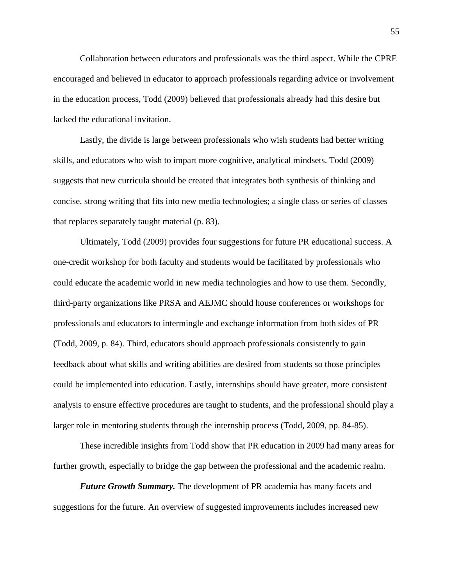Collaboration between educators and professionals was the third aspect. While the CPRE encouraged and believed in educator to approach professionals regarding advice or involvement in the education process, Todd (2009) believed that professionals already had this desire but lacked the educational invitation.

Lastly, the divide is large between professionals who wish students had better writing skills, and educators who wish to impart more cognitive, analytical mindsets. Todd (2009) suggests that new curricula should be created that integrates both synthesis of thinking and concise, strong writing that fits into new media technologies; a single class or series of classes that replaces separately taught material (p. 83).

Ultimately, Todd (2009) provides four suggestions for future PR educational success. A one-credit workshop for both faculty and students would be facilitated by professionals who could educate the academic world in new media technologies and how to use them. Secondly, third-party organizations like PRSA and AEJMC should house conferences or workshops for professionals and educators to intermingle and exchange information from both sides of PR (Todd, 2009, p. 84). Third, educators should approach professionals consistently to gain feedback about what skills and writing abilities are desired from students so those principles could be implemented into education. Lastly, internships should have greater, more consistent analysis to ensure effective procedures are taught to students, and the professional should play a larger role in mentoring students through the internship process (Todd, 2009, pp. 84-85).

These incredible insights from Todd show that PR education in 2009 had many areas for further growth, especially to bridge the gap between the professional and the academic realm.

*Future Growth Summary.* The development of PR academia has many facets and suggestions for the future. An overview of suggested improvements includes increased new 55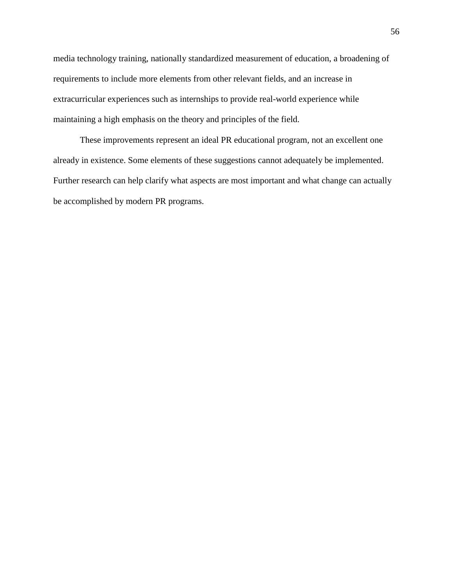media technology training, nationally standardized measurement of education, a broadening of requirements to include more elements from other relevant fields, and an increase in extracurricular experiences such as internships to provide real-world experience while maintaining a high emphasis on the theory and principles of the field.

These improvements represent an ideal PR educational program, not an excellent one already in existence. Some elements of these suggestions cannot adequately be implemented. Further research can help clarify what aspects are most important and what change can actually be accomplished by modern PR programs.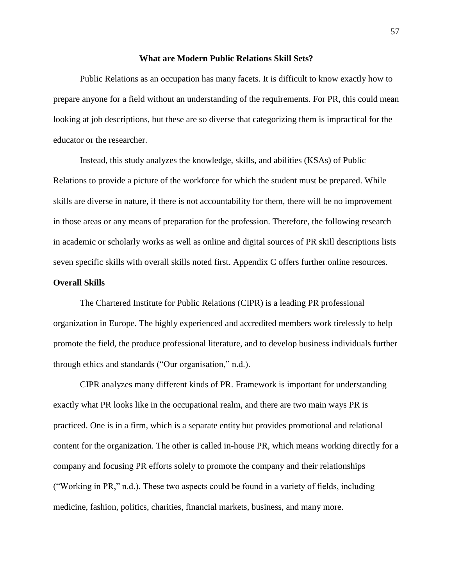### **What are Modern Public Relations Skill Sets?**

Public Relations as an occupation has many facets. It is difficult to know exactly how to prepare anyone for a field without an understanding of the requirements. For PR, this could mean looking at job descriptions, but these are so diverse that categorizing them is impractical for the educator or the researcher.

Instead, this study analyzes the knowledge, skills, and abilities (KSAs) of Public Relations to provide a picture of the workforce for which the student must be prepared. While skills are diverse in nature, if there is not accountability for them, there will be no improvement in those areas or any means of preparation for the profession. Therefore, the following research in academic or scholarly works as well as online and digital sources of PR skill descriptions lists seven specific skills with overall skills noted first. Appendix C offers further online resources.

# **Overall Skills**

The Chartered Institute for Public Relations (CIPR) is a leading PR professional organization in Europe. The highly experienced and accredited members work tirelessly to help promote the field, the produce professional literature, and to develop business individuals further through ethics and standards ("Our organisation," n.d.).

CIPR analyzes many different kinds of PR. Framework is important for understanding exactly what PR looks like in the occupational realm, and there are two main ways PR is practiced. One is in a firm, which is a separate entity but provides promotional and relational content for the organization. The other is called in-house PR, which means working directly for a company and focusing PR efforts solely to promote the company and their relationships ("Working in PR," n.d.). These two aspects could be found in a variety of fields, including medicine, fashion, politics, charities, financial markets, business, and many more.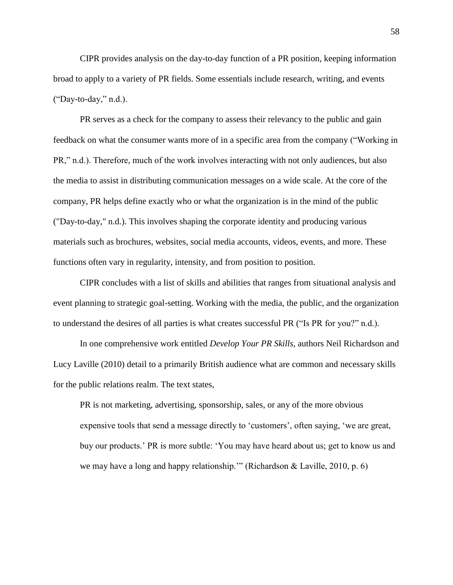CIPR provides analysis on the day-to-day function of a PR position, keeping information broad to apply to a variety of PR fields. Some essentials include research, writing, and events ("Day-to-day," n.d.).

PR serves as a check for the company to assess their relevancy to the public and gain feedback on what the consumer wants more of in a specific area from the company ("Working in PR," n.d.). Therefore, much of the work involves interacting with not only audiences, but also the media to assist in distributing communication messages on a wide scale. At the core of the company, PR helps define exactly who or what the organization is in the mind of the public ("Day-to-day," n.d.). This involves shaping the corporate identity and producing various materials such as brochures, websites, social media accounts, videos, events, and more. These functions often vary in regularity, intensity, and from position to position.

CIPR concludes with a list of skills and abilities that ranges from situational analysis and event planning to strategic goal-setting. Working with the media, the public, and the organization to understand the desires of all parties is what creates successful PR ("Is PR for you?" n.d.).

In one comprehensive work entitled *Develop Your PR Skills,* authors Neil Richardson and Lucy Laville (2010) detail to a primarily British audience what are common and necessary skills for the public relations realm. The text states,

PR is not marketing, advertising, sponsorship, sales, or any of the more obvious expensive tools that send a message directly to 'customers', often saying, 'we are great, buy our products.' PR is more subtle: 'You may have heard about us; get to know us and we may have a long and happy relationship."" (Richardson & Laville, 2010, p. 6)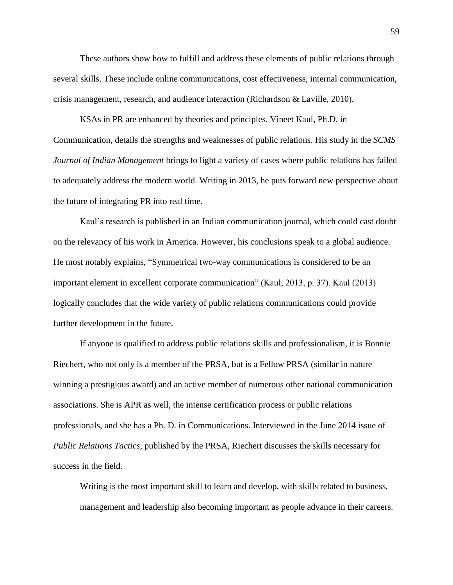These authors show how to fulfill and address these elements of public relations through several skills. These include online communications, cost effectiveness, internal communication, crisis management, research, and audience interaction (Richardson & Laville, 2010).

KSAs in PR are enhanced by theories and principles. Vineet Kaul, Ph.D. in Communication, details the strengths and weaknesses of public relations. His study in the *SCMS Journal of Indian Management* brings to light a variety of cases where public relations has failed to adequately address the modern world. Writing in 2013, he puts forward new perspective about the future of integrating PR into real time.

Kaul's research is published in an Indian communication journal, which could cast doubt on the relevancy of his work in America. However, his conclusions speak to a global audience. He most notably explains, "Symmetrical two-way communications is considered to be an important element in excellent corporate communication" (Kaul, 2013, p. 37). Kaul (2013) logically concludes that the wide variety of public relations communications could provide further development in the future.

If anyone is qualified to address public relations skills and professionalism, it is Bonnie Riechert, who not only is a member of the PRSA, but is a Fellow PRSA (similar in nature winning a prestigious award) and an active member of numerous other national communication associations. She is APR as well, the intense certification process or public relations professionals, and she has a Ph. D. in Communications. Interviewed in the June 2014 issue of *Public Relations Tactics,* published by the PRSA, Riechert discusses the skills necessary for success in the field.

Writing is the most important skill to learn and develop, with skills related to business, management and leadership also becoming important as people advance in their careers.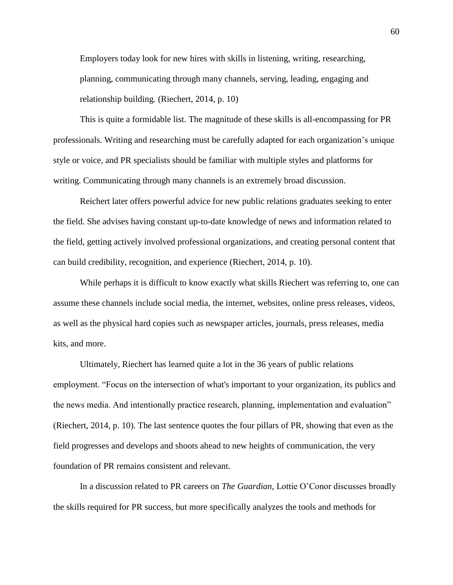Employers today look for new hires with skills in listening, writing, researching, planning, communicating through many channels, serving, leading, engaging and relationship building. (Riechert, 2014, p. 10)

This is quite a formidable list. The magnitude of these skills is all-encompassing for PR professionals. Writing and researching must be carefully adapted for each organization's unique style or voice, and PR specialists should be familiar with multiple styles and platforms for writing. Communicating through many channels is an extremely broad discussion.

Reichert later offers powerful advice for new public relations graduates seeking to enter the field. She advises having constant up-to-date knowledge of news and information related to the field, getting actively involved professional organizations, and creating personal content that can build credibility, recognition, and experience (Riechert, 2014, p. 10).

While perhaps it is difficult to know exactly what skills Riechert was referring to, one can assume these channels include social media, the internet, websites, online press releases, videos, as well as the physical hard copies such as newspaper articles, journals, press releases, media kits, and more.

Ultimately, Riechert has learned quite a lot in the 36 years of public relations employment. "Focus on the intersection of what's important to your organization, its publics and the news media. And intentionally practice research, planning, implementation and evaluation" (Riechert, 2014, p. 10). The last sentence quotes the four pillars of PR, showing that even as the field progresses and develops and shoots ahead to new heights of communication, the very foundation of PR remains consistent and relevant.

In a discussion related to PR careers on *The Guardian,* Lottie O'Conor discusses broadly the skills required for PR success, but more specifically analyzes the tools and methods for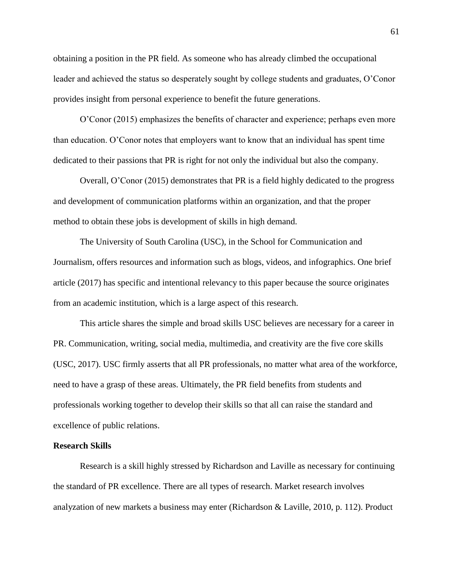obtaining a position in the PR field. As someone who has already climbed the occupational leader and achieved the status so desperately sought by college students and graduates, O'Conor provides insight from personal experience to benefit the future generations.

O'Conor (2015) emphasizes the benefits of character and experience; perhaps even more than education. O'Conor notes that employers want to know that an individual has spent time dedicated to their passions that PR is right for not only the individual but also the company.

Overall, O'Conor (2015) demonstrates that PR is a field highly dedicated to the progress and development of communication platforms within an organization, and that the proper method to obtain these jobs is development of skills in high demand.

The University of South Carolina (USC), in the School for Communication and Journalism, offers resources and information such as blogs, videos, and infographics. One brief article (2017) has specific and intentional relevancy to this paper because the source originates from an academic institution, which is a large aspect of this research.

This article shares the simple and broad skills USC believes are necessary for a career in PR. Communication, writing, social media, multimedia, and creativity are the five core skills (USC, 2017). USC firmly asserts that all PR professionals, no matter what area of the workforce, need to have a grasp of these areas. Ultimately, the PR field benefits from students and professionals working together to develop their skills so that all can raise the standard and excellence of public relations.

# **Research Skills**

Research is a skill highly stressed by Richardson and Laville as necessary for continuing the standard of PR excellence. There are all types of research. Market research involves analyzation of new markets a business may enter (Richardson & Laville, 2010, p. 112). Product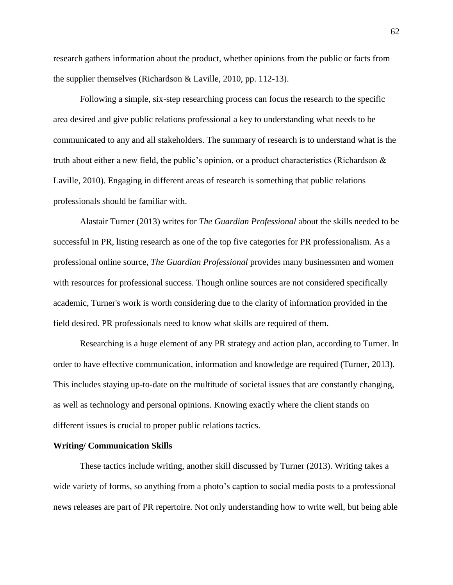research gathers information about the product, whether opinions from the public or facts from the supplier themselves (Richardson & Laville, 2010, pp. 112-13).

Following a simple, six-step researching process can focus the research to the specific area desired and give public relations professional a key to understanding what needs to be communicated to any and all stakeholders. The summary of research is to understand what is the truth about either a new field, the public's opinion, or a product characteristics (Richardson  $\&$ Laville, 2010). Engaging in different areas of research is something that public relations professionals should be familiar with.

Alastair Turner (2013) writes for *The Guardian Professional* about the skills needed to be successful in PR, listing research as one of the top five categories for PR professionalism. As a professional online source, *The Guardian Professional* provides many businessmen and women with resources for professional success. Though online sources are not considered specifically academic, Turner's work is worth considering due to the clarity of information provided in the field desired. PR professionals need to know what skills are required of them.

Researching is a huge element of any PR strategy and action plan, according to Turner. In order to have effective communication, information and knowledge are required (Turner, 2013). This includes staying up-to-date on the multitude of societal issues that are constantly changing, as well as technology and personal opinions. Knowing exactly where the client stands on different issues is crucial to proper public relations tactics.

### **Writing/ Communication Skills**

These tactics include writing, another skill discussed by Turner (2013). Writing takes a wide variety of forms, so anything from a photo's caption to social media posts to a professional news releases are part of PR repertoire. Not only understanding how to write well, but being able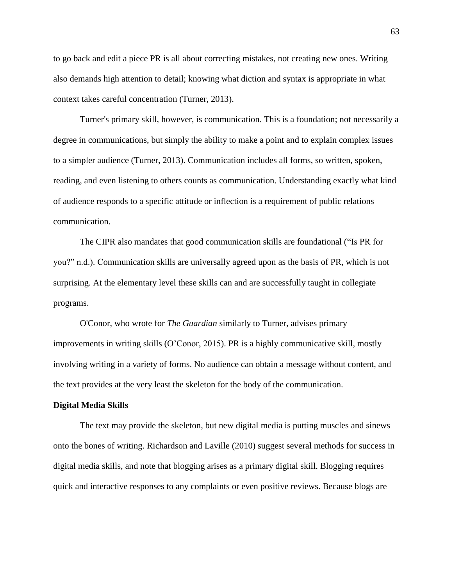to go back and edit a piece PR is all about correcting mistakes, not creating new ones. Writing also demands high attention to detail; knowing what diction and syntax is appropriate in what context takes careful concentration (Turner, 2013).

Turner's primary skill, however, is communication. This is a foundation; not necessarily a degree in communications, but simply the ability to make a point and to explain complex issues to a simpler audience (Turner, 2013). Communication includes all forms, so written, spoken, reading, and even listening to others counts as communication. Understanding exactly what kind of audience responds to a specific attitude or inflection is a requirement of public relations communication.

The CIPR also mandates that good communication skills are foundational ("Is PR for you?" n.d.). Communication skills are universally agreed upon as the basis of PR, which is not surprising. At the elementary level these skills can and are successfully taught in collegiate programs.

O'Conor, who wrote for *The Guardian* similarly to Turner, advises primary improvements in writing skills (O'Conor, 2015). PR is a highly communicative skill, mostly involving writing in a variety of forms. No audience can obtain a message without content, and the text provides at the very least the skeleton for the body of the communication.

#### **Digital Media Skills**

The text may provide the skeleton, but new digital media is putting muscles and sinews onto the bones of writing. Richardson and Laville (2010) suggest several methods for success in digital media skills, and note that blogging arises as a primary digital skill. Blogging requires quick and interactive responses to any complaints or even positive reviews. Because blogs are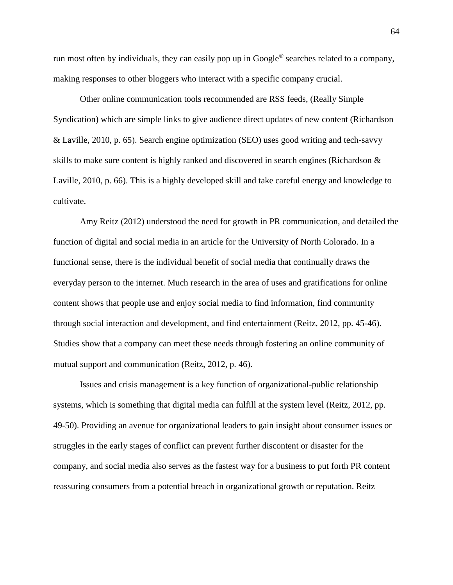run most often by individuals, they can easily pop up in Google® searches related to a company, making responses to other bloggers who interact with a specific company crucial.

Other online communication tools recommended are RSS feeds, (Really Simple Syndication) which are simple links to give audience direct updates of new content (Richardson & Laville, 2010, p. 65). Search engine optimization (SEO) uses good writing and tech-savvy skills to make sure content is highly ranked and discovered in search engines (Richardson & Laville, 2010, p. 66). This is a highly developed skill and take careful energy and knowledge to cultivate.

Amy Reitz (2012) understood the need for growth in PR communication, and detailed the function of digital and social media in an article for the University of North Colorado. In a functional sense, there is the individual benefit of social media that continually draws the everyday person to the internet. Much research in the area of uses and gratifications for online content shows that people use and enjoy social media to find information, find community through social interaction and development, and find entertainment (Reitz, 2012, pp. 45-46). Studies show that a company can meet these needs through fostering an online community of mutual support and communication (Reitz, 2012, p. 46).

Issues and crisis management is a key function of organizational-public relationship systems, which is something that digital media can fulfill at the system level (Reitz, 2012, pp. 49-50). Providing an avenue for organizational leaders to gain insight about consumer issues or struggles in the early stages of conflict can prevent further discontent or disaster for the company, and social media also serves as the fastest way for a business to put forth PR content reassuring consumers from a potential breach in organizational growth or reputation. Reitz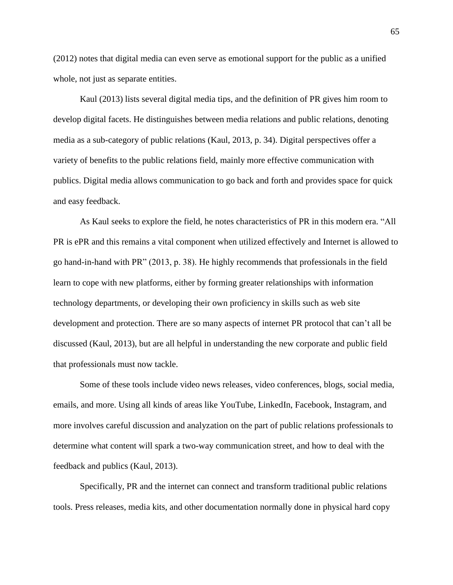(2012) notes that digital media can even serve as emotional support for the public as a unified whole, not just as separate entities.

Kaul (2013) lists several digital media tips, and the definition of PR gives him room to develop digital facets. He distinguishes between media relations and public relations, denoting media as a sub-category of public relations (Kaul, 2013, p. 34). Digital perspectives offer a variety of benefits to the public relations field, mainly more effective communication with publics. Digital media allows communication to go back and forth and provides space for quick and easy feedback.

As Kaul seeks to explore the field, he notes characteristics of PR in this modern era. "All PR is ePR and this remains a vital component when utilized effectively and Internet is allowed to go hand-in-hand with PR" (2013, p. 38). He highly recommends that professionals in the field learn to cope with new platforms, either by forming greater relationships with information technology departments, or developing their own proficiency in skills such as web site development and protection. There are so many aspects of internet PR protocol that can't all be discussed (Kaul, 2013), but are all helpful in understanding the new corporate and public field that professionals must now tackle.

Some of these tools include video news releases, video conferences, blogs, social media, emails, and more. Using all kinds of areas like YouTube, LinkedIn, Facebook, Instagram, and more involves careful discussion and analyzation on the part of public relations professionals to determine what content will spark a two-way communication street, and how to deal with the feedback and publics (Kaul, 2013).

Specifically, PR and the internet can connect and transform traditional public relations tools. Press releases, media kits, and other documentation normally done in physical hard copy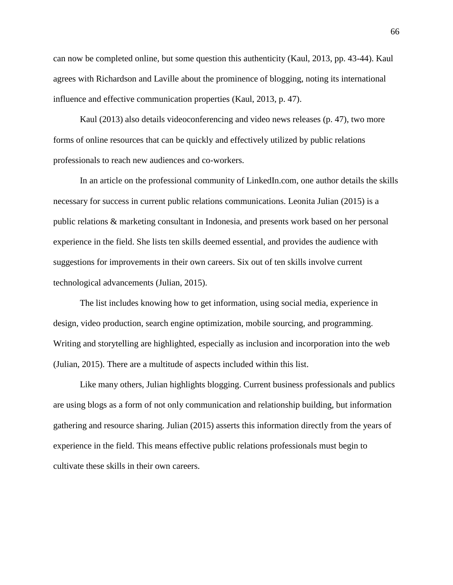can now be completed online, but some question this authenticity (Kaul, 2013, pp. 43-44). Kaul agrees with Richardson and Laville about the prominence of blogging, noting its international influence and effective communication properties (Kaul, 2013, p. 47).

Kaul (2013) also details videoconferencing and video news releases (p. 47), two more forms of online resources that can be quickly and effectively utilized by public relations professionals to reach new audiences and co-workers.

In an article on the professional community of LinkedIn.com, one author details the skills necessary for success in current public relations communications. Leonita Julian (2015) is a public relations & marketing consultant in Indonesia, and presents work based on her personal experience in the field. She lists ten skills deemed essential, and provides the audience with suggestions for improvements in their own careers. Six out of ten skills involve current technological advancements (Julian, 2015).

The list includes knowing how to get information, using social media, experience in design, video production, search engine optimization, mobile sourcing, and programming. Writing and storytelling are highlighted, especially as inclusion and incorporation into the web (Julian, 2015). There are a multitude of aspects included within this list.

Like many others, Julian highlights blogging. Current business professionals and publics are using blogs as a form of not only communication and relationship building, but information gathering and resource sharing. Julian (2015) asserts this information directly from the years of experience in the field. This means effective public relations professionals must begin to cultivate these skills in their own careers.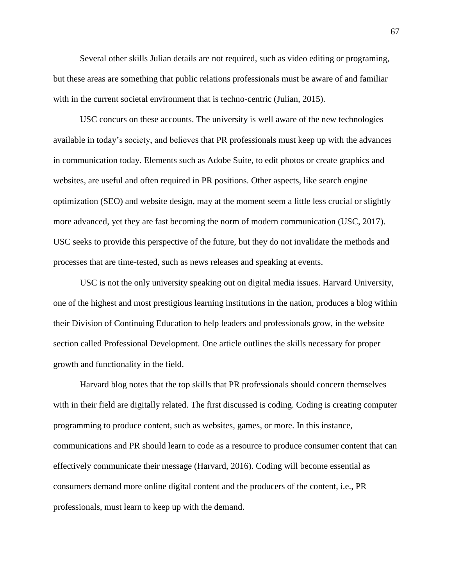Several other skills Julian details are not required, such as video editing or programing, but these areas are something that public relations professionals must be aware of and familiar with in the current societal environment that is techno-centric (Julian, 2015).

USC concurs on these accounts. The university is well aware of the new technologies available in today's society, and believes that PR professionals must keep up with the advances in communication today. Elements such as Adobe Suite, to edit photos or create graphics and websites, are useful and often required in PR positions. Other aspects, like search engine optimization (SEO) and website design, may at the moment seem a little less crucial or slightly more advanced, yet they are fast becoming the norm of modern communication (USC, 2017). USC seeks to provide this perspective of the future, but they do not invalidate the methods and processes that are time-tested, such as news releases and speaking at events.

USC is not the only university speaking out on digital media issues. Harvard University, one of the highest and most prestigious learning institutions in the nation, produces a blog within their Division of Continuing Education to help leaders and professionals grow, in the website section called Professional Development. One article outlines the skills necessary for proper growth and functionality in the field.

Harvard blog notes that the top skills that PR professionals should concern themselves with in their field are digitally related. The first discussed is coding. Coding is creating computer programming to produce content, such as websites, games, or more. In this instance, communications and PR should learn to code as a resource to produce consumer content that can effectively communicate their message (Harvard, 2016). Coding will become essential as consumers demand more online digital content and the producers of the content, i.e., PR professionals, must learn to keep up with the demand.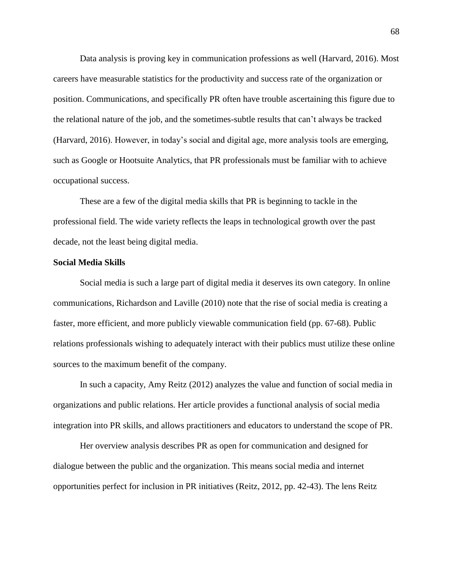Data analysis is proving key in communication professions as well (Harvard, 2016). Most careers have measurable statistics for the productivity and success rate of the organization or position. Communications, and specifically PR often have trouble ascertaining this figure due to the relational nature of the job, and the sometimes-subtle results that can't always be tracked (Harvard, 2016). However, in today's social and digital age, more analysis tools are emerging, such as Google or Hootsuite Analytics, that PR professionals must be familiar with to achieve occupational success.

These are a few of the digital media skills that PR is beginning to tackle in the professional field. The wide variety reflects the leaps in technological growth over the past decade, not the least being digital media.

## **Social Media Skills**

Social media is such a large part of digital media it deserves its own category. In online communications, Richardson and Laville (2010) note that the rise of social media is creating a faster, more efficient, and more publicly viewable communication field (pp. 67-68). Public relations professionals wishing to adequately interact with their publics must utilize these online sources to the maximum benefit of the company.

In such a capacity, Amy Reitz (2012) analyzes the value and function of social media in organizations and public relations. Her article provides a functional analysis of social media integration into PR skills, and allows practitioners and educators to understand the scope of PR.

Her overview analysis describes PR as open for communication and designed for dialogue between the public and the organization. This means social media and internet opportunities perfect for inclusion in PR initiatives (Reitz, 2012, pp. 42-43). The lens Reitz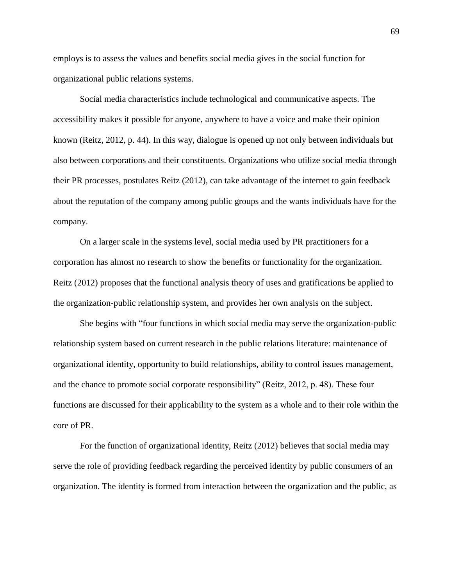employs is to assess the values and benefits social media gives in the social function for organizational public relations systems.

Social media characteristics include technological and communicative aspects. The accessibility makes it possible for anyone, anywhere to have a voice and make their opinion known (Reitz, 2012, p. 44). In this way, dialogue is opened up not only between individuals but also between corporations and their constituents. Organizations who utilize social media through their PR processes, postulates Reitz (2012), can take advantage of the internet to gain feedback about the reputation of the company among public groups and the wants individuals have for the company.

On a larger scale in the systems level, social media used by PR practitioners for a corporation has almost no research to show the benefits or functionality for the organization. Reitz (2012) proposes that the functional analysis theory of uses and gratifications be applied to the organization-public relationship system, and provides her own analysis on the subject.

She begins with "four functions in which social media may serve the organization-public relationship system based on current research in the public relations literature: maintenance of organizational identity, opportunity to build relationships, ability to control issues management, and the chance to promote social corporate responsibility" (Reitz, 2012, p. 48). These four functions are discussed for their applicability to the system as a whole and to their role within the core of PR.

For the function of organizational identity, Reitz (2012) believes that social media may serve the role of providing feedback regarding the perceived identity by public consumers of an organization. The identity is formed from interaction between the organization and the public, as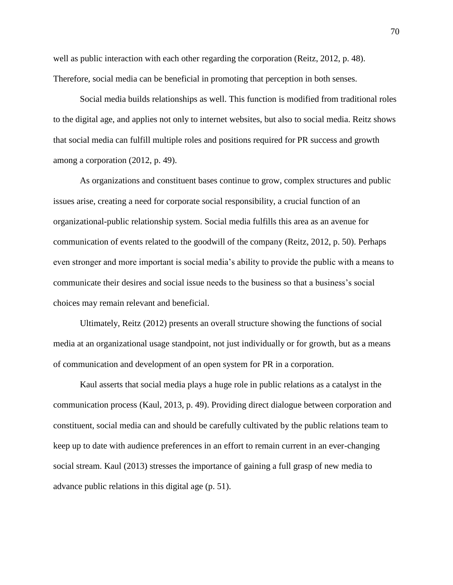well as public interaction with each other regarding the corporation (Reitz, 2012, p. 48). Therefore, social media can be beneficial in promoting that perception in both senses.

Social media builds relationships as well. This function is modified from traditional roles to the digital age, and applies not only to internet websites, but also to social media. Reitz shows that social media can fulfill multiple roles and positions required for PR success and growth among a corporation (2012, p. 49).

As organizations and constituent bases continue to grow, complex structures and public issues arise, creating a need for corporate social responsibility, a crucial function of an organizational-public relationship system. Social media fulfills this area as an avenue for communication of events related to the goodwill of the company (Reitz, 2012, p. 50). Perhaps even stronger and more important is social media's ability to provide the public with a means to communicate their desires and social issue needs to the business so that a business's social choices may remain relevant and beneficial.

Ultimately, Reitz (2012) presents an overall structure showing the functions of social media at an organizational usage standpoint, not just individually or for growth, but as a means of communication and development of an open system for PR in a corporation.

Kaul asserts that social media plays a huge role in public relations as a catalyst in the communication process (Kaul, 2013, p. 49). Providing direct dialogue between corporation and constituent, social media can and should be carefully cultivated by the public relations team to keep up to date with audience preferences in an effort to remain current in an ever-changing social stream. Kaul (2013) stresses the importance of gaining a full grasp of new media to advance public relations in this digital age (p. 51).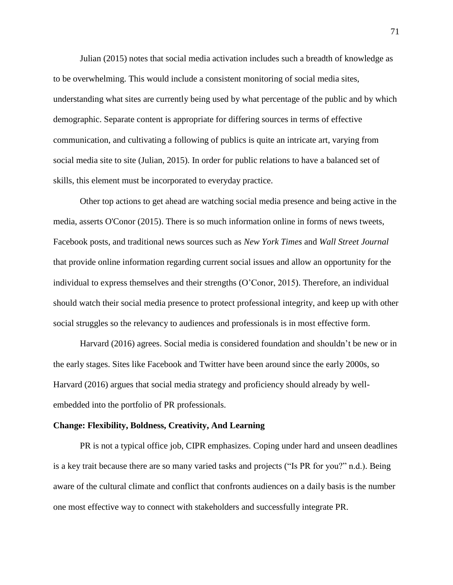Julian (2015) notes that social media activation includes such a breadth of knowledge as to be overwhelming. This would include a consistent monitoring of social media sites, understanding what sites are currently being used by what percentage of the public and by which demographic. Separate content is appropriate for differing sources in terms of effective communication, and cultivating a following of publics is quite an intricate art, varying from social media site to site (Julian, 2015). In order for public relations to have a balanced set of skills, this element must be incorporated to everyday practice.

Other top actions to get ahead are watching social media presence and being active in the media, asserts O'Conor (2015). There is so much information online in forms of news tweets, Facebook posts, and traditional news sources such as *New York Times* and *Wall Street Journal* that provide online information regarding current social issues and allow an opportunity for the individual to express themselves and their strengths (O'Conor, 2015). Therefore, an individual should watch their social media presence to protect professional integrity, and keep up with other social struggles so the relevancy to audiences and professionals is in most effective form.

Harvard (2016) agrees. Social media is considered foundation and shouldn't be new or in the early stages. Sites like Facebook and Twitter have been around since the early 2000s, so Harvard (2016) argues that social media strategy and proficiency should already by wellembedded into the portfolio of PR professionals.

#### **Change: Flexibility, Boldness, Creativity, And Learning**

PR is not a typical office job, CIPR emphasizes. Coping under hard and unseen deadlines is a key trait because there are so many varied tasks and projects ("Is PR for you?" n.d.). Being aware of the cultural climate and conflict that confronts audiences on a daily basis is the number one most effective way to connect with stakeholders and successfully integrate PR.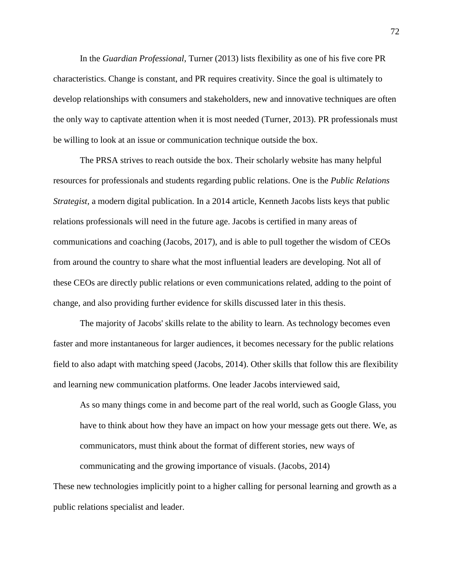In the *Guardian Professional*, Turner (2013) lists flexibility as one of his five core PR characteristics. Change is constant, and PR requires creativity. Since the goal is ultimately to develop relationships with consumers and stakeholders, new and innovative techniques are often the only way to captivate attention when it is most needed (Turner, 2013). PR professionals must be willing to look at an issue or communication technique outside the box.

The PRSA strives to reach outside the box. Their scholarly website has many helpful resources for professionals and students regarding public relations. One is the *Public Relations Strategist,* a modern digital publication. In a 2014 article, Kenneth Jacobs lists keys that public relations professionals will need in the future age. Jacobs is certified in many areas of communications and coaching (Jacobs, 2017), and is able to pull together the wisdom of CEOs from around the country to share what the most influential leaders are developing. Not all of these CEOs are directly public relations or even communications related, adding to the point of change, and also providing further evidence for skills discussed later in this thesis.

The majority of Jacobs' skills relate to the ability to learn. As technology becomes even faster and more instantaneous for larger audiences, it becomes necessary for the public relations field to also adapt with matching speed (Jacobs, 2014). Other skills that follow this are flexibility and learning new communication platforms. One leader Jacobs interviewed said,

As so many things come in and become part of the real world, such as Google Glass, you have to think about how they have an impact on how your message gets out there. We, as communicators, must think about the format of different stories, new ways of

communicating and the growing importance of visuals. (Jacobs, 2014)

These new technologies implicitly point to a higher calling for personal learning and growth as a public relations specialist and leader.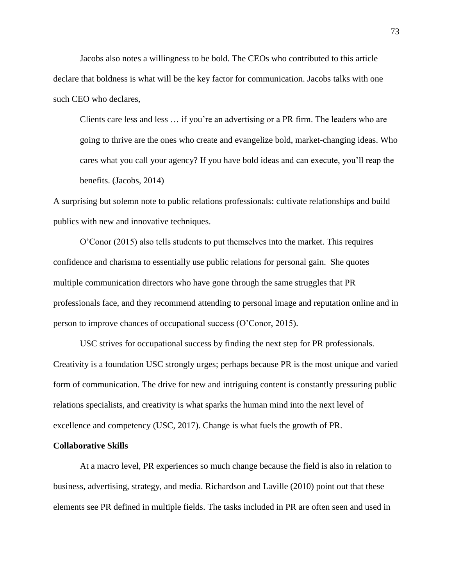Jacobs also notes a willingness to be bold. The CEOs who contributed to this article declare that boldness is what will be the key factor for communication. Jacobs talks with one such CEO who declares,

Clients care less and less … if you're an advertising or a PR firm. The leaders who are going to thrive are the ones who create and evangelize bold, market-changing ideas. Who cares what you call your agency? If you have bold ideas and can execute, you'll reap the benefits. (Jacobs, 2014)

A surprising but solemn note to public relations professionals: cultivate relationships and build publics with new and innovative techniques.

O'Conor (2015) also tells students to put themselves into the market. This requires confidence and charisma to essentially use public relations for personal gain. She quotes multiple communication directors who have gone through the same struggles that PR professionals face, and they recommend attending to personal image and reputation online and in person to improve chances of occupational success (O'Conor, 2015).

USC strives for occupational success by finding the next step for PR professionals. Creativity is a foundation USC strongly urges; perhaps because PR is the most unique and varied form of communication. The drive for new and intriguing content is constantly pressuring public relations specialists, and creativity is what sparks the human mind into the next level of excellence and competency (USC, 2017). Change is what fuels the growth of PR.

### **Collaborative Skills**

At a macro level, PR experiences so much change because the field is also in relation to business, advertising, strategy, and media. Richardson and Laville (2010) point out that these elements see PR defined in multiple fields. The tasks included in PR are often seen and used in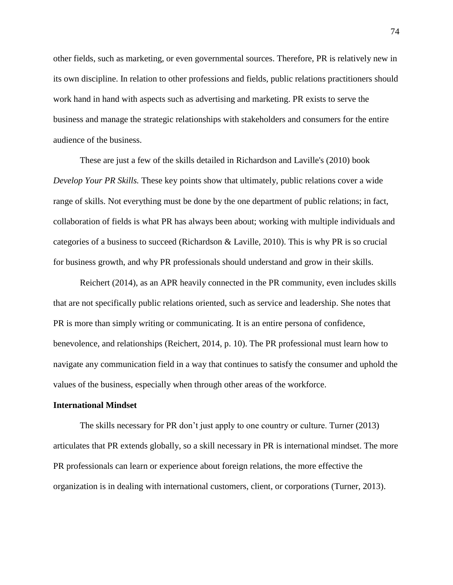other fields, such as marketing, or even governmental sources. Therefore, PR is relatively new in its own discipline. In relation to other professions and fields, public relations practitioners should work hand in hand with aspects such as advertising and marketing. PR exists to serve the business and manage the strategic relationships with stakeholders and consumers for the entire audience of the business.

These are just a few of the skills detailed in Richardson and Laville's (2010) book *Develop Your PR Skills.* These key points show that ultimately, public relations cover a wide range of skills. Not everything must be done by the one department of public relations; in fact, collaboration of fields is what PR has always been about; working with multiple individuals and categories of a business to succeed (Richardson & Laville, 2010). This is why PR is so crucial for business growth, and why PR professionals should understand and grow in their skills.

Reichert (2014), as an APR heavily connected in the PR community, even includes skills that are not specifically public relations oriented, such as service and leadership. She notes that PR is more than simply writing or communicating. It is an entire persona of confidence, benevolence, and relationships (Reichert, 2014, p. 10). The PR professional must learn how to navigate any communication field in a way that continues to satisfy the consumer and uphold the values of the business, especially when through other areas of the workforce.

## **International Mindset**

The skills necessary for PR don't just apply to one country or culture. Turner (2013) articulates that PR extends globally, so a skill necessary in PR is international mindset. The more PR professionals can learn or experience about foreign relations, the more effective the organization is in dealing with international customers, client, or corporations (Turner, 2013).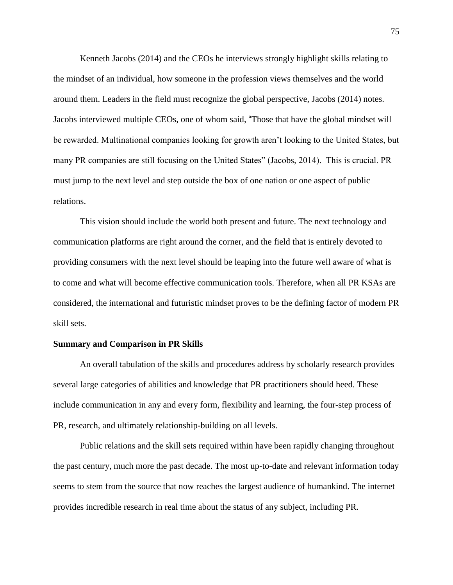Kenneth Jacobs (2014) and the CEOs he interviews strongly highlight skills relating to the mindset of an individual, how someone in the profession views themselves and the world around them. Leaders in the field must recognize the global perspective, Jacobs (2014) notes. Jacobs interviewed multiple CEOs, one of whom said, "Those that have the global mindset will be rewarded. Multinational companies looking for growth aren't looking to the United States, but many PR companies are still focusing on the United States" (Jacobs, 2014). This is crucial. PR must jump to the next level and step outside the box of one nation or one aspect of public relations.

This vision should include the world both present and future. The next technology and communication platforms are right around the corner, and the field that is entirely devoted to providing consumers with the next level should be leaping into the future well aware of what is to come and what will become effective communication tools. Therefore, when all PR KSAs are considered, the international and futuristic mindset proves to be the defining factor of modern PR skill sets.

### **Summary and Comparison in PR Skills**

An overall tabulation of the skills and procedures address by scholarly research provides several large categories of abilities and knowledge that PR practitioners should heed. These include communication in any and every form, flexibility and learning, the four-step process of PR, research, and ultimately relationship-building on all levels.

Public relations and the skill sets required within have been rapidly changing throughout the past century, much more the past decade. The most up-to-date and relevant information today seems to stem from the source that now reaches the largest audience of humankind. The internet provides incredible research in real time about the status of any subject, including PR.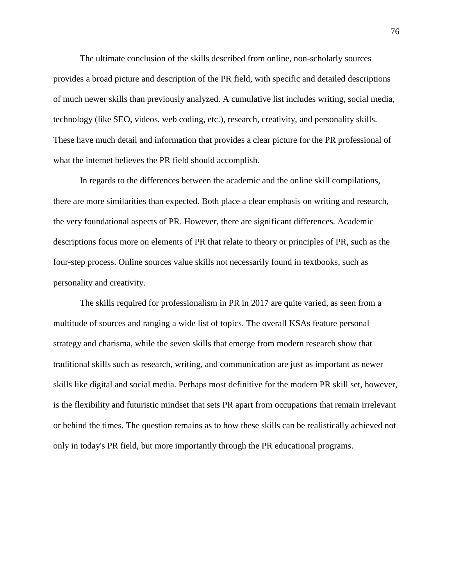The ultimate conclusion of the skills described from online, non-scholarly sources provides a broad picture and description of the PR field, with specific and detailed descriptions of much newer skills than previously analyzed. A cumulative list includes writing, social media, technology (like SEO, videos, web coding, etc.), research, creativity, and personality skills. These have much detail and information that provides a clear picture for the PR professional of what the internet believes the PR field should accomplish.

In regards to the differences between the academic and the online skill compilations, there are more similarities than expected. Both place a clear emphasis on writing and research, the very foundational aspects of PR. However, there are significant differences. Academic descriptions focus more on elements of PR that relate to theory or principles of PR, such as the four-step process. Online sources value skills not necessarily found in textbooks, such as personality and creativity.

The skills required for professionalism in PR in 2017 are quite varied, as seen from a multitude of sources and ranging a wide list of topics. The overall KSAs feature personal strategy and charisma, while the seven skills that emerge from modern research show that traditional skills such as research, writing, and communication are just as important as newer skills like digital and social media. Perhaps most definitive for the modern PR skill set, however, is the flexibility and futuristic mindset that sets PR apart from occupations that remain irrelevant or behind the times. The question remains as to how these skills can be realistically achieved not only in today's PR field, but more importantly through the PR educational programs.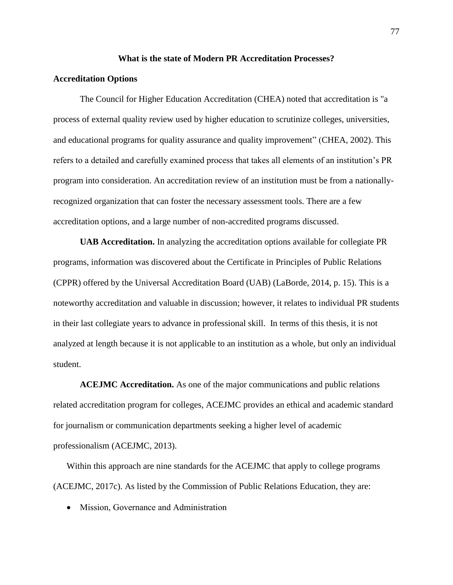#### **What is the state of Modern PR Accreditation Processes?**

## **Accreditation Options**

The Council for Higher Education Accreditation (CHEA) noted that accreditation is "a process of external quality review used by higher education to scrutinize colleges, universities, and educational programs for quality assurance and quality improvement" (CHEA, 2002). This refers to a detailed and carefully examined process that takes all elements of an institution's PR program into consideration. An accreditation review of an institution must be from a nationallyrecognized organization that can foster the necessary assessment tools. There are a few accreditation options, and a large number of non-accredited programs discussed.

**UAB Accreditation.** In analyzing the accreditation options available for collegiate PR programs, information was discovered about the Certificate in Principles of Public Relations (CPPR) offered by the Universal Accreditation Board (UAB) (LaBorde, 2014, p. 15). This is a noteworthy accreditation and valuable in discussion; however, it relates to individual PR students in their last collegiate years to advance in professional skill. In terms of this thesis, it is not analyzed at length because it is not applicable to an institution as a whole, but only an individual student.

**ACEJMC Accreditation.** As one of the major communications and public relations related accreditation program for colleges, ACEJMC provides an ethical and academic standard for journalism or communication departments seeking a higher level of academic professionalism (ACEJMC, 2013).

Within this approach are nine standards for the ACEJMC that apply to college programs (ACEJMC, 2017c). As listed by the Commission of Public Relations Education, they are:

• Mission, Governance and Administration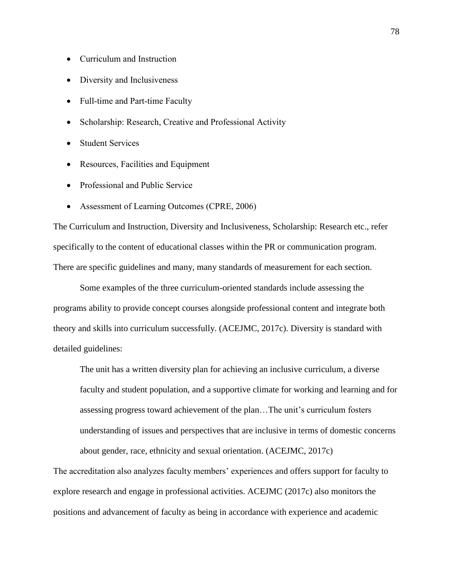- Curriculum and Instruction
- Diversity and Inclusiveness
- Full-time and Part-time Faculty
- Scholarship: Research, Creative and Professional Activity
- Student Services
- Resources, Facilities and Equipment
- Professional and Public Service
- Assessment of Learning Outcomes (CPRE, 2006)

The Curriculum and Instruction, Diversity and Inclusiveness, Scholarship: Research etc., refer specifically to the content of educational classes within the PR or communication program. There are specific guidelines and many, many standards of measurement for each section.

Some examples of the three curriculum-oriented standards include assessing the programs ability to provide concept courses alongside professional content and integrate both theory and skills into curriculum successfully. (ACEJMC, 2017c). Diversity is standard with detailed guidelines:

The unit has a written diversity plan for achieving an inclusive curriculum, a diverse faculty and student population, and a supportive climate for working and learning and for assessing progress toward achievement of the plan…The unit's curriculum fosters understanding of issues and perspectives that are inclusive in terms of domestic concerns about gender, race, ethnicity and sexual orientation. (ACEJMC, 2017c)

The accreditation also analyzes faculty members' experiences and offers support for faculty to explore research and engage in professional activities. ACEJMC (2017c) also monitors the positions and advancement of faculty as being in accordance with experience and academic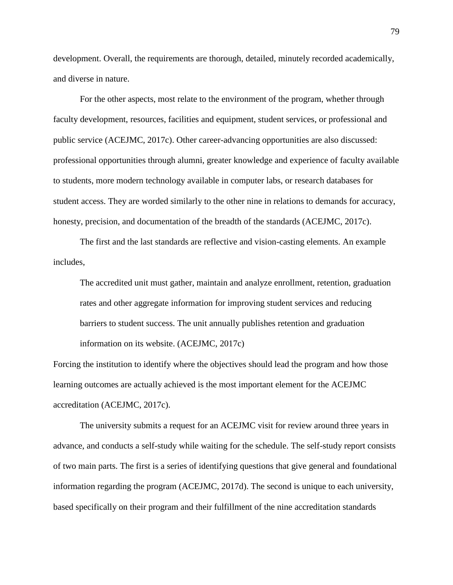development. Overall, the requirements are thorough, detailed, minutely recorded academically, and diverse in nature.

For the other aspects, most relate to the environment of the program, whether through faculty development, resources, facilities and equipment, student services, or professional and public service (ACEJMC, 2017c). Other career-advancing opportunities are also discussed: professional opportunities through alumni, greater knowledge and experience of faculty available to students, more modern technology available in computer labs, or research databases for student access. They are worded similarly to the other nine in relations to demands for accuracy, honesty, precision, and documentation of the breadth of the standards (ACEJMC, 2017c).

The first and the last standards are reflective and vision-casting elements. An example includes,

The accredited unit must gather, maintain and analyze enrollment, retention, graduation rates and other aggregate information for improving student services and reducing barriers to student success. The unit annually publishes retention and graduation information on its website. (ACEJMC, 2017c)

Forcing the institution to identify where the objectives should lead the program and how those learning outcomes are actually achieved is the most important element for the ACEJMC accreditation (ACEJMC, 2017c).

The university submits a request for an ACEJMC visit for review around three years in advance, and conducts a self-study while waiting for the schedule. The self-study report consists of two main parts. The first is a series of identifying questions that give general and foundational information regarding the program (ACEJMC, 2017d). The second is unique to each university, based specifically on their program and their fulfillment of the nine accreditation standards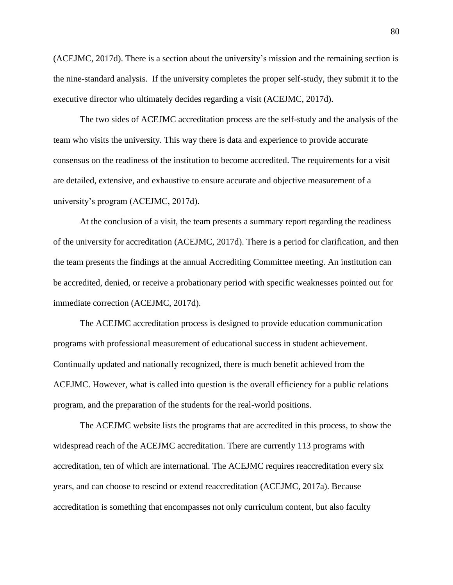(ACEJMC, 2017d). There is a section about the university's mission and the remaining section is the nine-standard analysis. If the university completes the proper self-study, they submit it to the executive director who ultimately decides regarding a visit (ACEJMC, 2017d).

The two sides of ACEJMC accreditation process are the self-study and the analysis of the team who visits the university. This way there is data and experience to provide accurate consensus on the readiness of the institution to become accredited. The requirements for a visit are detailed, extensive, and exhaustive to ensure accurate and objective measurement of a university's program (ACEJMC, 2017d).

At the conclusion of a visit, the team presents a summary report regarding the readiness of the university for accreditation (ACEJMC, 2017d). There is a period for clarification, and then the team presents the findings at the annual Accrediting Committee meeting. An institution can be accredited, denied, or receive a probationary period with specific weaknesses pointed out for immediate correction (ACEJMC, 2017d).

The ACEJMC accreditation process is designed to provide education communication programs with professional measurement of educational success in student achievement. Continually updated and nationally recognized, there is much benefit achieved from the ACEJMC. However, what is called into question is the overall efficiency for a public relations program, and the preparation of the students for the real-world positions.

The ACEJMC website lists the programs that are accredited in this process, to show the widespread reach of the ACEJMC accreditation. There are currently 113 programs with accreditation, ten of which are international. The ACEJMC requires reaccreditation every six years, and can choose to rescind or extend reaccreditation (ACEJMC, 2017a). Because accreditation is something that encompasses not only curriculum content, but also faculty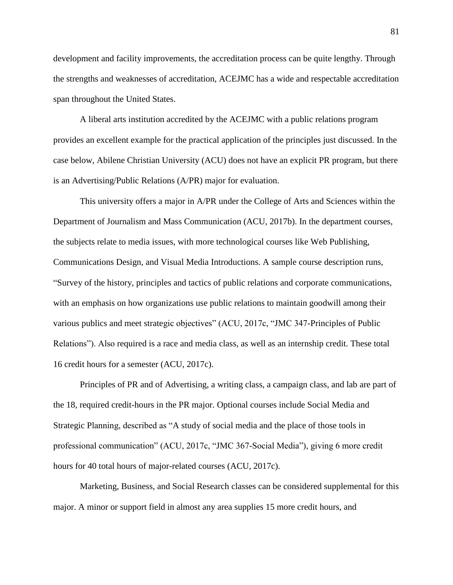development and facility improvements, the accreditation process can be quite lengthy. Through the strengths and weaknesses of accreditation, ACEJMC has a wide and respectable accreditation span throughout the United States.

A liberal arts institution accredited by the ACEJMC with a public relations program provides an excellent example for the practical application of the principles just discussed. In the case below, Abilene Christian University (ACU) does not have an explicit PR program, but there is an Advertising/Public Relations (A/PR) major for evaluation.

This university offers a major in A/PR under the College of Arts and Sciences within the Department of Journalism and Mass Communication (ACU, 2017b). In the department courses, the subjects relate to media issues, with more technological courses like Web Publishing, Communications Design, and Visual Media Introductions. A sample course description runs, "Survey of the history, principles and tactics of public relations and corporate communications, with an emphasis on how organizations use public relations to maintain goodwill among their various publics and meet strategic objectives" (ACU, 2017c, "JMC 347-Principles of Public Relations"). Also required is a race and media class, as well as an internship credit. These total 16 credit hours for a semester (ACU, 2017c).

Principles of PR and of Advertising, a writing class, a campaign class, and lab are part of the 18, required credit-hours in the PR major. Optional courses include Social Media and Strategic Planning, described as "A study of social media and the place of those tools in professional communication" (ACU, 2017c, "JMC 367-Social Media"), giving 6 more credit hours for 40 total hours of major-related courses (ACU, 2017c).

Marketing, Business, and Social Research classes can be considered supplemental for this major. A minor or support field in almost any area supplies 15 more credit hours, and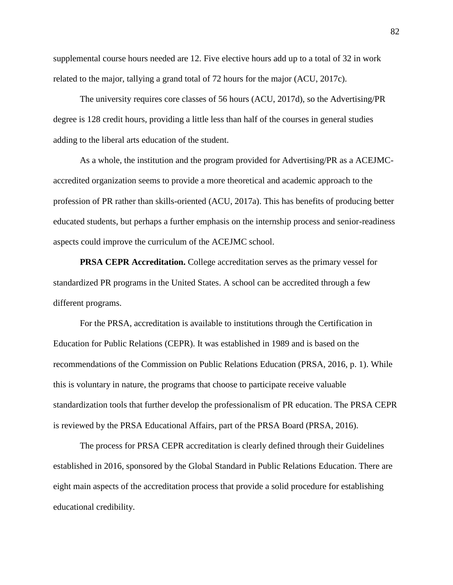supplemental course hours needed are 12. Five elective hours add up to a total of 32 in work related to the major, tallying a grand total of 72 hours for the major (ACU, 2017c).

The university requires core classes of 56 hours (ACU, 2017d), so the Advertising/PR degree is 128 credit hours, providing a little less than half of the courses in general studies adding to the liberal arts education of the student.

As a whole, the institution and the program provided for Advertising/PR as a ACEJMCaccredited organization seems to provide a more theoretical and academic approach to the profession of PR rather than skills-oriented (ACU, 2017a). This has benefits of producing better educated students, but perhaps a further emphasis on the internship process and senior-readiness aspects could improve the curriculum of the ACEJMC school.

**PRSA CEPR Accreditation.** College accreditation serves as the primary vessel for standardized PR programs in the United States. A school can be accredited through a few different programs.

For the PRSA, accreditation is available to institutions through the Certification in Education for Public Relations (CEPR). It was established in 1989 and is based on the recommendations of the Commission on Public Relations Education (PRSA, 2016, p. 1). While this is voluntary in nature, the programs that choose to participate receive valuable standardization tools that further develop the professionalism of PR education. The PRSA CEPR is reviewed by the PRSA Educational Affairs, part of the PRSA Board (PRSA, 2016).

The process for PRSA CEPR accreditation is clearly defined through their Guidelines established in 2016, sponsored by the Global Standard in Public Relations Education. There are eight main aspects of the accreditation process that provide a solid procedure for establishing educational credibility.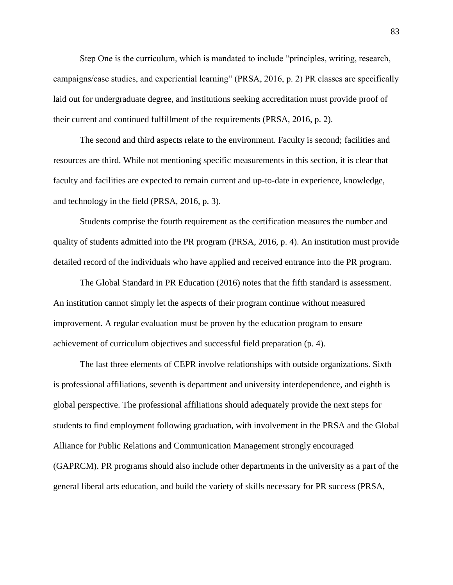Step One is the curriculum, which is mandated to include "principles, writing, research, campaigns/case studies, and experiential learning" (PRSA, 2016, p. 2) PR classes are specifically laid out for undergraduate degree, and institutions seeking accreditation must provide proof of their current and continued fulfillment of the requirements (PRSA, 2016, p. 2).

The second and third aspects relate to the environment. Faculty is second; facilities and resources are third. While not mentioning specific measurements in this section, it is clear that faculty and facilities are expected to remain current and up-to-date in experience, knowledge, and technology in the field (PRSA, 2016, p. 3).

Students comprise the fourth requirement as the certification measures the number and quality of students admitted into the PR program (PRSA, 2016, p. 4). An institution must provide detailed record of the individuals who have applied and received entrance into the PR program.

The Global Standard in PR Education (2016) notes that the fifth standard is assessment. An institution cannot simply let the aspects of their program continue without measured improvement. A regular evaluation must be proven by the education program to ensure achievement of curriculum objectives and successful field preparation (p. 4).

The last three elements of CEPR involve relationships with outside organizations. Sixth is professional affiliations, seventh is department and university interdependence, and eighth is global perspective. The professional affiliations should adequately provide the next steps for students to find employment following graduation, with involvement in the PRSA and the Global Alliance for Public Relations and Communication Management strongly encouraged (GAPRCM). PR programs should also include other departments in the university as a part of the general liberal arts education, and build the variety of skills necessary for PR success (PRSA,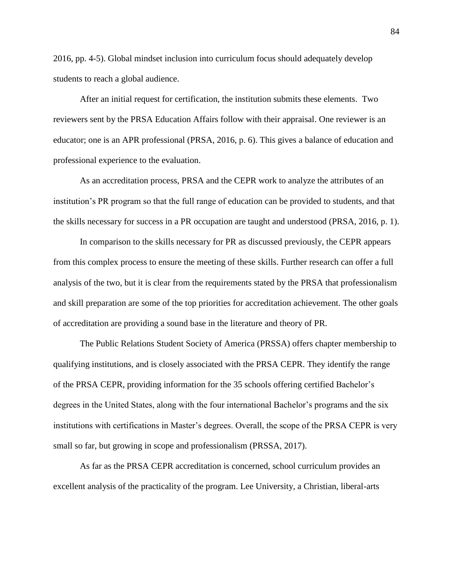2016, pp. 4-5). Global mindset inclusion into curriculum focus should adequately develop students to reach a global audience.

After an initial request for certification, the institution submits these elements. Two reviewers sent by the PRSA Education Affairs follow with their appraisal. One reviewer is an educator; one is an APR professional (PRSA, 2016, p. 6). This gives a balance of education and professional experience to the evaluation.

As an accreditation process, PRSA and the CEPR work to analyze the attributes of an institution's PR program so that the full range of education can be provided to students, and that the skills necessary for success in a PR occupation are taught and understood (PRSA, 2016, p. 1).

In comparison to the skills necessary for PR as discussed previously, the CEPR appears from this complex process to ensure the meeting of these skills. Further research can offer a full analysis of the two, but it is clear from the requirements stated by the PRSA that professionalism and skill preparation are some of the top priorities for accreditation achievement. The other goals of accreditation are providing a sound base in the literature and theory of PR.

The Public Relations Student Society of America (PRSSA) offers chapter membership to qualifying institutions, and is closely associated with the PRSA CEPR. They identify the range of the PRSA CEPR, providing information for the 35 schools offering certified Bachelor's degrees in the United States, along with the four international Bachelor's programs and the six institutions with certifications in Master's degrees. Overall, the scope of the PRSA CEPR is very small so far, but growing in scope and professionalism (PRSSA, 2017).

As far as the PRSA CEPR accreditation is concerned, school curriculum provides an excellent analysis of the practicality of the program. Lee University, a Christian, liberal-arts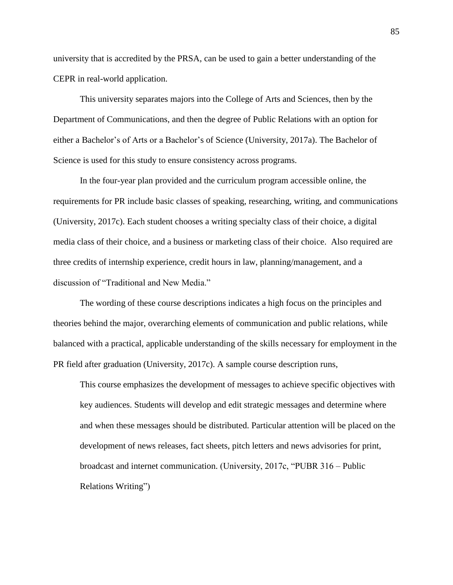university that is accredited by the PRSA, can be used to gain a better understanding of the CEPR in real-world application.

This university separates majors into the College of Arts and Sciences, then by the Department of Communications, and then the degree of Public Relations with an option for either a Bachelor's of Arts or a Bachelor's of Science (University, 2017a). The Bachelor of Science is used for this study to ensure consistency across programs.

In the four-year plan provided and the curriculum program accessible online, the requirements for PR include basic classes of speaking, researching, writing, and communications (University, 2017c). Each student chooses a writing specialty class of their choice, a digital media class of their choice, and a business or marketing class of their choice. Also required are three credits of internship experience, credit hours in law, planning/management, and a discussion of "Traditional and New Media."

The wording of these course descriptions indicates a high focus on the principles and theories behind the major, overarching elements of communication and public relations, while balanced with a practical, applicable understanding of the skills necessary for employment in the PR field after graduation (University, 2017c). A sample course description runs,

This course emphasizes the development of messages to achieve specific objectives with key audiences. Students will develop and edit strategic messages and determine where and when these messages should be distributed. Particular attention will be placed on the development of news releases, fact sheets, pitch letters and news advisories for print, broadcast and internet communication. (University, 2017c, "PUBR 316 – Public Relations Writing")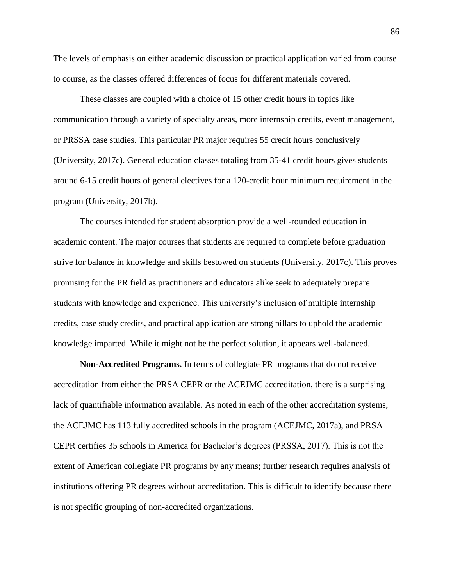The levels of emphasis on either academic discussion or practical application varied from course to course, as the classes offered differences of focus for different materials covered.

These classes are coupled with a choice of 15 other credit hours in topics like communication through a variety of specialty areas, more internship credits, event management, or PRSSA case studies. This particular PR major requires 55 credit hours conclusively (University, 2017c). General education classes totaling from 35-41 credit hours gives students around 6-15 credit hours of general electives for a 120-credit hour minimum requirement in the program (University, 2017b).

The courses intended for student absorption provide a well-rounded education in academic content. The major courses that students are required to complete before graduation strive for balance in knowledge and skills bestowed on students (University, 2017c). This proves promising for the PR field as practitioners and educators alike seek to adequately prepare students with knowledge and experience. This university's inclusion of multiple internship credits, case study credits, and practical application are strong pillars to uphold the academic knowledge imparted. While it might not be the perfect solution, it appears well-balanced.

**Non-Accredited Programs.** In terms of collegiate PR programs that do not receive accreditation from either the PRSA CEPR or the ACEJMC accreditation, there is a surprising lack of quantifiable information available. As noted in each of the other accreditation systems, the ACEJMC has 113 fully accredited schools in the program (ACEJMC, 2017a), and PRSA CEPR certifies 35 schools in America for Bachelor's degrees (PRSSA, 2017). This is not the extent of American collegiate PR programs by any means; further research requires analysis of institutions offering PR degrees without accreditation. This is difficult to identify because there is not specific grouping of non-accredited organizations.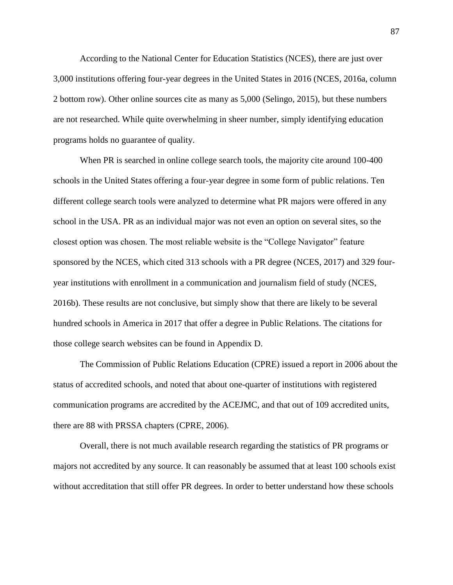According to the National Center for Education Statistics (NCES), there are just over 3,000 institutions offering four-year degrees in the United States in 2016 (NCES, 2016a, column 2 bottom row). Other online sources cite as many as 5,000 (Selingo, 2015), but these numbers are not researched. While quite overwhelming in sheer number, simply identifying education programs holds no guarantee of quality.

When PR is searched in online college search tools, the majority cite around 100-400 schools in the United States offering a four-year degree in some form of public relations. Ten different college search tools were analyzed to determine what PR majors were offered in any school in the USA. PR as an individual major was not even an option on several sites, so the closest option was chosen. The most reliable website is the "College Navigator" feature sponsored by the NCES, which cited 313 schools with a PR degree (NCES, 2017) and 329 fouryear institutions with enrollment in a communication and journalism field of study (NCES, 2016b). These results are not conclusive, but simply show that there are likely to be several hundred schools in America in 2017 that offer a degree in Public Relations. The citations for those college search websites can be found in Appendix D.

The Commission of Public Relations Education (CPRE) issued a report in 2006 about the status of accredited schools, and noted that about one-quarter of institutions with registered communication programs are accredited by the ACEJMC, and that out of 109 accredited units, there are 88 with PRSSA chapters (CPRE, 2006).

Overall, there is not much available research regarding the statistics of PR programs or majors not accredited by any source. It can reasonably be assumed that at least 100 schools exist without accreditation that still offer PR degrees. In order to better understand how these schools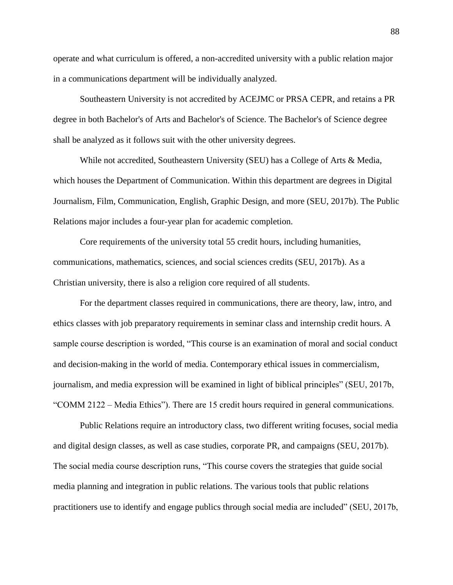operate and what curriculum is offered, a non-accredited university with a public relation major in a communications department will be individually analyzed.

Southeastern University is not accredited by ACEJMC or PRSA CEPR, and retains a PR degree in both Bachelor's of Arts and Bachelor's of Science. The Bachelor's of Science degree shall be analyzed as it follows suit with the other university degrees.

While not accredited, Southeastern University (SEU) has a College of Arts & Media, which houses the Department of Communication. Within this department are degrees in Digital Journalism, Film, Communication, English, Graphic Design, and more (SEU, 2017b). The Public Relations major includes a four-year plan for academic completion.

Core requirements of the university total 55 credit hours, including humanities, communications, mathematics, sciences, and social sciences credits (SEU, 2017b). As a Christian university, there is also a religion core required of all students.

For the department classes required in communications, there are theory, law, intro, and ethics classes with job preparatory requirements in seminar class and internship credit hours. A sample course description is worded, "This course is an examination of moral and social conduct and decision-making in the world of media. Contemporary ethical issues in commercialism, journalism, and media expression will be examined in light of biblical principles" (SEU, 2017b, "COMM 2122 – Media Ethics"). There are 15 credit hours required in general communications.

Public Relations require an introductory class, two different writing focuses, social media and digital design classes, as well as case studies, corporate PR, and campaigns (SEU, 2017b). The social media course description runs, "This course covers the strategies that guide social media planning and integration in public relations. The various tools that public relations practitioners use to identify and engage publics through social media are included" (SEU, 2017b,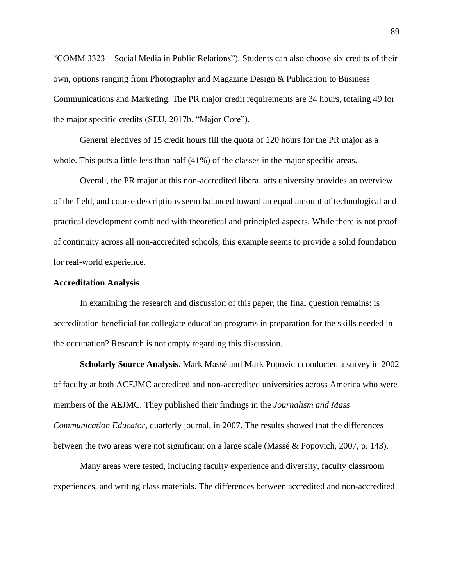"COMM 3323 – Social Media in Public Relations"). Students can also choose six credits of their own, options ranging from Photography and Magazine Design & Publication to Business Communications and Marketing. The PR major credit requirements are 34 hours, totaling 49 for the major specific credits (SEU, 2017b, "Major Core").

General electives of 15 credit hours fill the quota of 120 hours for the PR major as a whole. This puts a little less than half  $(41%)$  of the classes in the major specific areas.

Overall, the PR major at this non-accredited liberal arts university provides an overview of the field, and course descriptions seem balanced toward an equal amount of technological and practical development combined with theoretical and principled aspects. While there is not proof of continuity across all non-accredited schools, this example seems to provide a solid foundation for real-world experience.

## **Accreditation Analysis**

In examining the research and discussion of this paper, the final question remains: is accreditation beneficial for collegiate education programs in preparation for the skills needed in the occupation? Research is not empty regarding this discussion.

**Scholarly Source Analysis.** Mark Massé and Mark Popovich conducted a survey in 2002 of faculty at both ACEJMC accredited and non-accredited universities across America who were members of the AEJMC. They published their findings in the *Journalism and Mass Communication Educator,* quarterly journal, in 2007. The results showed that the differences between the two areas were not significant on a large scale (Massé & Popovich, 2007, p. 143).

Many areas were tested, including faculty experience and diversity, faculty classroom experiences, and writing class materials. The differences between accredited and non-accredited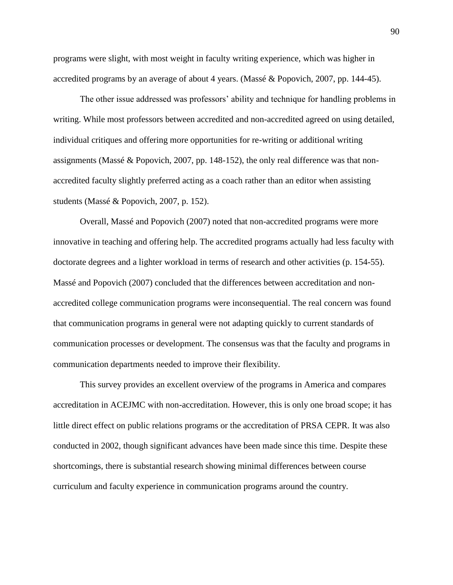programs were slight, with most weight in faculty writing experience, which was higher in accredited programs by an average of about 4 years. (Massé & Popovich, 2007, pp. 144-45).

The other issue addressed was professors' ability and technique for handling problems in writing. While most professors between accredited and non-accredited agreed on using detailed, individual critiques and offering more opportunities for re-writing or additional writing assignments (Massé & Popovich, 2007, pp. 148-152), the only real difference was that nonaccredited faculty slightly preferred acting as a coach rather than an editor when assisting students (Massé & Popovich, 2007, p. 152).

Overall, Massé and Popovich (2007) noted that non-accredited programs were more innovative in teaching and offering help. The accredited programs actually had less faculty with doctorate degrees and a lighter workload in terms of research and other activities (p. 154-55). Massé and Popovich (2007) concluded that the differences between accreditation and nonaccredited college communication programs were inconsequential. The real concern was found that communication programs in general were not adapting quickly to current standards of communication processes or development. The consensus was that the faculty and programs in communication departments needed to improve their flexibility.

This survey provides an excellent overview of the programs in America and compares accreditation in ACEJMC with non-accreditation. However, this is only one broad scope; it has little direct effect on public relations programs or the accreditation of PRSA CEPR. It was also conducted in 2002, though significant advances have been made since this time. Despite these shortcomings, there is substantial research showing minimal differences between course curriculum and faculty experience in communication programs around the country.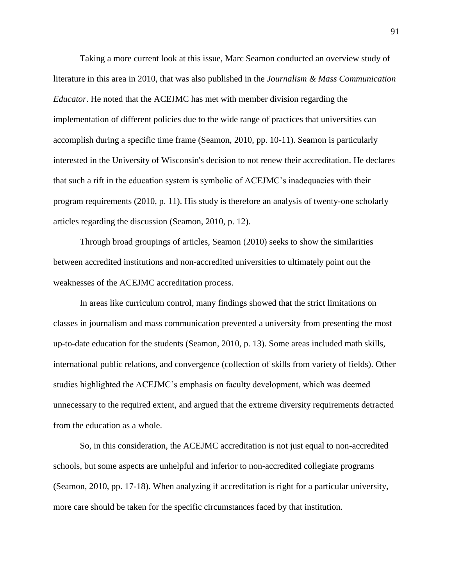Taking a more current look at this issue, Marc Seamon conducted an overview study of literature in this area in 2010, that was also published in the *Journalism & Mass Communication Educator*. He noted that the ACEJMC has met with member division regarding the implementation of different policies due to the wide range of practices that universities can accomplish during a specific time frame (Seamon, 2010, pp. 10-11). Seamon is particularly interested in the University of Wisconsin's decision to not renew their accreditation. He declares that such a rift in the education system is symbolic of ACEJMC's inadequacies with their program requirements (2010, p. 11). His study is therefore an analysis of twenty-one scholarly articles regarding the discussion (Seamon, 2010, p. 12).

Through broad groupings of articles, Seamon (2010) seeks to show the similarities between accredited institutions and non-accredited universities to ultimately point out the weaknesses of the ACEJMC accreditation process.

In areas like curriculum control, many findings showed that the strict limitations on classes in journalism and mass communication prevented a university from presenting the most up-to-date education for the students (Seamon, 2010, p. 13). Some areas included math skills, international public relations, and convergence (collection of skills from variety of fields). Other studies highlighted the ACEJMC's emphasis on faculty development, which was deemed unnecessary to the required extent, and argued that the extreme diversity requirements detracted from the education as a whole.

So, in this consideration, the ACEJMC accreditation is not just equal to non-accredited schools, but some aspects are unhelpful and inferior to non-accredited collegiate programs (Seamon, 2010, pp. 17-18). When analyzing if accreditation is right for a particular university, more care should be taken for the specific circumstances faced by that institution.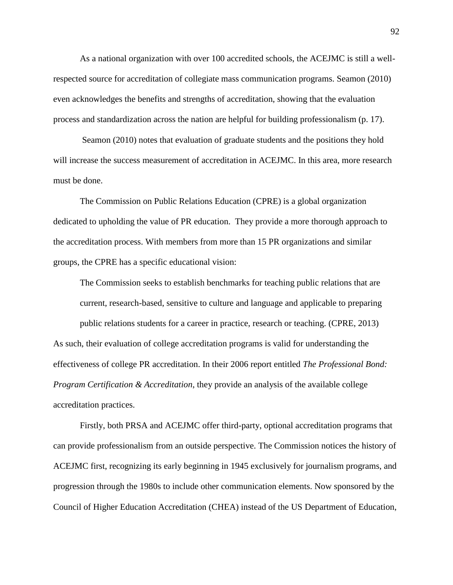As a national organization with over 100 accredited schools, the ACEJMC is still a wellrespected source for accreditation of collegiate mass communication programs. Seamon (2010) even acknowledges the benefits and strengths of accreditation, showing that the evaluation process and standardization across the nation are helpful for building professionalism (p. 17).

Seamon (2010) notes that evaluation of graduate students and the positions they hold will increase the success measurement of accreditation in ACEJMC. In this area, more research must be done.

The Commission on Public Relations Education (CPRE) is a global organization dedicated to upholding the value of PR education. They provide a more thorough approach to the accreditation process. With members from more than 15 PR organizations and similar groups, the CPRE has a specific educational vision:

The Commission seeks to establish benchmarks for teaching public relations that are current, research-based, sensitive to culture and language and applicable to preparing public relations students for a career in practice, research or teaching. (CPRE, 2013) As such, their evaluation of college accreditation programs is valid for understanding the effectiveness of college PR accreditation. In their 2006 report entitled *The Professional Bond: Program Certification & Accreditation*, they provide an analysis of the available college accreditation practices.

Firstly, both PRSA and ACEJMC offer third-party, optional accreditation programs that can provide professionalism from an outside perspective. The Commission notices the history of ACEJMC first, recognizing its early beginning in 1945 exclusively for journalism programs, and progression through the 1980s to include other communication elements. Now sponsored by the Council of Higher Education Accreditation (CHEA) instead of the US Department of Education,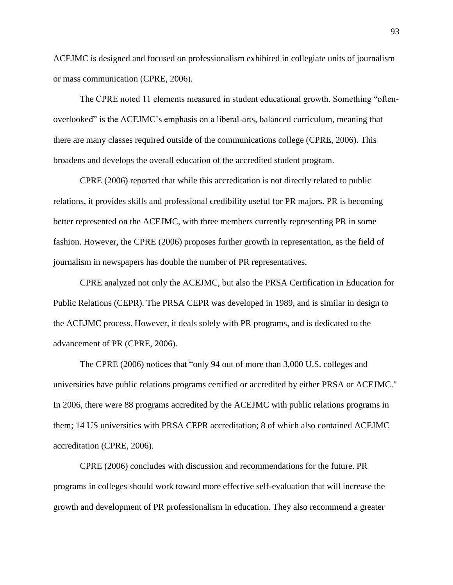ACEJMC is designed and focused on professionalism exhibited in collegiate units of journalism or mass communication (CPRE, 2006).

The CPRE noted 11 elements measured in student educational growth. Something "oftenoverlooked" is the ACEJMC's emphasis on a liberal-arts, balanced curriculum, meaning that there are many classes required outside of the communications college (CPRE, 2006). This broadens and develops the overall education of the accredited student program.

CPRE (2006) reported that while this accreditation is not directly related to public relations, it provides skills and professional credibility useful for PR majors. PR is becoming better represented on the ACEJMC, with three members currently representing PR in some fashion. However, the CPRE (2006) proposes further growth in representation, as the field of journalism in newspapers has double the number of PR representatives.

CPRE analyzed not only the ACEJMC, but also the PRSA Certification in Education for Public Relations (CEPR). The PRSA CEPR was developed in 1989, and is similar in design to the ACEJMC process. However, it deals solely with PR programs, and is dedicated to the advancement of PR (CPRE, 2006).

The CPRE (2006) notices that "only 94 out of more than 3,000 U.S. colleges and universities have public relations programs certified or accredited by either PRSA or ACEJMC." In 2006, there were 88 programs accredited by the ACEJMC with public relations programs in them; 14 US universities with PRSA CEPR accreditation; 8 of which also contained ACEJMC accreditation (CPRE, 2006).

CPRE (2006) concludes with discussion and recommendations for the future. PR programs in colleges should work toward more effective self-evaluation that will increase the growth and development of PR professionalism in education. They also recommend a greater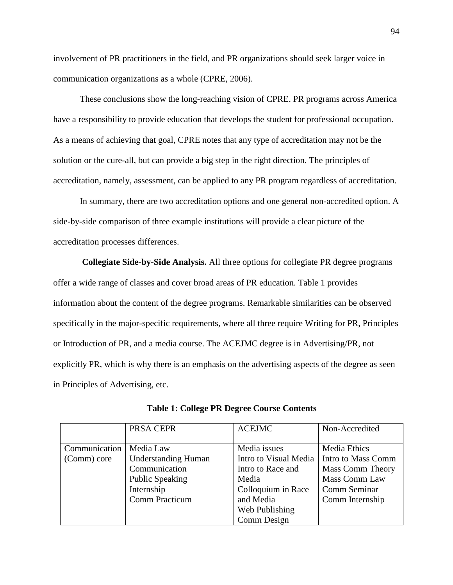involvement of PR practitioners in the field, and PR organizations should seek larger voice in communication organizations as a whole (CPRE, 2006).

These conclusions show the long-reaching vision of CPRE. PR programs across America have a responsibility to provide education that develops the student for professional occupation. As a means of achieving that goal, CPRE notes that any type of accreditation may not be the solution or the cure-all, but can provide a big step in the right direction. The principles of accreditation, namely, assessment, can be applied to any PR program regardless of accreditation.

In summary, there are two accreditation options and one general non-accredited option. A side-by-side comparison of three example institutions will provide a clear picture of the accreditation processes differences.

**Collegiate Side-by-Side Analysis.** All three options for collegiate PR degree programs offer a wide range of classes and cover broad areas of PR education. Table 1 provides information about the content of the degree programs. Remarkable similarities can be observed specifically in the major-specific requirements, where all three require Writing for PR, Principles or Introduction of PR, and a media course. The ACEJMC degree is in Advertising/PR, not explicitly PR, which is why there is an emphasis on the advertising aspects of the degree as seen in Principles of Advertising, etc.

|               | PRSA CEPR                  | <b>ACEJMC</b>         | Non-Accredited          |
|---------------|----------------------------|-----------------------|-------------------------|
|               |                            |                       |                         |
| Communication | Media Law                  | Media issues          | <b>Media Ethics</b>     |
| (Comm) core   | <b>Understanding Human</b> | Intro to Visual Media | Intro to Mass Comm      |
|               | Communication              | Intro to Race and     | <b>Mass Comm Theory</b> |
|               | <b>Public Speaking</b>     | Media                 | Mass Comm Law           |
|               | Internship                 | Colloquium in Race    | Comm Seminar            |
|               | <b>Comm Practicum</b>      | and Media             | Comm Internship         |
|               |                            | Web Publishing        |                         |
|               |                            | Comm Design           |                         |

**Table 1: College PR Degree Course Contents**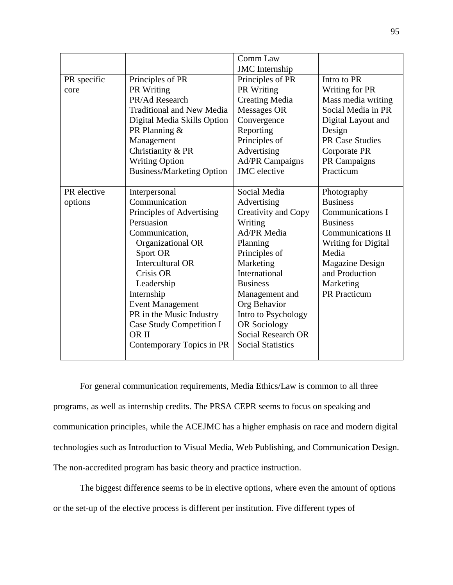|             |                                  | Comm Law                  |                            |
|-------------|----------------------------------|---------------------------|----------------------------|
|             |                                  | <b>JMC</b> Internship     |                            |
| PR specific | Principles of PR                 | Principles of PR          | Intro to PR                |
| core        | PR Writing                       | PR Writing                | Writing for PR             |
|             | PR/Ad Research                   | <b>Creating Media</b>     | Mass media writing         |
|             | <b>Traditional and New Media</b> | Messages OR               | Social Media in PR         |
|             | Digital Media Skills Option      | Convergence               | Digital Layout and         |
|             | PR Planning &                    | Reporting                 | Design                     |
|             | Management                       | Principles of             | <b>PR Case Studies</b>     |
|             | Christianity & PR                | Advertising               | Corporate PR               |
|             | <b>Writing Option</b>            | Ad/PR Campaigns           | PR Campaigns               |
|             | <b>Business/Marketing Option</b> | <b>JMC</b> elective       | Practicum                  |
|             |                                  |                           |                            |
| PR elective | Interpersonal                    | Social Media              | Photography                |
| options     | Communication                    | Advertising               | <b>Business</b>            |
|             | Principles of Advertising        | Creativity and Copy       | Communications I           |
|             | Persuasion                       | Writing                   | <b>Business</b>            |
|             | Communication,                   | <b>Ad/PR</b> Media        | <b>Communications II</b>   |
|             | Organizational OR                | Planning                  | <b>Writing for Digital</b> |
|             | Sport OR                         | Principles of             | Media                      |
|             | <b>Intercultural OR</b>          | Marketing                 | Magazine Design            |
|             | Crisis OR                        | International             | and Production             |
|             | Leadership                       | <b>Business</b>           | Marketing                  |
|             | Internship                       | Management and            | <b>PR</b> Practicum        |
|             | <b>Event Management</b>          | Org Behavior              |                            |
|             | PR in the Music Industry         | Intro to Psychology       |                            |
|             | Case Study Competition I         | <b>OR Sociology</b>       |                            |
|             | <b>ORII</b>                      | <b>Social Research OR</b> |                            |
|             | Contemporary Topics in PR        | <b>Social Statistics</b>  |                            |
|             |                                  |                           |                            |

For general communication requirements, Media Ethics/Law is common to all three programs, as well as internship credits. The PRSA CEPR seems to focus on speaking and communication principles, while the ACEJMC has a higher emphasis on race and modern digital technologies such as Introduction to Visual Media, Web Publishing, and Communication Design. The non-accredited program has basic theory and practice instruction.

The biggest difference seems to be in elective options, where even the amount of options or the set-up of the elective process is different per institution. Five different types of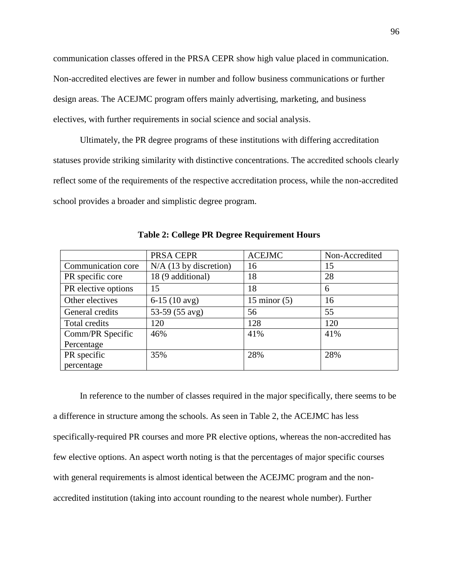communication classes offered in the PRSA CEPR show high value placed in communication. Non-accredited electives are fewer in number and follow business communications or further design areas. The ACEJMC program offers mainly advertising, marketing, and business electives, with further requirements in social science and social analysis.

Ultimately, the PR degree programs of these institutions with differing accreditation statuses provide striking similarity with distinctive concentrations. The accredited schools clearly reflect some of the requirements of the respective accreditation process, while the non-accredited school provides a broader and simplistic degree program.

|                     | PRSA CEPR                | <b>ACEJMC</b>  | Non-Accredited |
|---------------------|--------------------------|----------------|----------------|
| Communication core  | $N/A$ (13 by discretion) | 16             | 15             |
| PR specific core    | 18 (9 additional)        | 18             | 28             |
| PR elective options | 15                       | 18             | 6              |
| Other electives     | $6-15(10$ avg)           | 15 minor $(5)$ | 16             |
| General credits     | 53-59 (55 avg)           | 56             | 55             |
| Total credits       | 120                      | 128            | 120            |
| Comm/PR Specific    | 46%                      | 41%            | 41%            |
| Percentage          |                          |                |                |
| PR specific         | 35%                      | 28%            | 28%            |
| percentage          |                          |                |                |

**Table 2: College PR Degree Requirement Hours**

In reference to the number of classes required in the major specifically, there seems to be a difference in structure among the schools. As seen in Table 2, the ACEJMC has less specifically-required PR courses and more PR elective options, whereas the non-accredited has few elective options. An aspect worth noting is that the percentages of major specific courses with general requirements is almost identical between the ACEJMC program and the nonaccredited institution (taking into account rounding to the nearest whole number). Further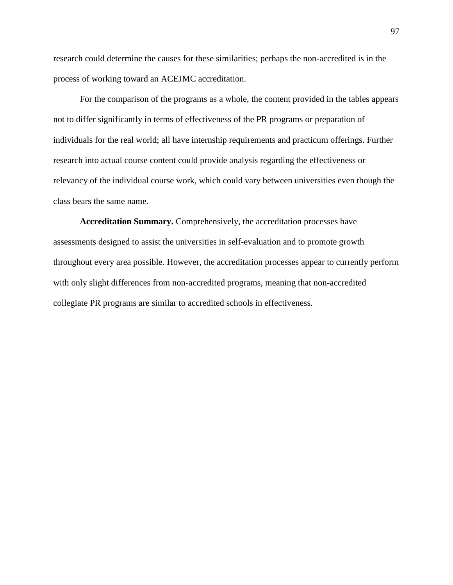research could determine the causes for these similarities; perhaps the non-accredited is in the process of working toward an ACEJMC accreditation.

For the comparison of the programs as a whole, the content provided in the tables appears not to differ significantly in terms of effectiveness of the PR programs or preparation of individuals for the real world; all have internship requirements and practicum offerings. Further research into actual course content could provide analysis regarding the effectiveness or relevancy of the individual course work, which could vary between universities even though the class bears the same name.

**Accreditation Summary.** Comprehensively, the accreditation processes have assessments designed to assist the universities in self-evaluation and to promote growth throughout every area possible. However, the accreditation processes appear to currently perform with only slight differences from non-accredited programs, meaning that non-accredited collegiate PR programs are similar to accredited schools in effectiveness.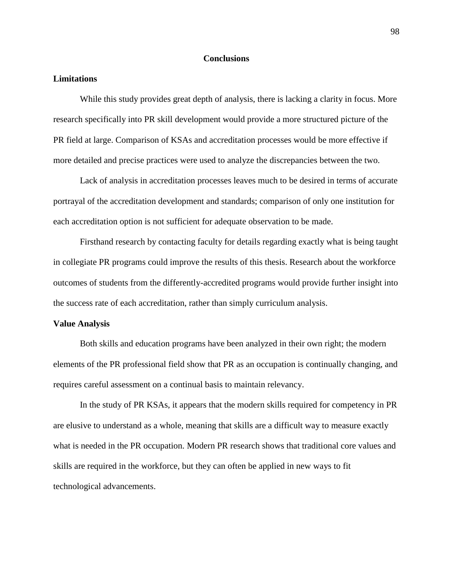### **Conclusions**

# **Limitations**

While this study provides great depth of analysis, there is lacking a clarity in focus. More research specifically into PR skill development would provide a more structured picture of the PR field at large. Comparison of KSAs and accreditation processes would be more effective if more detailed and precise practices were used to analyze the discrepancies between the two.

Lack of analysis in accreditation processes leaves much to be desired in terms of accurate portrayal of the accreditation development and standards; comparison of only one institution for each accreditation option is not sufficient for adequate observation to be made.

Firsthand research by contacting faculty for details regarding exactly what is being taught in collegiate PR programs could improve the results of this thesis. Research about the workforce outcomes of students from the differently-accredited programs would provide further insight into the success rate of each accreditation, rather than simply curriculum analysis.

#### **Value Analysis**

Both skills and education programs have been analyzed in their own right; the modern elements of the PR professional field show that PR as an occupation is continually changing, and requires careful assessment on a continual basis to maintain relevancy.

In the study of PR KSAs, it appears that the modern skills required for competency in PR are elusive to understand as a whole, meaning that skills are a difficult way to measure exactly what is needed in the PR occupation. Modern PR research shows that traditional core values and skills are required in the workforce, but they can often be applied in new ways to fit technological advancements.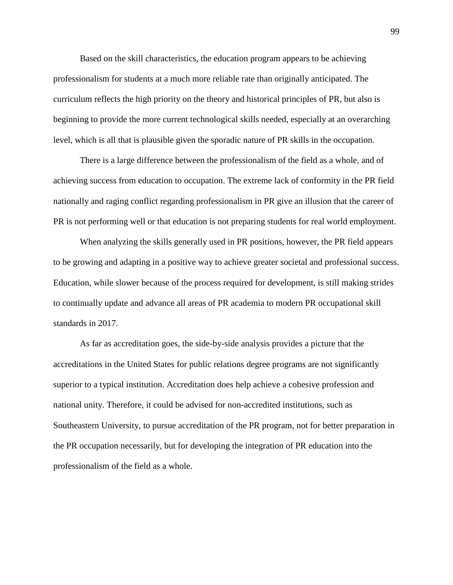Based on the skill characteristics, the education program appears to be achieving professionalism for students at a much more reliable rate than originally anticipated. The curriculum reflects the high priority on the theory and historical principles of PR, but also is beginning to provide the more current technological skills needed, especially at an overarching level, which is all that is plausible given the sporadic nature of PR skills in the occupation.

There is a large difference between the professionalism of the field as a whole, and of achieving success from education to occupation. The extreme lack of conformity in the PR field nationally and raging conflict regarding professionalism in PR give an illusion that the career of PR is not performing well or that education is not preparing students for real world employment.

When analyzing the skills generally used in PR positions, however, the PR field appears to be growing and adapting in a positive way to achieve greater societal and professional success. Education, while slower because of the process required for development, is still making strides to continually update and advance all areas of PR academia to modern PR occupational skill standards in 2017.

As far as accreditation goes, the side-by-side analysis provides a picture that the accreditations in the United States for public relations degree programs are not significantly superior to a typical institution. Accreditation does help achieve a cohesive profession and national unity. Therefore, it could be advised for non-accredited institutions, such as Southeastern University, to pursue accreditation of the PR program, not for better preparation in the PR occupation necessarily, but for developing the integration of PR education into the professionalism of the field as a whole.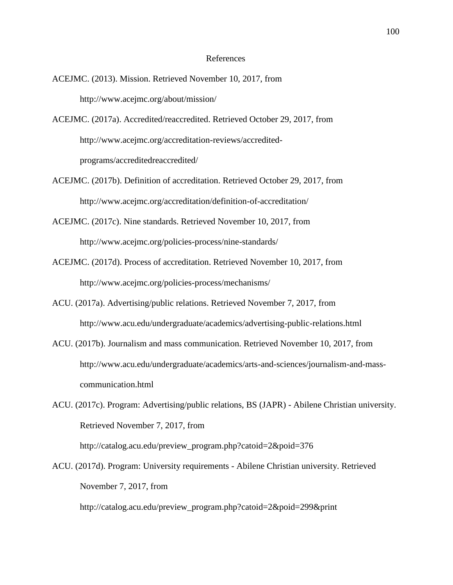### References

- ACEJMC. (2013). Mission. Retrieved November 10, 2017, from http://www.acejmc.org/about/mission/
- ACEJMC. (2017a). Accredited/reaccredited. Retrieved October 29, 2017, from http://www.acejmc.org/accreditation-reviews/accreditedprograms/accreditedreaccredited/
- ACEJMC. (2017b). Definition of accreditation. Retrieved October 29, 2017, from http://www.acejmc.org/accreditation/definition-of-accreditation/
- ACEJMC. (2017c). Nine standards. Retrieved November 10, 2017, from http://www.acejmc.org/policies-process/nine-standards/
- ACEJMC. (2017d). Process of accreditation. Retrieved November 10, 2017, from http://www.acejmc.org/policies-process/mechanisms/
- ACU. (2017a). Advertising/public relations. Retrieved November 7, 2017, from http://www.acu.edu/undergraduate/academics/advertising-public-relations.html
- ACU. (2017b). Journalism and mass communication. Retrieved November 10, 2017, from http://www.acu.edu/undergraduate/academics/arts-and-sciences/journalism-and-masscommunication.html
- ACU. (2017c). Program: Advertising/public relations, BS (JAPR) Abilene Christian university. Retrieved November 7, 2017, from http://catalog.acu.edu/preview\_program.php?catoid=2&poid=376
- ACU. (2017d). Program: University requirements Abilene Christian university. Retrieved November 7, 2017, from

http://catalog.acu.edu/preview\_program.php?catoid=2&poid=299&print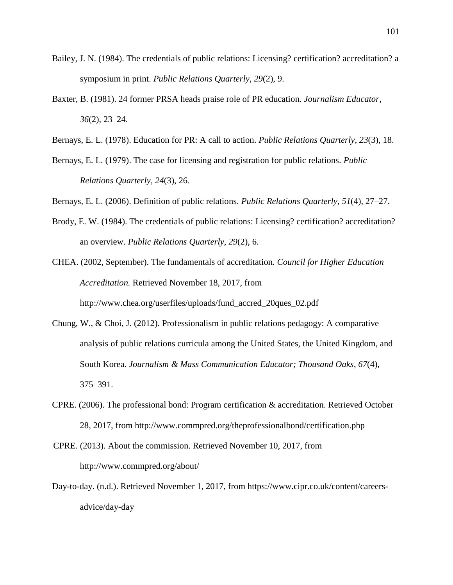- Bailey, J. N. (1984). The credentials of public relations: Licensing? certification? accreditation? a symposium in print. *Public Relations Quarterly*, *29*(2), 9.
- Baxter, B. (1981). 24 former PRSA heads praise role of PR education. *Journalism Educator*, *36*(2), 23–24.
- Bernays, E. L. (1978). Education for PR: A call to action. *Public Relations Quarterly*, *23*(3), 18.
- Bernays, E. L. (1979). The case for licensing and registration for public relations. *Public Relations Quarterly*, *24*(3), 26.
- Bernays, E. L. (2006). Definition of public relations. *Public Relations Quarterly*, *51*(4), 27–27.
- Brody, E. W. (1984). The credentials of public relations: Licensing? certification? accreditation? an overview. *Public Relations Quarterly*, *29*(2), 6.

CHEA. (2002, September). The fundamentals of accreditation. *Council for Higher Education Accreditation.* Retrieved November 18, 2017, from http://www.chea.org/userfiles/uploads/fund\_accred\_20ques\_02.pdf

- Chung, W., & Choi, J. (2012). Professionalism in public relations pedagogy: A comparative analysis of public relations curricula among the United States, the United Kingdom, and South Korea. *Journalism & Mass Communication Educator; Thousand Oaks*, *67*(4), 375–391.
- CPRE. (2006). The professional bond: Program certification & accreditation. Retrieved October 28, 2017, from http://www.commpred.org/theprofessionalbond/certification.php
- CPRE. (2013). About the commission. Retrieved November 10, 2017, from http://www.commpred.org/about/
- Day-to-day. (n.d.). Retrieved November 1, 2017, from https://www.cipr.co.uk/content/careersadvice/day-day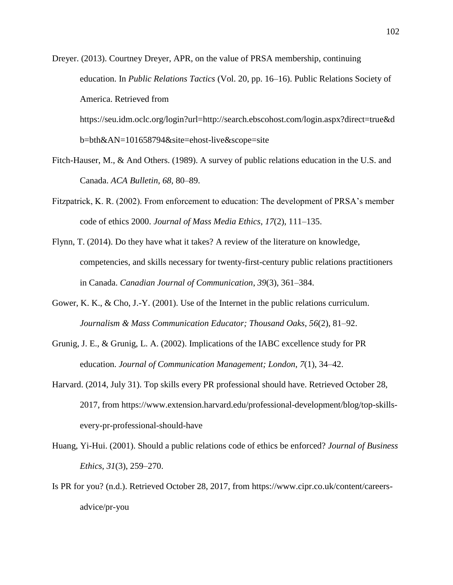Dreyer. (2013). Courtney Dreyer, APR, on the value of PRSA membership, continuing education. In *Public Relations Tactics* (Vol. 20, pp. 16–16). Public Relations Society of America. Retrieved from

https://seu.idm.oclc.org/login?url=http://search.ebscohost.com/login.aspx?direct=true&d b=bth&AN=101658794&site=ehost-live&scope=site

- Fitch-Hauser, M., & And Others. (1989). A survey of public relations education in the U.S. and Canada. *ACA Bulletin*, *68*, 80–89.
- Fitzpatrick, K. R. (2002). From enforcement to education: The development of PRSA's member code of ethics 2000. *Journal of Mass Media Ethics*, *17*(2), 111–135.
- Flynn, T. (2014). Do they have what it takes? A review of the literature on knowledge, competencies, and skills necessary for twenty-first-century public relations practitioners in Canada. *Canadian Journal of Communication*, *39*(3), 361–384.
- Gower, K. K., & Cho, J.-Y. (2001). Use of the Internet in the public relations curriculum. *Journalism & Mass Communication Educator; Thousand Oaks*, *56*(2), 81–92.
- Grunig, J. E., & Grunig, L. A. (2002). Implications of the IABC excellence study for PR education. *Journal of Communication Management; London*, *7*(1), 34–42.
- Harvard. (2014, July 31). Top skills every PR professional should have. Retrieved October 28, 2017, from https://www.extension.harvard.edu/professional-development/blog/top-skillsevery-pr-professional-should-have
- Huang, Yi-Hui. (2001). Should a public relations code of ethics be enforced? *Journal of Business Ethics*, *31*(3), 259–270.
- Is PR for you? (n.d.). Retrieved October 28, 2017, from https://www.cipr.co.uk/content/careersadvice/pr-you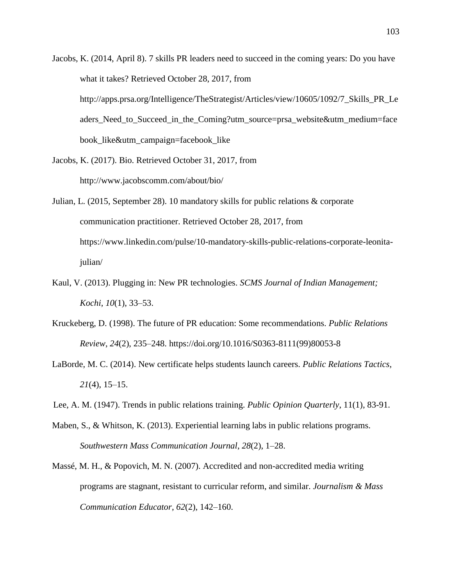- Jacobs, K. (2014, April 8). 7 skills PR leaders need to succeed in the coming years: Do you have what it takes? Retrieved October 28, 2017, from http://apps.prsa.org/Intelligence/TheStrategist/Articles/view/10605/1092/7\_Skills\_PR\_Le aders Need to Succeed in the Coming?utm\_source=prsa\_website&utm\_medium=face book like&utm campaign=facebook like
- Jacobs, K. (2017). Bio. Retrieved October 31, 2017, from http://www.jacobscomm.com/about/bio/
- Julian, L. (2015, September 28). 10 mandatory skills for public relations & corporate communication practitioner. Retrieved October 28, 2017, from https://www.linkedin.com/pulse/10-mandatory-skills-public-relations-corporate-leonitajulian/
- Kaul, V. (2013). Plugging in: New PR technologies. *SCMS Journal of Indian Management; Kochi*, *10*(1), 33–53.
- Kruckeberg, D. (1998). The future of PR education: Some recommendations. *Public Relations Review*, *24*(2), 235–248. https://doi.org/10.1016/S0363-8111(99)80053-8
- LaBorde, M. C. (2014). New certificate helps students launch careers. *Public Relations Tactics*, *21*(4), 15–15.
- Lee, A. M. (1947). Trends in public relations training. *Public Opinion Quarterly*, 11(1), 83-91.
- Maben, S., & Whitson, K. (2013). Experiential learning labs in public relations programs. *Southwestern Mass Communication Journal*, *28*(2), 1–28.
- Massé, M. H., & Popovich, M. N. (2007). Accredited and non-accredited media writing programs are stagnant, resistant to curricular reform, and similar. *Journalism & Mass Communication Educator*, *62*(2), 142–160.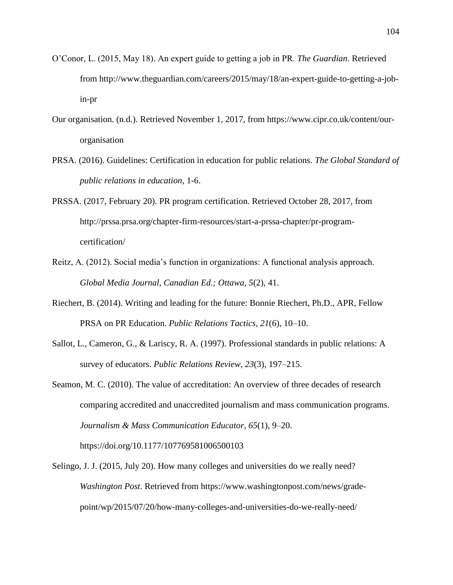- O'Conor, L. (2015, May 18). An expert guide to getting a job in PR. *The Guardian*. Retrieved from http://www.theguardian.com/careers/2015/may/18/an-expert-guide-to-getting-a-jobin-pr
- Our organisation. (n.d.). Retrieved November 1, 2017, from https://www.cipr.co.uk/content/ourorganisation
- PRSA. (2016). Guidelines: Certification in education for public relations. *The Global Standard of public relations in education,* 1-6.
- PRSSA. (2017, February 20). PR program certification. Retrieved October 28, 2017, from http://prssa.prsa.org/chapter-firm-resources/start-a-prssa-chapter/pr-programcertification/
- Reitz, A. (2012). Social media's function in organizations: A functional analysis approach. *Global Media Journal, Canadian Ed.; Ottawa*, *5*(2), 41.
- Riechert, B. (2014). Writing and leading for the future: Bonnie Riechert, Ph.D., APR, Fellow PRSA on PR Education. *Public Relations Tactics*, *21*(6), 10–10.
- Sallot, L., Cameron, G., & Lariscy, R. A. (1997). Professional standards in public relations: A survey of educators. *Public Relations Review*, *23*(3), 197–215.
- Seamon, M. C. (2010). The value of accreditation: An overview of three decades of research comparing accredited and unaccredited journalism and mass communication programs. *Journalism & Mass Communication Educator*, *65*(1), 9–20. https://doi.org/10.1177/107769581006500103
- Selingo, J. J. (2015, July 20). How many colleges and universities do we really need? *Washington Post*. Retrieved from https://www.washingtonpost.com/news/gradepoint/wp/2015/07/20/how-many-colleges-and-universities-do-we-really-need/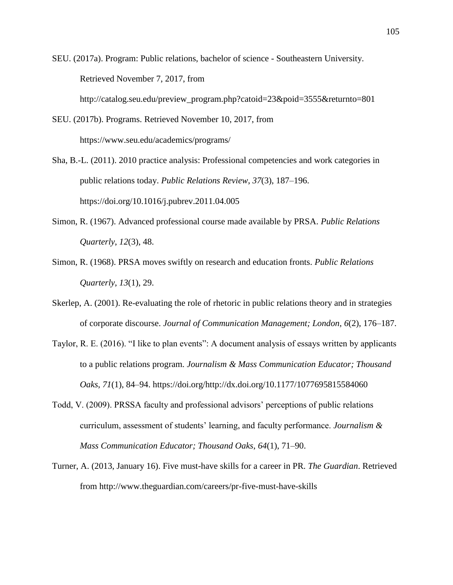SEU. (2017a). Program: Public relations, bachelor of science - Southeastern University. Retrieved November 7, 2017, from http://catalog.seu.edu/preview\_program.php?catoid=23&poid=3555&returnto=801

- SEU. (2017b). Programs. Retrieved November 10, 2017, from https://www.seu.edu/academics/programs/
- Sha, B.-L. (2011). 2010 practice analysis: Professional competencies and work categories in public relations today. *Public Relations Review*, *37*(3), 187–196. https://doi.org/10.1016/j.pubrev.2011.04.005
- Simon, R. (1967). Advanced professional course made available by PRSA. *Public Relations Quarterly*, *12*(3), 48.
- Simon, R. (1968). PRSA moves swiftly on research and education fronts. *Public Relations Quarterly*, *13*(1), 29.
- Skerlep, A. (2001). Re-evaluating the role of rhetoric in public relations theory and in strategies of corporate discourse. *Journal of Communication Management; London*, *6*(2), 176–187.
- Taylor, R. E. (2016). "I like to plan events": A document analysis of essays written by applicants to a public relations program. *Journalism & Mass Communication Educator; Thousand Oaks*, *71*(1), 84–94. https://doi.org/http://dx.doi.org/10.1177/1077695815584060
- Todd, V. (2009). PRSSA faculty and professional advisors' perceptions of public relations curriculum, assessment of students' learning, and faculty performance. *Journalism & Mass Communication Educator; Thousand Oaks*, *64*(1), 71–90.
- Turner, A. (2013, January 16). Five must-have skills for a career in PR. *The Guardian*. Retrieved from http://www.theguardian.com/careers/pr-five-must-have-skills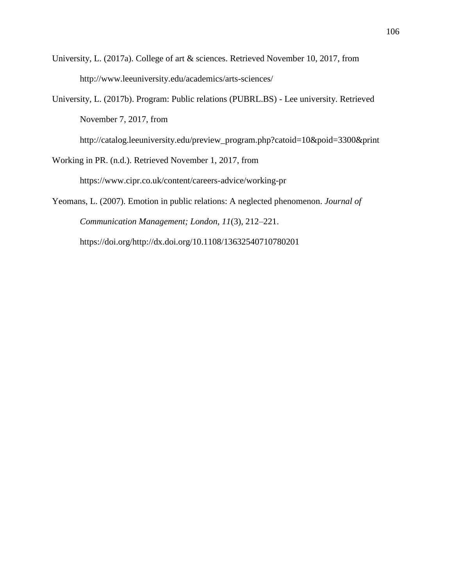- University, L. (2017a). College of art & sciences. Retrieved November 10, 2017, from http://www.leeuniversity.edu/academics/arts-sciences/
- University, L. (2017b). Program: Public relations (PUBRL.BS) Lee university. Retrieved November 7, 2017, from

http://catalog.leeuniversity.edu/preview\_program.php?catoid=10&poid=3300&print

Working in PR. (n.d.). Retrieved November 1, 2017, from

https://www.cipr.co.uk/content/careers-advice/working-pr

Yeomans, L. (2007). Emotion in public relations: A neglected phenomenon. *Journal of Communication Management; London*, *11*(3), 212–221. https://doi.org/http://dx.doi.org/10.1108/13632540710780201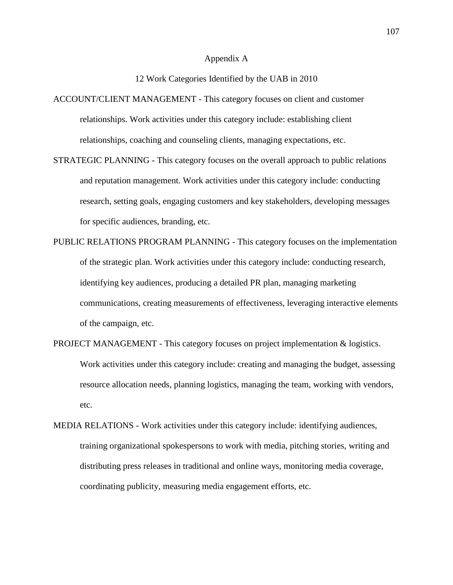### Appendix A

# 12 Work Categories Identified by the UAB in 2010

ACCOUNT/CLIENT MANAGEMENT - This category focuses on client and customer relationships. Work activities under this category include: establishing client relationships, coaching and counseling clients, managing expectations, etc.

- STRATEGIC PLANNING This category focuses on the overall approach to public relations and reputation management. Work activities under this category include: conducting research, setting goals, engaging customers and key stakeholders, developing messages for specific audiences, branding, etc.
- PUBLIC RELATIONS PROGRAM PLANNING This category focuses on the implementation of the strategic plan. Work activities under this category include: conducting research, identifying key audiences, producing a detailed PR plan, managing marketing communications, creating measurements of effectiveness, leveraging interactive elements of the campaign, etc.
- PROJECT MANAGEMENT This category focuses on project implementation & logistics. Work activities under this category include: creating and managing the budget, assessing resource allocation needs, planning logistics, managing the team, working with vendors, etc.
- MEDIA RELATIONS Work activities under this category include: identifying audiences, training organizational spokespersons to work with media, pitching stories, writing and distributing press releases in traditional and online ways, monitoring media coverage, coordinating publicity, measuring media engagement efforts, etc.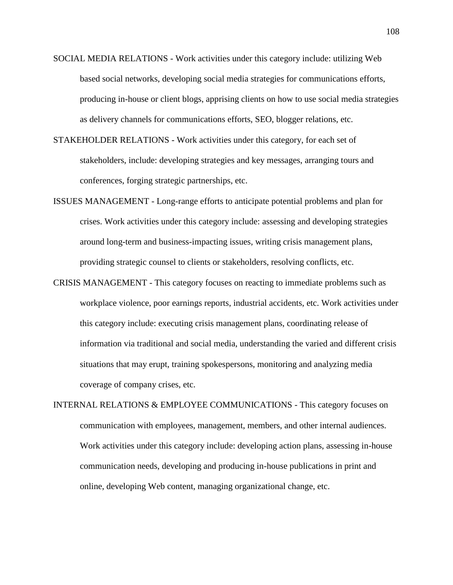- SOCIAL MEDIA RELATIONS Work activities under this category include: utilizing Web based social networks, developing social media strategies for communications efforts, producing in-house or client blogs, apprising clients on how to use social media strategies as delivery channels for communications efforts, SEO, blogger relations, etc.
- STAKEHOLDER RELATIONS Work activities under this category, for each set of stakeholders, include: developing strategies and key messages, arranging tours and conferences, forging strategic partnerships, etc.
- ISSUES MANAGEMENT Long-range efforts to anticipate potential problems and plan for crises. Work activities under this category include: assessing and developing strategies around long-term and business-impacting issues, writing crisis management plans, providing strategic counsel to clients or stakeholders, resolving conflicts, etc.
- CRISIS MANAGEMENT This category focuses on reacting to immediate problems such as workplace violence, poor earnings reports, industrial accidents, etc. Work activities under this category include: executing crisis management plans, coordinating release of information via traditional and social media, understanding the varied and different crisis situations that may erupt, training spokespersons, monitoring and analyzing media coverage of company crises, etc.
- INTERNAL RELATIONS & EMPLOYEE COMMUNICATIONS This category focuses on communication with employees, management, members, and other internal audiences. Work activities under this category include: developing action plans, assessing in-house communication needs, developing and producing in-house publications in print and online, developing Web content, managing organizational change, etc.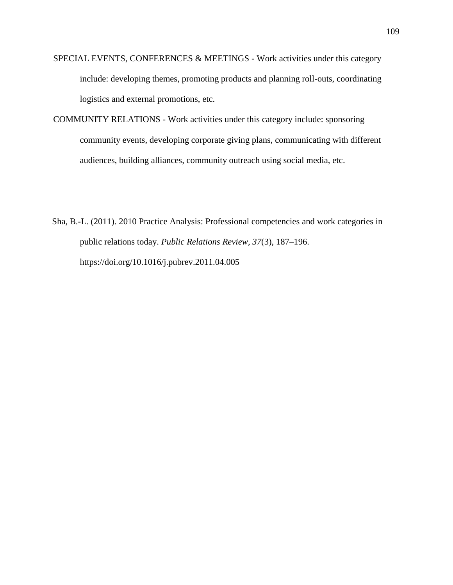- SPECIAL EVENTS, CONFERENCES & MEETINGS Work activities under this category include: developing themes, promoting products and planning roll-outs, coordinating logistics and external promotions, etc.
- COMMUNITY RELATIONS Work activities under this category include: sponsoring community events, developing corporate giving plans, communicating with different audiences, building alliances, community outreach using social media, etc.
- Sha, B.-L. (2011). 2010 Practice Analysis: Professional competencies and work categories in public relations today. *Public Relations Review*, *37*(3), 187–196. https://doi.org/10.1016/j.pubrev.2011.04.005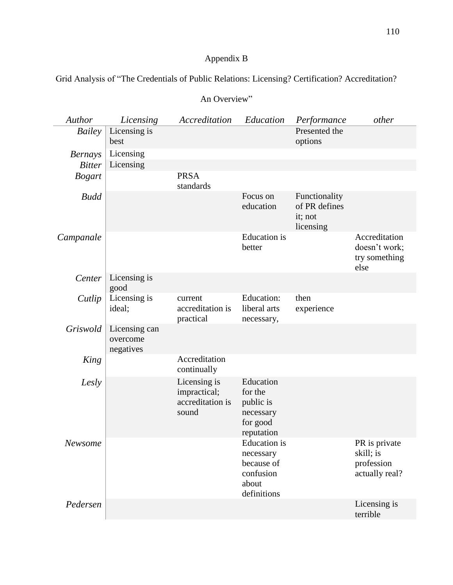# Appendix B

Grid Analysis of "The Credentials of Public Relations: Licensing? Certification? Accreditation?

| Author         | Licensing                              | Accreditation                                             | Education                                                                           | Performance                                            | other                                                      |
|----------------|----------------------------------------|-----------------------------------------------------------|-------------------------------------------------------------------------------------|--------------------------------------------------------|------------------------------------------------------------|
| Bailey         | Licensing is<br>best                   |                                                           |                                                                                     | Presented the<br>options                               |                                                            |
| <b>Bernays</b> | Licensing                              |                                                           |                                                                                     |                                                        |                                                            |
| <b>Bitter</b>  | Licensing                              |                                                           |                                                                                     |                                                        |                                                            |
| <b>Bogart</b>  |                                        | <b>PRSA</b><br>standards                                  |                                                                                     |                                                        |                                                            |
| <b>Budd</b>    |                                        |                                                           | Focus on<br>education                                                               | Functionality<br>of PR defines<br>it; not<br>licensing |                                                            |
| Campanale      |                                        |                                                           | <b>Education</b> is<br>better                                                       |                                                        | Accreditation<br>doesn't work;<br>try something<br>else    |
| Center         | Licensing is<br>good                   |                                                           |                                                                                     |                                                        |                                                            |
| Cutlip         | Licensing is<br>ideal;                 | current<br>accreditation is<br>practical                  | Education:<br>liberal arts<br>necessary,                                            | then<br>experience                                     |                                                            |
| Griswold       | Licensing can<br>overcome<br>negatives |                                                           |                                                                                     |                                                        |                                                            |
| King           |                                        | Accreditation<br>continually                              |                                                                                     |                                                        |                                                            |
| Lesly          |                                        | Licensing is<br>impractical;<br>accreditation is<br>sound | Education<br>for the<br>public is<br>necessary<br>for good<br>reputation            |                                                        |                                                            |
| Newsome        |                                        |                                                           | <b>Education</b> is<br>necessary<br>because of<br>confusion<br>about<br>definitions |                                                        | PR is private<br>skill; is<br>profession<br>actually real? |
| Pedersen       |                                        |                                                           |                                                                                     |                                                        | Licensing is<br>terrible                                   |

# An Overview"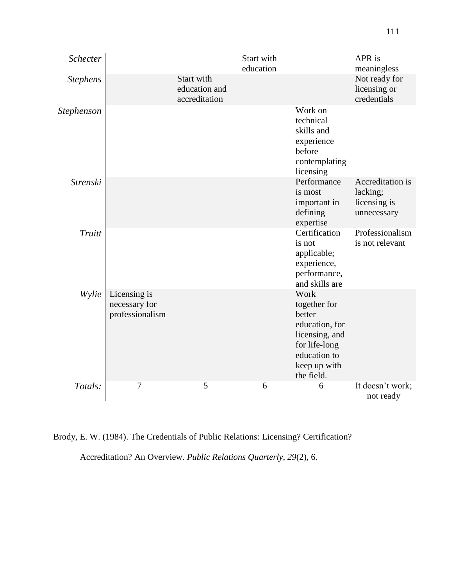| Schecter          |                                                  |                                              | Start with<br>education |                                                                                                                                   | APR is<br>meaningless                                       |
|-------------------|--------------------------------------------------|----------------------------------------------|-------------------------|-----------------------------------------------------------------------------------------------------------------------------------|-------------------------------------------------------------|
| <b>Stephens</b>   |                                                  | Start with<br>education and<br>accreditation |                         |                                                                                                                                   | Not ready for<br>licensing or<br>credentials                |
| <b>Stephenson</b> |                                                  |                                              |                         | Work on<br>technical<br>skills and<br>experience<br>before<br>contemplating<br>licensing                                          |                                                             |
| <b>Strenski</b>   |                                                  |                                              |                         | Performance<br>is most<br>important in<br>defining<br>expertise                                                                   | Accreditation is<br>lacking;<br>licensing is<br>unnecessary |
| Truitt            |                                                  |                                              |                         | Certification<br>is not<br>applicable;<br>experience,<br>performance,<br>and skills are                                           | Professionalism<br>is not relevant                          |
| Wylie             | Licensing is<br>necessary for<br>professionalism |                                              |                         | Work<br>together for<br>better<br>education, for<br>licensing, and<br>for life-long<br>education to<br>keep up with<br>the field. |                                                             |
| Totals:           | $\overline{7}$                                   | 5                                            | 6                       | 6                                                                                                                                 | It doesn't work;<br>not ready                               |

Brody, E. W. (1984). The Credentials of Public Relations: Licensing? Certification?

Accreditation? An Overview. *Public Relations Quarterly*, *29*(2), 6.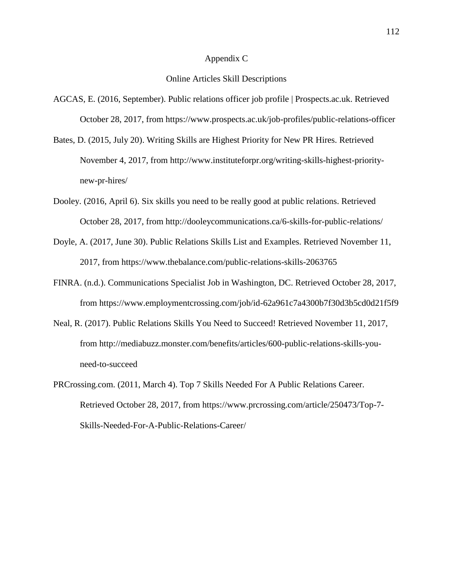#### Appendix C

## Online Articles Skill Descriptions

- AGCAS, E. (2016, September). Public relations officer job profile | Prospects.ac.uk. Retrieved October 28, 2017, from https://www.prospects.ac.uk/job-profiles/public-relations-officer
- Bates, D. (2015, July 20). Writing Skills are Highest Priority for New PR Hires. Retrieved November 4, 2017, from http://www.instituteforpr.org/writing-skills-highest-prioritynew-pr-hires/
- Dooley. (2016, April 6). Six skills you need to be really good at public relations. Retrieved October 28, 2017, from http://dooleycommunications.ca/6-skills-for-public-relations/
- Doyle, A. (2017, June 30). Public Relations Skills List and Examples. Retrieved November 11, 2017, from https://www.thebalance.com/public-relations-skills-2063765
- FINRA. (n.d.). Communications Specialist Job in Washington, DC. Retrieved October 28, 2017, from https://www.employmentcrossing.com/job/id-62a961c7a4300b7f30d3b5cd0d21f5f9
- Neal, R. (2017). Public Relations Skills You Need to Succeed! Retrieved November 11, 2017, from http://mediabuzz.monster.com/benefits/articles/600-public-relations-skills-youneed-to-succeed
- PRCrossing.com. (2011, March 4). Top 7 Skills Needed For A Public Relations Career. Retrieved October 28, 2017, from https://www.prcrossing.com/article/250473/Top-7- Skills-Needed-For-A-Public-Relations-Career/